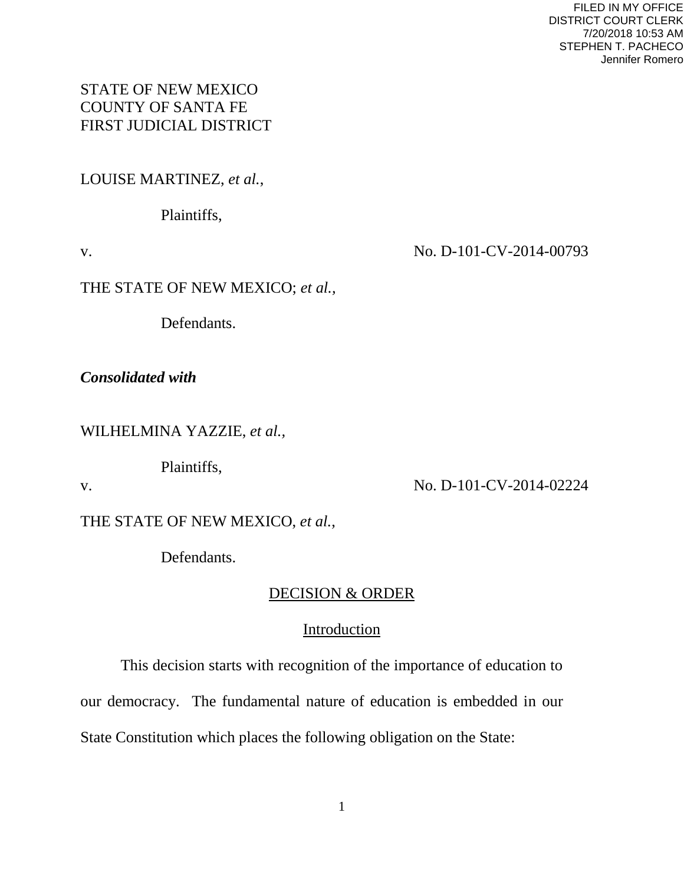# STATE OF NEW MEXICO COUNTY OF SANTA FE FIRST JUDICIAL DISTRICT

LOUISE MARTINEZ, *et al.*,

Plaintiffs,

v. No. D-101-CV-2014-00793

THE STATE OF NEW MEXICO; *et al.,* 

Defendants.

*Consolidated with*

WILHELMINA YAZZIE, *et al.,*

Plaintiffs,

v. No. D-101-CV-2014-02224

THE STATE OF NEW MEXICO, *et al.*,

Defendants.

# DECISION & ORDER

# Introduction

 This decision starts with recognition of the importance of education to our democracy. The fundamental nature of education is embedded in our State Constitution which places the following obligation on the State: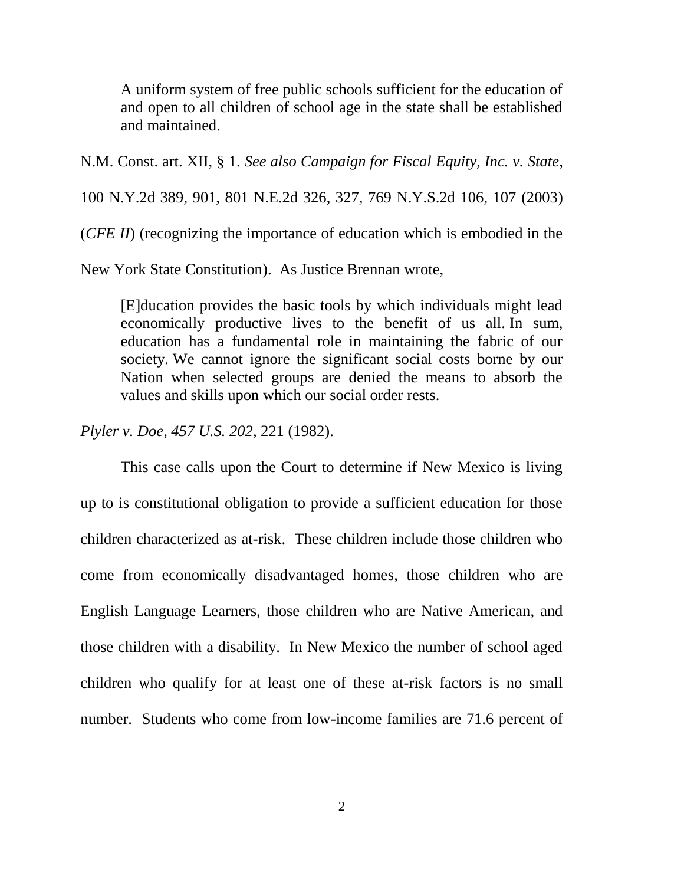A uniform system of free public schools sufficient for the education of and open to all children of school age in the state shall be established and maintained.

N.M. Const. art. XII, § 1. *See also Campaign for Fiscal Equity, Inc. v. State*,

100 N.Y.2d 389, 901, 801 N.E.2d 326, 327, 769 N.Y.S.2d 106, 107 (2003)

(*CFE II*) (recognizing the importance of education which is embodied in the

New York State Constitution). As Justice Brennan wrote,

[E]ducation provides the basic tools by which individuals might lead economically productive lives to the benefit of us all. In sum, education has a fundamental role in maintaining the fabric of our society. We cannot ignore the significant social costs borne by our Nation when selected groups are denied the means to absorb the values and skills upon which our social order rests.

*Plyler v. Doe, 457 U.S. 202,* 221 (1982).

This case calls upon the Court to determine if New Mexico is living up to is constitutional obligation to provide a sufficient education for those children characterized as at-risk. These children include those children who come from economically disadvantaged homes, those children who are English Language Learners, those children who are Native American, and those children with a disability. In New Mexico the number of school aged children who qualify for at least one of these at-risk factors is no small number. Students who come from low-income families are 71.6 percent of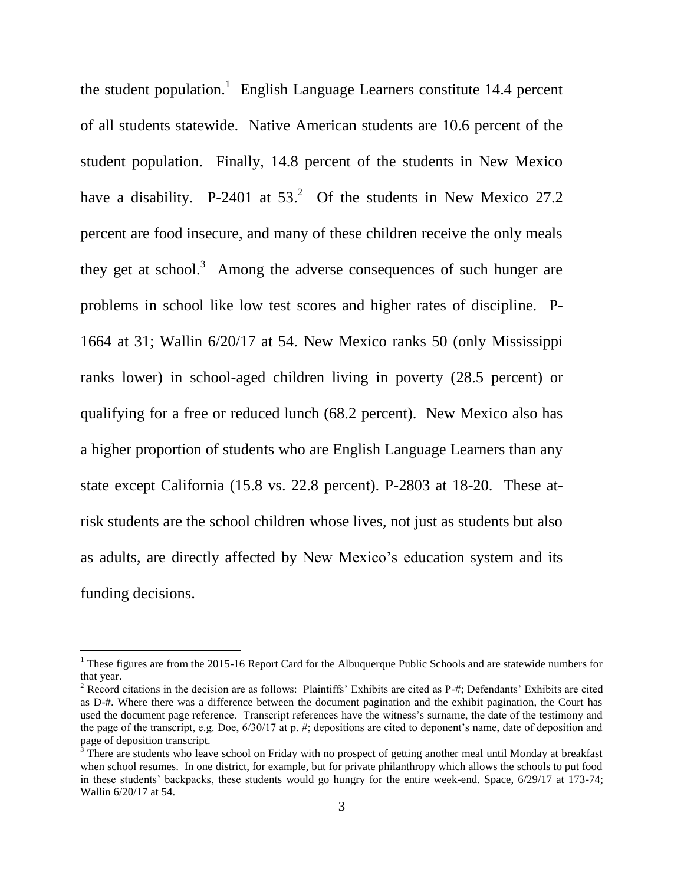the student population.<sup>1</sup> English Language Learners constitute 14.4 percent of all students statewide. Native American students are 10.6 percent of the student population. Finally, 14.8 percent of the students in New Mexico have a disability. P-2401 at  $53<sup>2</sup>$  Of the students in New Mexico 27.2 percent are food insecure, and many of these children receive the only meals they get at school.<sup>3</sup> Among the adverse consequences of such hunger are problems in school like low test scores and higher rates of discipline. P-1664 at 31; Wallin 6/20/17 at 54. New Mexico ranks 50 (only Mississippi ranks lower) in school-aged children living in poverty (28.5 percent) or qualifying for a free or reduced lunch (68.2 percent). New Mexico also has a higher proportion of students who are English Language Learners than any state except California (15.8 vs. 22.8 percent). P-2803 at 18-20. These atrisk students are the school children whose lives, not just as students but also as adults, are directly affected by New Mexico's education system and its funding decisions.

<sup>&</sup>lt;sup>1</sup> These figures are from the 2015-16 Report Card for the Albuquerque Public Schools and are statewide numbers for that year.

<sup>&</sup>lt;sup>2</sup> Record citations in the decision are as follows: Plaintiffs' Exhibits are cited as  $P_{+}$ ; Defendants' Exhibits are cited as D-#. Where there was a difference between the document pagination and the exhibit pagination, the Court has used the document page reference. Transcript references have the witness's surname, the date of the testimony and the page of the transcript, e.g. Doe, 6/30/17 at p. #; depositions are cited to deponent's name, date of deposition and page of deposition transcript.

 $3$  There are students who leave school on Friday with no prospect of getting another meal until Monday at breakfast when school resumes. In one district, for example, but for private philanthropy which allows the schools to put food in these students' backpacks, these students would go hungry for the entire week-end. Space, 6/29/17 at 173-74; Wallin 6/20/17 at 54.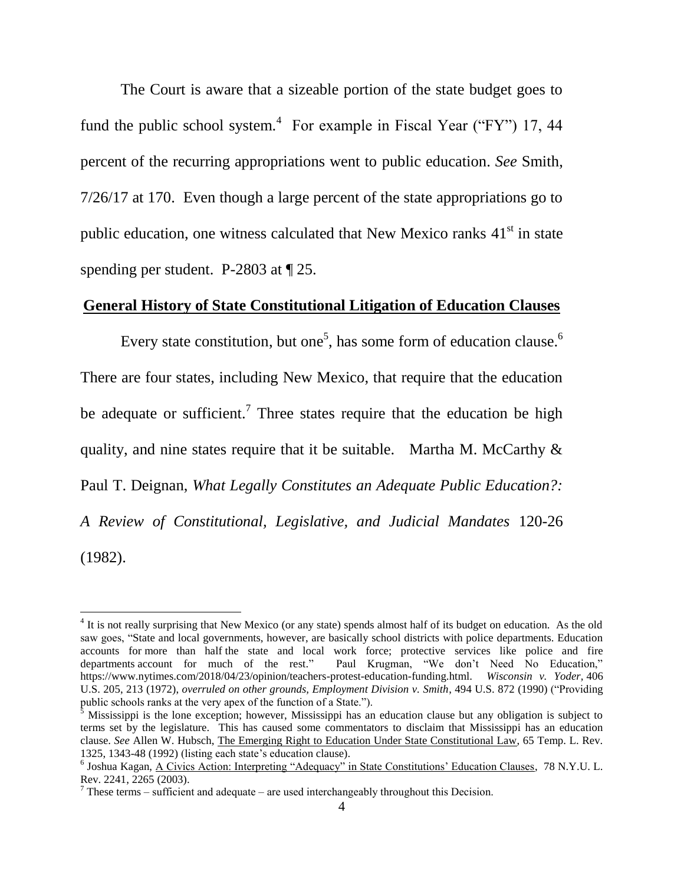The Court is aware that a sizeable portion of the state budget goes to fund the public school system.<sup>4</sup> For example in Fiscal Year ("FY") 17, 44 percent of the recurring appropriations went to public education. *See* Smith, 7/26/17 at 170. Even though a large percent of the state appropriations go to public education, one witness calculated that New Mexico ranks  $41<sup>st</sup>$  in state spending per student. P-2803 at  $\sqrt{25}$ .

#### **General History of State Constitutional Litigation of Education Clauses**

Every state constitution, but one<sup>5</sup>, has some form of education clause.<sup>6</sup> There are four states, including New Mexico, that require that the education be adequate or sufficient.<sup>7</sup> Three states require that the education be high quality, and nine states require that it be suitable. Martha M. McCarthy  $\&$ Paul T. Deignan, *What Legally Constitutes an Adequate Public Education?: A Review of Constitutional, Legislative, and Judicial Mandates* 120-26 (1982).

<sup>&</sup>lt;sup>4</sup> It is not really surprising that New Mexico (or any state) spends almost half of its budget on education. As the old saw goes, "State and local governments, however, are basically school districts with police departments. Education accounts for [more than half](https://www2.census.gov/govs/apes/2012_summary_report.pdf) the state and local work force; protective services like police and fire departments [account for much of the rest.](https://www.cbpp.org/research/some-basic-facts-on-state-and-local-government-workers)" Paul Krugman, "We don't Need No Education," [https://www.nytimes.com/2018/04/23/opinion/teachers-protest-education-funding.html.](https://www.nytimes.com/2018/04/23/opinion/teachers-protest-education-funding.html) *[Wisconsin v. Yoder,](https://1.next.westlaw.com/Link/Document/FullText?findType=Y&serNum=1972127114&pubNum=708&originatingDoc=Ib9d1953694b211d9a707f4371c9c34f0&refType=RP&originationContext=document&transitionType=DocumentItem&contextData=(sc.Keycite))* 406 [U.S. 205, 213 \(1972\),](https://1.next.westlaw.com/Link/Document/FullText?findType=Y&serNum=1972127114&pubNum=708&originatingDoc=Ib9d1953694b211d9a707f4371c9c34f0&refType=RP&originationContext=document&transitionType=DocumentItem&contextData=(sc.Keycite)) *overruled on other grounds, Employment Division v. Smith*, 494 U.S. 872 (1990) ("Providing public schools ranks at the very apex of the function of a State.").

<sup>5</sup> Mississippi is the lone exception; however, Mississippi has an education clause but any obligation is subject to terms set by the legislature. This has caused some commentators to disclaim that Mississippi has an education clause. *See* Allen W. Hubsch, [The Emerging Right to Education Under State Constitutional Law, 65 Temp. L. Rev.](http://www.westlaw.com/Link/Document/FullText?findType=Y&serNum=0102694441&pubNum=1566&originatingDoc=I51347f714b3011dba16d88fb847e95e5&refType=LR&fi=co_pp_sp_1566_1343&originationContext=document&vr=3.0&rs=cblt1.0&transitionType=DocumentItem&contextData=(sc.DocLink)#co_pp_sp_1566_1343)  [1325, 1343-48 \(1992\)](http://www.westlaw.com/Link/Document/FullText?findType=Y&serNum=0102694441&pubNum=1566&originatingDoc=I51347f714b3011dba16d88fb847e95e5&refType=LR&fi=co_pp_sp_1566_1343&originationContext=document&vr=3.0&rs=cblt1.0&transitionType=DocumentItem&contextData=(sc.DocLink)#co_pp_sp_1566_1343) (listing each state's education clause).

<sup>&</sup>lt;sup>6</sup> Joshua Kagan, <u>A Civics Action: Interpreting "Adequacy" in State Constitutions' Education Clauses, 78 N.Y.U. L.</u> Rev. 2241, 2265 (2003).

 $7$  These terms – sufficient and adequate – are used interchangeably throughout this Decision.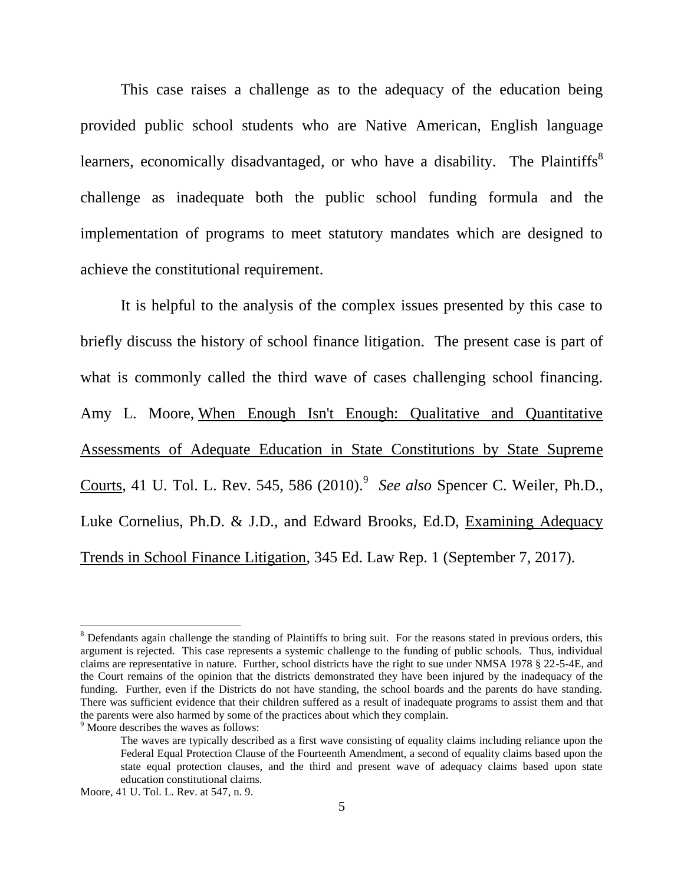This case raises a challenge as to the adequacy of the education being provided public school students who are Native American, English language learners, economically disadvantaged, or who have a disability. The Plaintiffs<sup>8</sup> challenge as inadequate both the public school funding formula and the implementation of programs to meet statutory mandates which are designed to achieve the constitutional requirement.

It is helpful to the analysis of the complex issues presented by this case to briefly discuss the history of school finance litigation. The present case is part of what is commonly called the third wave of cases challenging school financing. Amy L. Moore, When Enough Isn't Enough: Qualitative and Quantitative Assessments of Adequate Education in State Constitutions by State Supreme Courts, 41 U. Tol. L. Rev. 545, 586 (2010).<sup>9</sup> See also Spencer C. Weiler, Ph.D., Luke Cornelius, Ph.D. & J.D., and [Edward Brooks,](http://www.westlaw.com/Link/Document/FullText?findType=h&pubNum=176284&cite=0194370601&originatingDoc=If7f2f7639eaf11e79bef99c0ee06c731&refType=RQ&originationContext=document&vr=3.0&rs=cblt1.0&transitionType=DocumentItem&contextData=(sc.Keycite)) Ed.D, Examining Adequacy Trends in School Finance Litigation, 345 Ed. Law Rep. 1 (September 7, 2017).

<sup>&</sup>lt;sup>8</sup> Defendants again challenge the standing of Plaintiffs to bring suit. For the reasons stated in previous orders, this argument is rejected. This case represents a systemic challenge to the funding of public schools. Thus, individual claims are representative in nature. Further, school districts have the right to sue under NMSA 1978 § 22-5-4E, and the Court remains of the opinion that the districts demonstrated they have been injured by the inadequacy of the funding. Further, even if the Districts do not have standing, the school boards and the parents do have standing. There was sufficient evidence that their children suffered as a result of inadequate programs to assist them and that the parents were also harmed by some of the practices about which they complain.

<sup>&</sup>lt;sup>9</sup> Moore describes the waves as follows:

The waves are typically described as a first wave consisting of equality claims including reliance upon the Federal Equal Protection Clause of the Fourteenth Amendment, a second of equality claims based upon the state equal protection clauses, and the third and present wave of adequacy claims based upon state education constitutional claims.

Moore, 41 U. Tol. L. Rev. at 547, n. 9.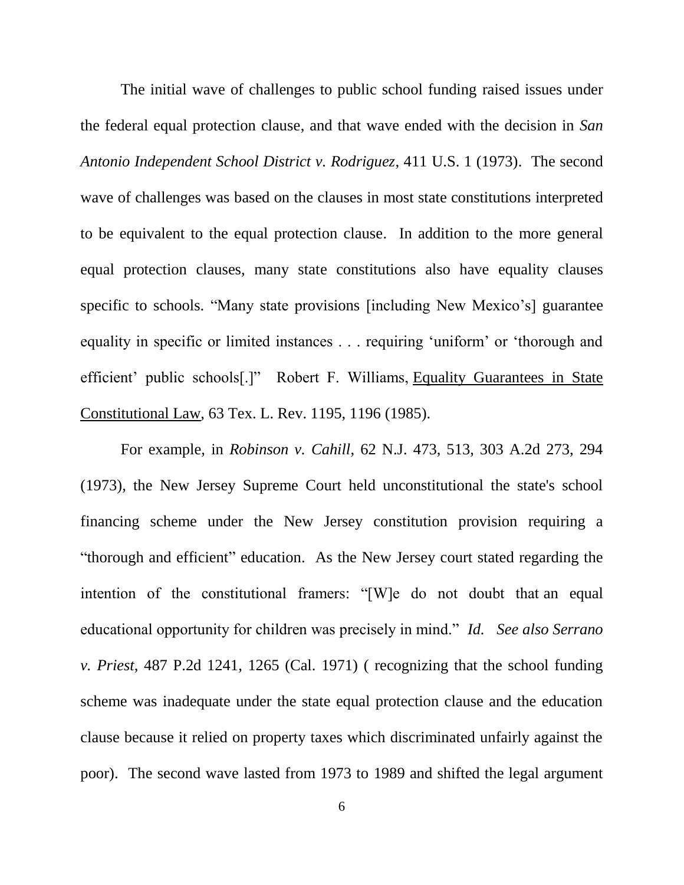The initial wave of challenges to public school funding raised issues under the federal equal protection clause, and that wave ended with the decision in *San Antonio Independent School District v. Rodriguez*, [411 U.S. 1 \(1973\).](http://www.westlaw.com/Link/Document/FullText?findType=Y&serNum=1973126364&pubNum=0000708&originatingDoc=I9acfa211c73411e08b05fdf15589d8e8&refType=RP&originationContext=document&vr=3.0&rs=cblt1.0&transitionType=DocumentItem&contextData=(sc.Keycite)) The second wave of challenges was based on the clauses in most state constitutions interpreted to be equivalent to the equal protection clause. In addition to the more general equal protection clauses, many state constitutions also have equality clauses specific to schools. "Many state provisions [including New Mexico's] guarantee equality in specific or limited instances . . . requiring 'uniform' or 'thorough and efficient' public schools[.]" Robert F. Williams, Equality Guarantees in State Constitutional Law, 63 Tex. L. Rev. 1195, 1196 (1985).

For example, in *Robinson v. Cahill*, 62 N.J. 473, 513, 303 A.2d 273, 294 (1973), the New Jersey Supreme Court held unconstitutional the state's school financing scheme under the New Jersey constitution provision requiring a "thorough and efficient" education. As the New Jersey court stated regarding the intention of the constitutional framers: "[W]e do not doubt that an equal educational opportunity for children was precisely in mind." *Id.* See also Serrano *v. Priest*, [487 P.2d 1241, 1265](https://1.next.westlaw.com/Link/Document/FullText?findType=Y&serNum=1971125162&pubNum=0000661&originatingDoc=I21ceeb05c76f11df9b8c850332338889&refType=RP&originationContext=document&transitionType=DocumentItem&contextData=(sc.History*oc.Search)) (Cal. 1971) ( recognizing that the school funding scheme was inadequate under the state equal protection clause and the education clause because it relied on property taxes which discriminated unfairly against the poor). The second wave lasted from 1973 to 1989 and shifted the legal argument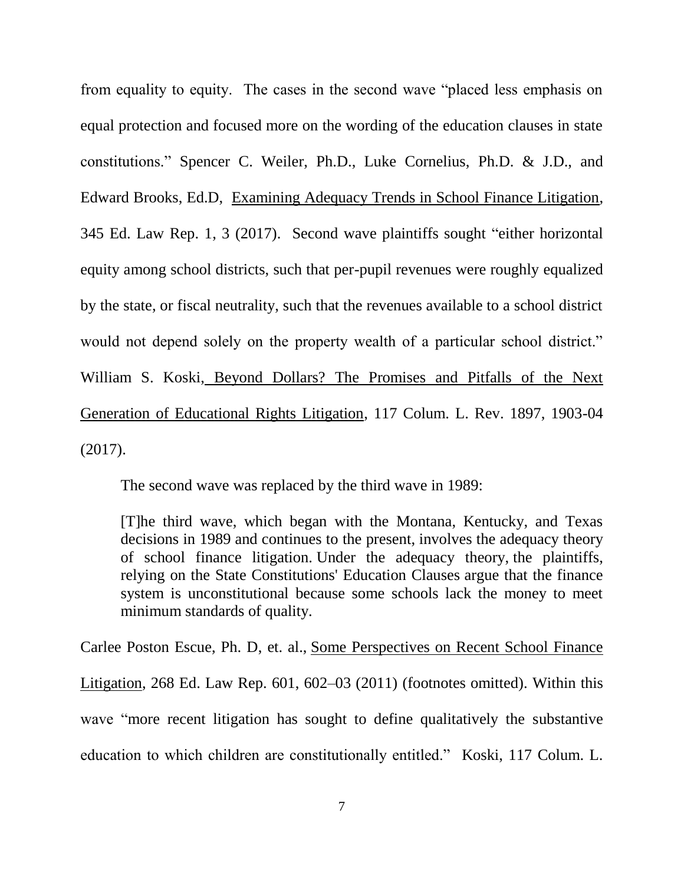from equality to equity. The cases in the second wave "placed less emphasis on equal protection and focused more on the wording of the education clauses in state constitutions.‖ Spencer C. Weiler, Ph.D., Luke Cornelius, Ph.D. & J.D., and [Edward Brooks,](http://www.westlaw.com/Link/Document/FullText?findType=h&pubNum=176284&cite=0194370601&originatingDoc=If7f2f7639eaf11e79bef99c0ee06c731&refType=RQ&originationContext=document&vr=3.0&rs=cblt1.0&transitionType=DocumentItem&contextData=(sc.Keycite)) Ed.D, Examining Adequacy Trends in School Finance Litigation, 345 Ed. Law Rep. 1, 3 (2017). Second wave plaintiffs sought "either horizontal" equity among school districts, such that per-pupil revenues were roughly equalized by the state, or fiscal neutrality, such that the revenues available to a school district would not depend solely on the property wealth of a particular school district." William S. Koski, Beyond Dollars? The Promises and Pitfalls of the Next Generation of Educational Rights Litigation, 117 Colum. L. Rev. 1897, 1903-04 (2017).

The second wave was replaced by the third wave in 1989:

[T]he third wave, which began with the Montana, Kentucky, and Texas decisions in 1989 and continues to the present, involves the adequacy theory of school finance litigation. Under the adequacy theory, the plaintiffs, relying on the State Constitutions' Education Clauses argue that the finance system is unconstitutional because some schools lack the money to meet minimum standards of quality.

Carlee Poston Escue, Ph. D, et. al., Some Perspectives on Recent School Finance Litigation, 268 Ed. Law Rep. 601, 602–03 (2011) (footnotes omitted). Within this wave "more recent litigation has sought to define qualitatively the substantive education to which children are constitutionally entitled." Koski, 117 Colum. L.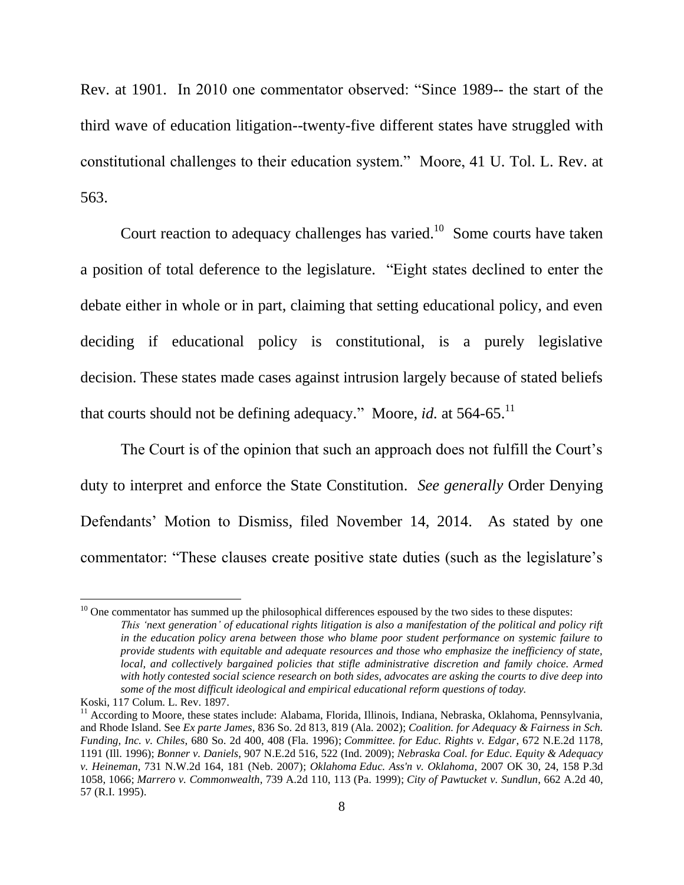Rev. at 1901. In 2010 one commentator observed: "Since 1989-- the start of the third wave of education litigation--twenty-five different states have struggled with constitutional challenges to their education system." Moore, 41 U. Tol. L. Rev. at 563.

Court reaction to adequacy challenges has varied.<sup>10</sup> Some courts have taken a position of total deference to the legislature. "Eight states declined to enter the debate either in whole or in part, claiming that setting educational policy, and even deciding if educational policy is constitutional, is a purely legislative decision. These states made cases against intrusion largely because of stated beliefs that courts should not be defining adequacy." Moore, *id.* at  $564-65$ .<sup>11</sup>

The Court is of the opinion that such an approach does not fulfill the Court's duty to interpret and enforce the State Constitution. *See generally* Order Denying Defendants' Motion to Dismiss, filed November 14, 2014. As stated by one commentator: "These clauses create positive state duties (such as the legislature's

 $10$  One commentator has summed up the philosophical differences espoused by the two sides to these disputes: *This 'next generation' of educational rights litigation is also a manifestation of the political and policy rift in the education policy arena between those who blame poor student performance on systemic failure to provide students with equitable and adequate resources and those who emphasize the inefficiency of state, local, and collectively bargained policies that stifle administrative discretion and family choice. Armed with hotly contested social science research on both sides, advocates are asking the courts to dive deep into some of the most difficult ideological and empirical educational reform questions of today.*

Koski, 117 Colum. L. Rev. 1897.

<sup>11</sup> According to Moore, these states include: Alabama, Florida, Illinois, Indiana, Nebraska, Oklahoma, Pennsylvania, and Rhode Island. See *Ex parte James*[, 836 So. 2d 813, 819](https://1.next.westlaw.com/Link/Document/FullText?findType=Y&serNum=2002339060&pubNum=0000735&originatingDoc=I21ceeb05c76f11df9b8c850332338889&refType=RP&fi=co_pp_sp_735_818&originationContext=document&transitionType=DocumentItem&contextData=(sc.History*oc.Search)#co_pp_sp_735_818) (Ala. 2002); *[Coalition. for Adequacy & Fairness in Sch.](https://1.next.westlaw.com/Link/Document/FullText?findType=Y&serNum=1996143459&pubNum=0000735&originatingDoc=I21ceeb05c76f11df9b8c850332338889&refType=RP&fi=co_pp_sp_735_408&originationContext=document&transitionType=DocumentItem&contextData=(sc.History*oc.Search)#co_pp_sp_735_408)  Funding, Inc. v. Chiles*[, 680 So. 2d 400, 408 \(Fla. 1996\);](https://1.next.westlaw.com/Link/Document/FullText?findType=Y&serNum=1996143459&pubNum=0000735&originatingDoc=I21ceeb05c76f11df9b8c850332338889&refType=RP&fi=co_pp_sp_735_408&originationContext=document&transitionType=DocumentItem&contextData=(sc.History*oc.Search)#co_pp_sp_735_408) *[Committee. for Educ. Rights v. Edgar](https://1.next.westlaw.com/Link/Document/FullText?findType=Y&serNum=1996236109&pubNum=0000578&originatingDoc=I21ceeb05c76f11df9b8c850332338889&refType=RP&fi=co_pp_sp_578_1191&originationContext=document&transitionType=DocumentItem&contextData=(sc.History*oc.Search)#co_pp_sp_578_1191)*, 672 N.E.2d 1178, [1191 \(Ill. 1996\);](https://1.next.westlaw.com/Link/Document/FullText?findType=Y&serNum=1996236109&pubNum=0000578&originatingDoc=I21ceeb05c76f11df9b8c850332338889&refType=RP&fi=co_pp_sp_578_1191&originationContext=document&transitionType=DocumentItem&contextData=(sc.History*oc.Search)#co_pp_sp_578_1191) *Bonner v. Daniels*[, 907 N.E.2d 516, 522 \(Ind. 2009\);](https://1.next.westlaw.com/Link/Document/FullText?findType=Y&serNum=2018983266&pubNum=0000578&originatingDoc=I21ceeb05c76f11df9b8c850332338889&refType=RP&fi=co_pp_sp_578_522&originationContext=document&transitionType=DocumentItem&contextData=(sc.History*oc.Search)#co_pp_sp_578_522) *Nebraska [Coal. for Educ. Equity & Adequacy](https://1.next.westlaw.com/Link/Document/FullText?findType=Y&serNum=2012229140&pubNum=0000595&originatingDoc=I21ceeb05c76f11df9b8c850332338889&refType=RP&fi=co_pp_sp_595_181&originationContext=document&transitionType=DocumentItem&contextData=(sc.History*oc.Search)#co_pp_sp_595_181)  v. Heineman*[, 731 N.W.2d 164, 181 \(Neb. 2007\);](https://1.next.westlaw.com/Link/Document/FullText?findType=Y&serNum=2012229140&pubNum=0000595&originatingDoc=I21ceeb05c76f11df9b8c850332338889&refType=RP&fi=co_pp_sp_595_181&originationContext=document&transitionType=DocumentItem&contextData=(sc.History*oc.Search)#co_pp_sp_595_181) *Oklahoma Educ. Ass'n v. Oklahoma*[, 2007 OK 30, 24, 158 P.3d](https://1.next.westlaw.com/Link/Document/FullText?findType=Y&serNum=2012196504&pubNum=0004645&originatingDoc=I21ceeb05c76f11df9b8c850332338889&refType=RP&fi=co_pp_sp_4645_1066&originationContext=document&transitionType=DocumentItem&contextData=(sc.History*oc.Search)#co_pp_sp_4645_1066)  [1058, 1066;](https://1.next.westlaw.com/Link/Document/FullText?findType=Y&serNum=2012196504&pubNum=0004645&originatingDoc=I21ceeb05c76f11df9b8c850332338889&refType=RP&fi=co_pp_sp_4645_1066&originationContext=document&transitionType=DocumentItem&contextData=(sc.History*oc.Search)#co_pp_sp_4645_1066) *Marrero v. Commonwealth*[, 739 A.2d 110, 113 \(Pa. 1999\);](https://1.next.westlaw.com/Link/Document/FullText?findType=Y&serNum=1999223600&pubNum=0000162&originatingDoc=I21ceeb05c76f11df9b8c850332338889&refType=RP&fi=co_pp_sp_162_113&originationContext=document&transitionType=DocumentItem&contextData=(sc.History*oc.Search)#co_pp_sp_162_113) *[City of Pawtucket v. Sundlun](https://1.next.westlaw.com/Link/Document/FullText?findType=Y&serNum=1995154583&pubNum=0000162&originatingDoc=I21ceeb05c76f11df9b8c850332338889&refType=RP&fi=co_pp_sp_162_57&originationContext=document&transitionType=DocumentItem&contextData=(sc.History*oc.Search)#co_pp_sp_162_57)*, 662 A.2d 40, [57 \(R.I. 1995\).](https://1.next.westlaw.com/Link/Document/FullText?findType=Y&serNum=1995154583&pubNum=0000162&originatingDoc=I21ceeb05c76f11df9b8c850332338889&refType=RP&fi=co_pp_sp_162_57&originationContext=document&transitionType=DocumentItem&contextData=(sc.History*oc.Search)#co_pp_sp_162_57)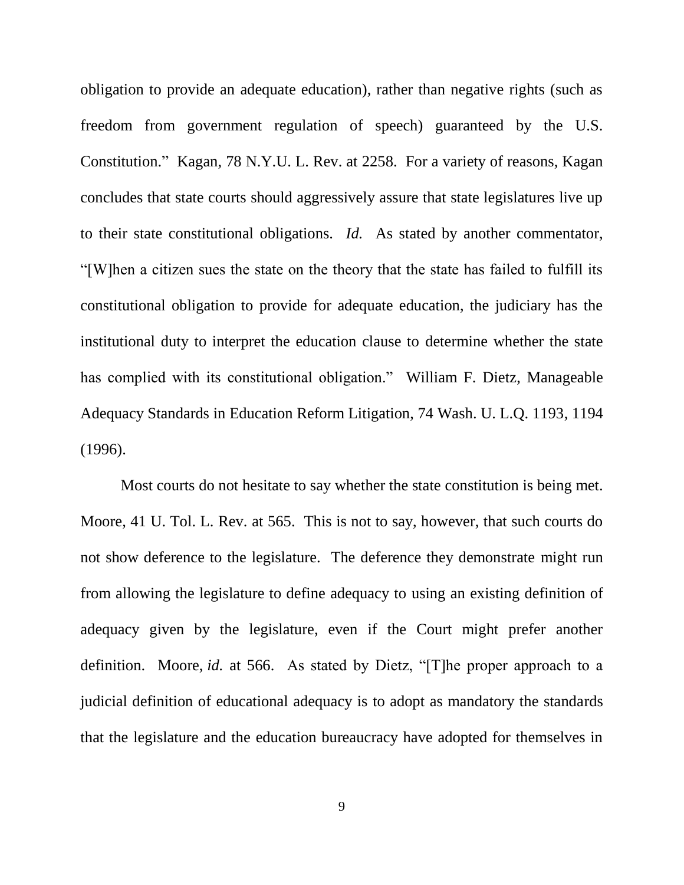obligation to provide an adequate education), rather than negative rights (such as freedom from government regulation of speech) guaranteed by the U.S. Constitution." Kagan, 78 N.Y.U. L. Rev. at 2258. For a variety of reasons, Kagan concludes that state courts should aggressively assure that state legislatures live up to their state constitutional obligations. *Id.* As stated by another commentator, ―[W]hen a citizen sues the state on the theory that the state has failed to fulfill its constitutional obligation to provide for adequate education, the judiciary has the institutional duty to interpret the education clause to determine whether the state has complied with its constitutional obligation." [William F. Dietz,](http://www.westlaw.com/Link/Document/FullText?findType=h&pubNum=176284&cite=0259018101&originatingDoc=I51347f714b3011dba16d88fb847e95e5&refType=RQ&originationContext=document&vr=3.0&rs=cblt1.0&transitionType=DocumentItem&contextData=(sc.DocLink)) Manageable Adequacy Standards in Education Reform Litigation, 74 Wash. U. L.Q. 1193, 1194 (1996).

Most courts do not hesitate to say whether the state constitution is being met. Moore, 41 U. Tol. L. Rev. at 565. This is not to say, however, that such courts do not show deference to the legislature. The deference they demonstrate might run from allowing the legislature to define adequacy to using an existing definition of adequacy given by the legislature, even if the Court might prefer another definition. Moore, *id.* at 566. As stated by Dietz, "[T]he proper approach to a judicial definition of educational adequacy is to adopt as mandatory the standards that the legislature and the education bureaucracy have adopted for themselves in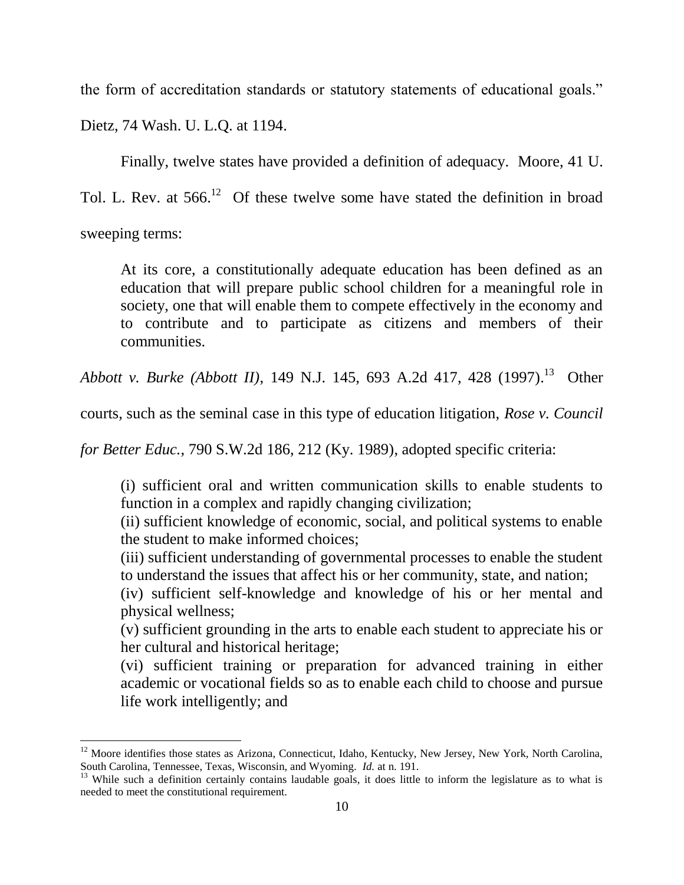the form of accreditation standards or statutory statements of educational goals."

Dietz, 74 Wash. U. L.Q. at 1194.

 $\overline{a}$ 

Finally, twelve states have provided a definition of adequacy. Moore, 41 U. Tol. L. Rev. at  $566<sup>12</sup>$  Of these twelve some have stated the definition in broad sweeping terms:

At its core, a constitutionally adequate education has been defined as an education that will prepare public school children for a meaningful role in society, one that will enable them to compete effectively in the economy and to contribute and to participate as citizens and members of their communities.

*Abbott v. Burke (Abbott II)*[, 149 N.J. 145, 693 A.2d 417, 428 \(1997\).](https://1.next.westlaw.com/Link/Document/FullText?findType=Y&serNum=1997108931&pubNum=0000162&originatingDoc=I21ceeb05c76f11df9b8c850332338889&refType=RP&fi=co_pp_sp_162_428&originationContext=document&transitionType=DocumentItem&contextData=(sc.History*oc.Search)#co_pp_sp_162_428)<sup>13</sup> Other

courts, such as the seminal case in this type of education litigation, *[Rose v. Council](https://1.next.westlaw.com/Link/Document/FullText?findType=Y&serNum=1989086076&pubNum=0000713&originatingDoc=I21ceeb05c76f11df9b8c850332338889&refType=RP&fi=co_pp_sp_713_212&originationContext=document&transitionType=DocumentItem&contextData=(sc.History*oc.Search)#co_pp_sp_713_212)* 

*for Better Educ.*[, 790 S.W.2d 186, 212 \(Ky. 1989\),](https://1.next.westlaw.com/Link/Document/FullText?findType=Y&serNum=1989086076&pubNum=0000713&originatingDoc=I21ceeb05c76f11df9b8c850332338889&refType=RP&fi=co_pp_sp_713_212&originationContext=document&transitionType=DocumentItem&contextData=(sc.History*oc.Search)#co_pp_sp_713_212) adopted specific criteria:

(i) sufficient oral and written communication skills to enable students to function in a complex and rapidly changing civilization;

(ii) sufficient knowledge of economic, social, and political systems to enable the student to make informed choices;

(iii) sufficient understanding of governmental processes to enable the student to understand the issues that affect his or her community, state, and nation;

(iv) sufficient self-knowledge and knowledge of his or her mental and physical wellness;

(v) sufficient grounding in the arts to enable each student to appreciate his or her cultural and historical heritage;

(vi) sufficient training or preparation for advanced training in either academic or vocational fields so as to enable each child to choose and pursue life work intelligently; and

 $12$  Moore identifies those states as Arizona, Connecticut, Idaho, Kentucky, New Jersey, New York, North Carolina, South Carolina, Tennessee, Texas, Wisconsin, and Wyoming. *Id.* at n. 191.

<sup>&</sup>lt;sup>13</sup> While such a definition certainly contains laudable goals, it does little to inform the legislature as to what is needed to meet the constitutional requirement.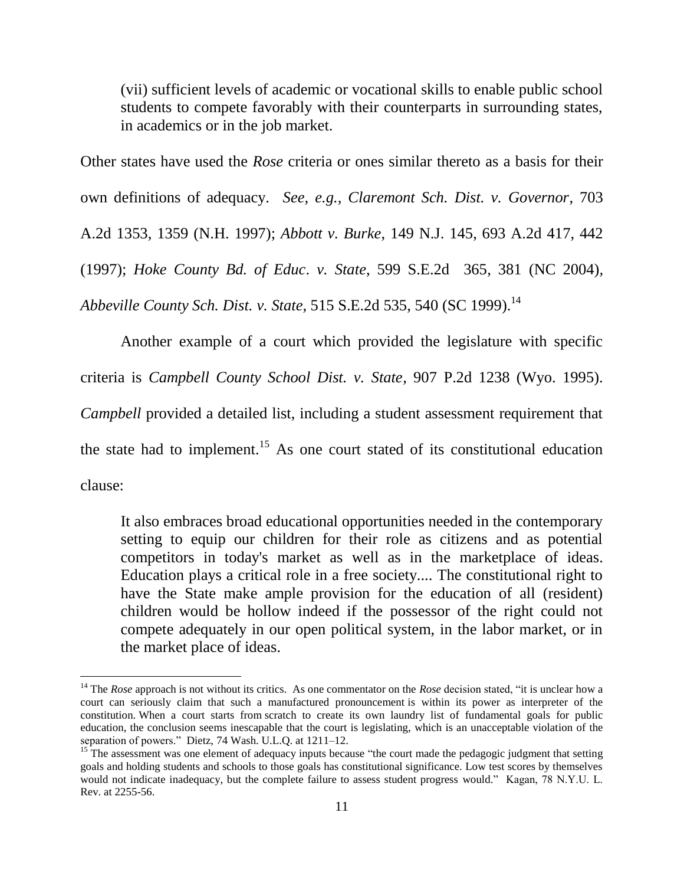(vii) sufficient levels of academic or vocational skills to enable public school students to compete favorably with their counterparts in surrounding states, in academics or in the job market.

Other states have used the *Rose* criteria or ones similar thereto as a basis for their own definitions of adequacy. *See, e.g., [Claremont Sch. Dist. v. Governor](http://www.westlaw.com/Link/Document/FullText?findType=Y&serNum=1997245779&pubNum=0000162&originatingDoc=I21ceeb05c76f11df9b8c850332338889&refType=RP&originationContext=document&vr=3.0&rs=cblt1.0&transitionType=DocumentItem&contextData=(sc.History*oc.Search))*, 703 [A.2d 1353, 1359](http://www.westlaw.com/Link/Document/FullText?findType=Y&serNum=1997245779&pubNum=0000162&originatingDoc=I21ceeb05c76f11df9b8c850332338889&refType=RP&originationContext=document&vr=3.0&rs=cblt1.0&transitionType=DocumentItem&contextData=(sc.History*oc.Search)) (N.H. 1997); *Abbott v. Burke*[, 149 N.J. 145, 693 A.2d 417, 442](http://www.westlaw.com/Link/Document/FullText?findType=Y&serNum=1997108931&pubNum=0000162&originatingDoc=I21ceeb05c76f11df9b8c850332338889&refType=RP&originationContext=document&vr=3.0&rs=cblt1.0&transitionType=DocumentItem&contextData=(sc.History*oc.Search))  [\(1997\);](http://www.westlaw.com/Link/Document/FullText?findType=Y&serNum=1997108931&pubNum=0000162&originatingDoc=I21ceeb05c76f11df9b8c850332338889&refType=RP&originationContext=document&vr=3.0&rs=cblt1.0&transitionType=DocumentItem&contextData=(sc.History*oc.Search)) *[Hoke County Bd. of Educ](http://www.westlaw.com/Link/Document/FullText?findType=Y&serNum=2004790069&pubNum=0000711&originatingDoc=I21ceeb05c76f11df9b8c850332338889&refType=RP&fi=co_pp_sp_711_365&originationContext=document&vr=3.0&rs=cblt1.0&transitionType=DocumentItem&contextData=(sc.History*oc.Search)#co_pp_sp_711_365)*. *v. State*, 599 S.E.2d 365, 381 (NC 2004)*, [Abbeville County Sch. Dist.](http://www.westlaw.com/Link/Document/FullText?findType=Y&serNum=1999110567&pubNum=0000711&originatingDoc=I21ceeb05c76f11df9b8c850332338889&refType=RP&fi=co_pp_sp_711_535&originationContext=document&vr=3.0&rs=cblt1.0&transitionType=DocumentItem&contextData=(sc.History*oc.Search)#co_pp_sp_711_535) v. State*, 515 S.E.2d 535, 540 (SC 1999). 14

Another example of a court which provided the legislature with specific criteria is *[Campbell County School Dist. v. State](https://1.next.westlaw.com/Document/I75d11c6bf58e11d983e7e9deff98dc6f/View/FullText.html?originationContext=docHeader&contextData=(sc.DocLink)&transitionType=Document&needToInjectTerms=False&docSource=bcb47c3239c747d483a5911137b12628)*, 907 P.2d 1238 (Wyo. 1995). *Campbell* provided a detailed list, including a student assessment requirement that the state had to implement.<sup>15</sup> As one court stated of its constitutional education clause:

It also embraces broad educational opportunities needed in the contemporary setting to equip our children for their role as citizens and as potential competitors in today's market as well as in the marketplace of ideas. Education plays a critical role in a free society.... The constitutional right to have the State make ample provision for the education of all (resident) children would be hollow indeed if the possessor of the right could not compete adequately in our open political system, in the labor market, or in the market place of ideas.

<sup>&</sup>lt;sup>14</sup> The *Rose* approach is not without its critics. As one commentator on the *Rose* decision stated, "it is unclear how a court can seriously claim that such a manufactured pronouncement is within its power as interpreter of the constitution. When a court starts from scratch to create its own laundry list of fundamental goals for public education, the conclusion seems inescapable that the court is legislating, which is an unacceptable violation of the separation of powers." Dietz, 74 Wash. U.L.O. at 1211–12.

<sup>&</sup>lt;sup>15</sup> The assessment was one element of adequacy inputs because "the court made the pedagogic judgment that setting goals and holding students and schools to those goals has constitutional significance. Low test scores by themselves would not indicate inadequacy, but the complete failure to assess student progress would." Kagan, 78 N.Y.U. L. Rev. at 2255-56.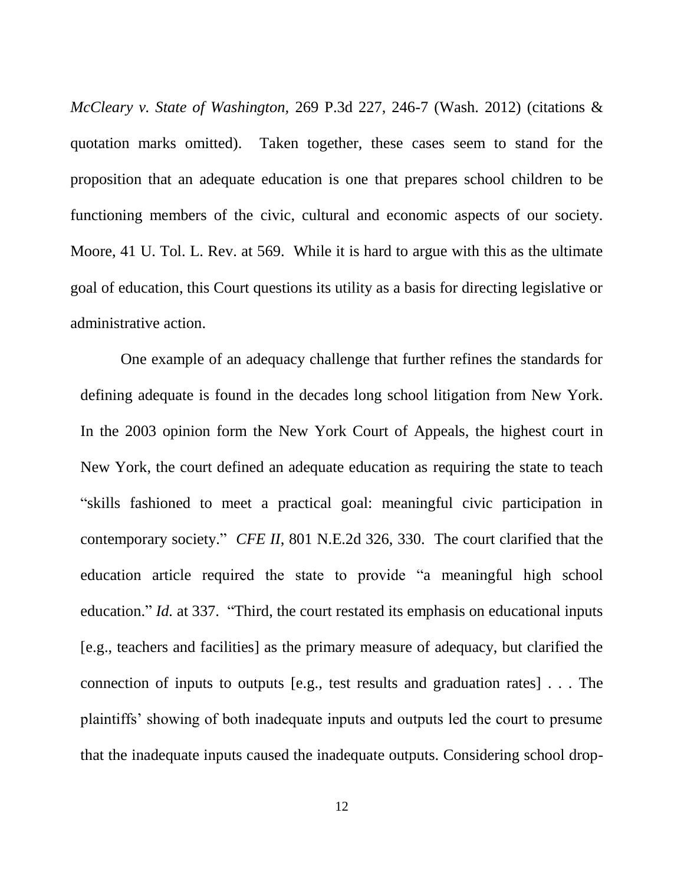*McCleary v. State of Washington,* 269 P.3d 227, 246-7 (Wash. 2012) (citations & quotation marks omitted). Taken together, these cases seem to stand for the proposition that an adequate education is one that prepares school children to be functioning members of the civic, cultural and economic aspects of our society. Moore, 41 U. Tol. L. Rev. at 569. While it is hard to argue with this as the ultimate goal of education, this Court questions its utility as a basis for directing legislative or administrative action.

One example of an adequacy challenge that further refines the standards for defining adequate is found in the decades long school litigation from New York. In the 2003 opinion form the New York Court of Appeals, the highest court in New York, the court defined an adequate education as requiring the state to teach ―skills fashioned to meet a practical goal: meaningful civic participation in contemporary society." *CFE II*, 801 N.E.2d 326, 330. The court clarified that the education article required the state to provide "a meaningful high school education." *Id.* at 337. "Third, the court restated its emphasis on educational inputs [e.g., teachers and facilities] as the primary measure of adequacy, but clarified the connection of inputs to outputs [e.g., test results and graduation rates] . . . The plaintiffs' showing of both inadequate inputs and outputs led the court to presume that the inadequate inputs caused the inadequate outputs. Considering school drop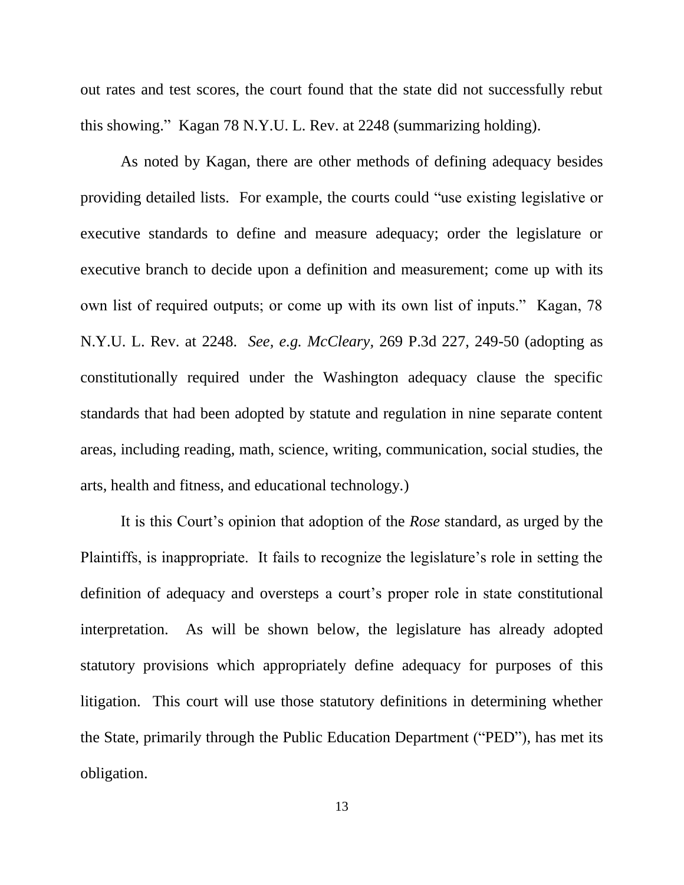out rates and test scores, the court found that the state did not successfully rebut this showing.‖ Kagan 78 N.Y.U. L. Rev. at 2248 (summarizing holding).

As noted by Kagan, there are other methods of defining adequacy besides providing detailed lists. For example, the courts could "use existing legislative or executive standards to define and measure adequacy; order the legislature or executive branch to decide upon a definition and measurement; come up with its own list of required outputs; or come up with its own list of inputs." Kagan, 78 N.Y.U. L. Rev. at 2248. *See, e.g. McCleary,* 269 P.3d 227, 249-50 (adopting as constitutionally required under the Washington adequacy clause the specific standards that had been adopted by statute and regulation in nine separate content areas, including reading, math, science, writing, communication, social studies, the arts, health and fitness, and educational technology.)

It is this Court's opinion that adoption of the *Rose* standard, as urged by the Plaintiffs, is inappropriate. It fails to recognize the legislature's role in setting the definition of adequacy and oversteps a court's proper role in state constitutional interpretation. As will be shown below, the legislature has already adopted statutory provisions which appropriately define adequacy for purposes of this litigation. This court will use those statutory definitions in determining whether the State, primarily through the Public Education Department ("PED"), has met its obligation.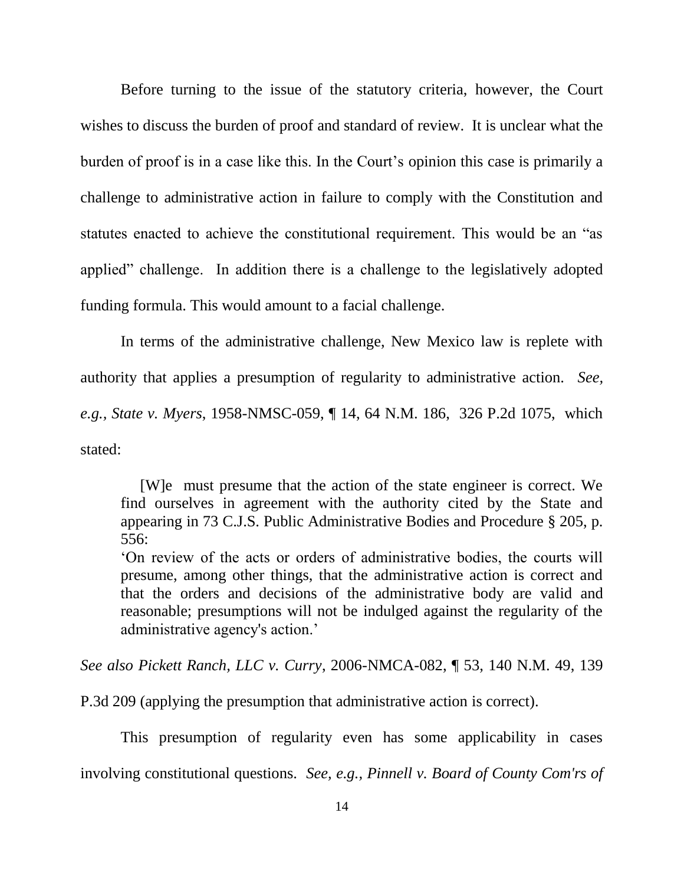Before turning to the issue of the statutory criteria, however, the Court wishes to discuss the burden of proof and standard of review. It is unclear what the burden of proof is in a case like this. In the Court's opinion this case is primarily a challenge to administrative action in failure to comply with the Constitution and statutes enacted to achieve the constitutional requirement. This would be an "as applied" challenge. In addition there is a challenge to the legislatively adopted funding formula. This would amount to a facial challenge.

In terms of the administrative challenge, New Mexico law is replete with authority that applies a presumption of regularity to administrative action. *See, e.g., State v. Myers*, 1958-NMSC-059, ¶ 14, 64 N.M. 186, 326 P.2d 1075, which stated:

 [W]e must presume that the action of the state engineer is correct. We find ourselves in agreement with the authority cited by the State and appearing in 73 C.J.S. Public Administrative Bodies and Procedure § 205, p. 556:

‗On review of the acts or orders of administrative bodies, the courts will presume, among other things, that the administrative action is correct and that the orders and decisions of the administrative body are valid and reasonable; presumptions will not be indulged against the regularity of the administrative agency's action.'

*See also Pickett Ranch, LLC v. Curry*, 2006-NMCA-082, ¶ 53, 140 N.M. 49, 139

P.3d 209 (applying the presumption that administrative action is correct).

This presumption of regularity even has some applicability in cases involving constitutional questions. *See, e.g., Pinnell v. Board of County Com'rs of*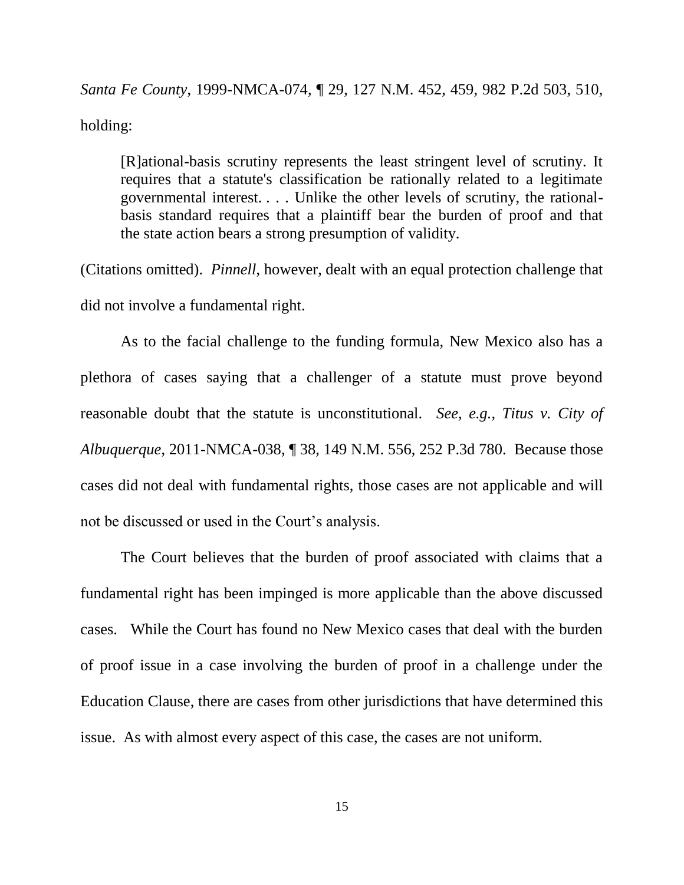*Santa Fe County*, 1999-NMCA-074, ¶ 29, 127 N.M. 452, 459, 982 P.2d 503, 510, holding:

[R]ational-basis scrutiny represents the least stringent level of scrutiny. It requires that a statute's classification be rationally related to a legitimate governmental interest. . . . Unlike the other levels of scrutiny, the rationalbasis standard requires that a plaintiff bear the burden of proof and that the state action bears a strong presumption of validity.

(Citations omitted). *Pinnell*, however, dealt with an equal protection challenge that did not involve a fundamental right.

As to the facial challenge to the funding formula, New Mexico also has a plethora of cases saying that a challenger of a statute must prove beyond reasonable doubt that the statute is unconstitutional. *See, e.g., Titus v. City of Albuquerque*, 2011-NMCA-038, ¶ 38, 149 N.M. 556, 252 P.3d 780.Because those cases did not deal with fundamental rights, those cases are not applicable and will not be discussed or used in the Court's analysis.

The Court believes that the burden of proof associated with claims that a fundamental right has been impinged is more applicable than the above discussed cases. While the Court has found no New Mexico cases that deal with the burden of proof issue in a case involving the burden of proof in a challenge under the Education Clause, there are cases from other jurisdictions that have determined this issue. As with almost every aspect of this case, the cases are not uniform.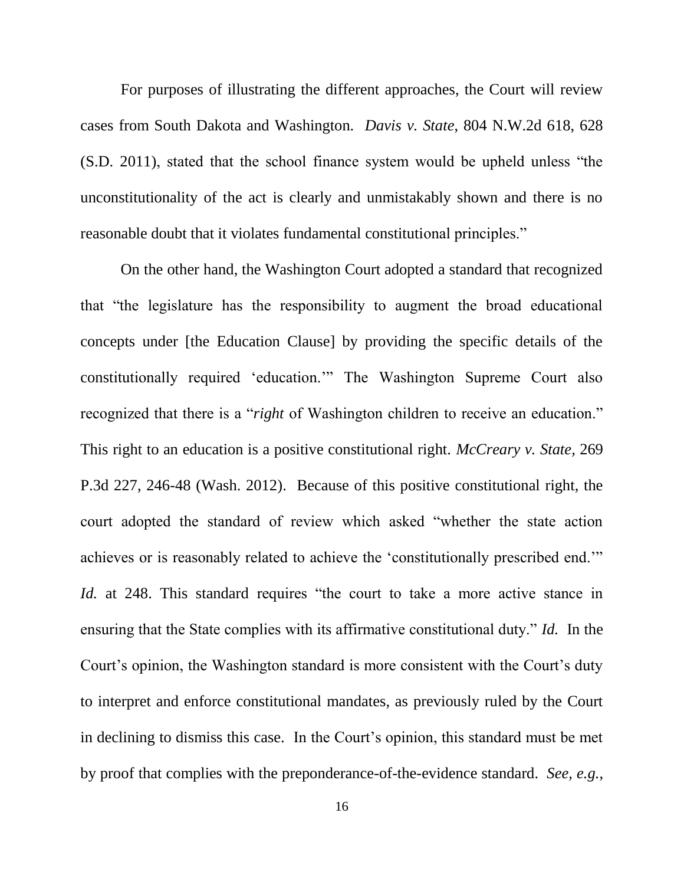For purposes of illustrating the different approaches, the Court will review cases from South Dakota and Washington. *Davis v. State*[, 804 N.W.2d 618, 628](http://www.westlaw.com/Link/Document/FullText?findType=Y&serNum=2025995827&pubNum=960&originatingDoc=I8a34ac26f1c311e18b05fdf15589d8e8&refType=RP&originationContext=document&vr=3.0&rs=cblt1.0&transitionType=DocumentItem&contextData=(sc.Keycite))   $(S.D. 2011)$ , stated that the school finance system would be upheld unless "the unconstitutionality of the act is clearly and unmistakably shown and there is no reasonable doubt that it violates fundamental constitutional principles."

On the other hand, the Washington Court adopted a standard that recognized that "the legislature has the responsibility to augment the broad educational concepts under [the Education Clause] by providing the specific details of the constitutionally required 'education.'" The Washington Supreme Court also recognized that there is a "*right* of Washington children to receive an education." This right to an education is a positive constitutional right. *[McCreary v. State,](http://www.westlaw.com/Link/Document/FullText?findType=Y&serNum=2026811862&pubNum=960&originatingDoc=I8a34ac26f1c311e18b05fdf15589d8e8&refType=RP&originationContext=document&vr=3.0&rs=cblt1.0&transitionType=DocumentItem&contextData=(sc.Keycite))* 269 [P.3d 227, 246-48 \(Wash. 2012\).](http://www.westlaw.com/Link/Document/FullText?findType=Y&serNum=2026811862&pubNum=960&originatingDoc=I8a34ac26f1c311e18b05fdf15589d8e8&refType=RP&originationContext=document&vr=3.0&rs=cblt1.0&transitionType=DocumentItem&contextData=(sc.Keycite)) Because of this positive constitutional right, the court adopted the standard of review which asked "whether the state action achieves or is reasonably related to achieve the 'constitutionally prescribed end.'" *Id.* at 248. This standard requires "the court to take a more active stance in ensuring that the State complies with its affirmative constitutional duty." *Id.* In the Court's opinion, the Washington standard is more consistent with the Court's duty to interpret and enforce constitutional mandates, as previously ruled by the Court in declining to dismiss this case. In the Court's opinion, this standard must be met by proof that complies with the preponderance-of-the-evidence standard. *See, e.g.*,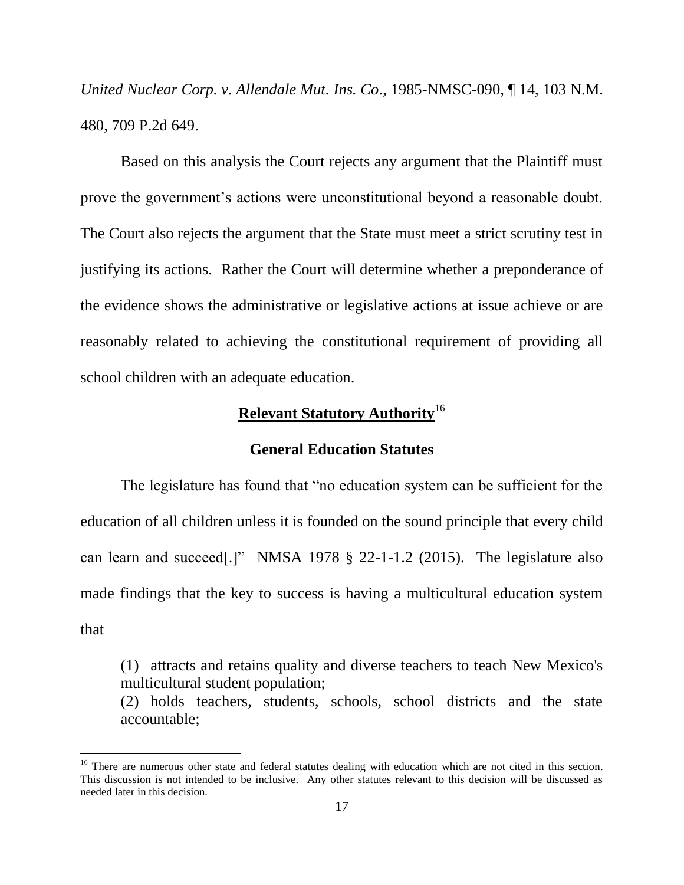*United Nuclear Corp. v. Allendale Mut. Ins. Co*., 1985-NMSC-090, ¶ 14, 103 N.M. 480, 709 P.2d 649.

Based on this analysis the Court rejects any argument that the Plaintiff must prove the government's actions were unconstitutional beyond a reasonable doubt. The Court also rejects the argument that the State must meet a strict scrutiny test in justifying its actions. Rather the Court will determine whether a preponderance of the evidence shows the administrative or legislative actions at issue achieve or are reasonably related to achieving the constitutional requirement of providing all school children with an adequate education.

## **Relevant Statutory Authority**<sup>16</sup>

#### **General Education Statutes**

The legislature has found that "no education system can be sufficient for the education of all children unless it is founded on the sound principle that every child can learn and succeed[.]" NMSA 1978  $\S$  22-1-1.2 (2015). The legislature also made findings that the key to success is having a multicultural education system that

(1) attracts and retains quality and diverse teachers to teach New Mexico's multicultural student population; (2) holds teachers, students, schools, school districts and the state accountable;

<sup>&</sup>lt;sup>16</sup> There are numerous other state and federal statutes dealing with education which are not cited in this section. This discussion is not intended to be inclusive. Any other statutes relevant to this decision will be discussed as needed later in this decision.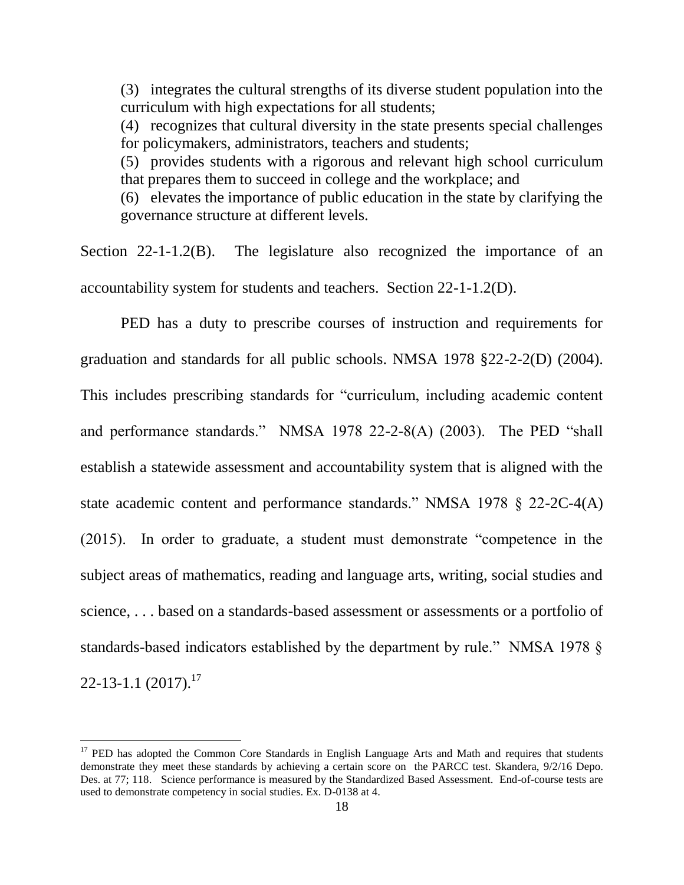(3) integrates the cultural strengths of its diverse student population into the curriculum with high expectations for all students;

(4) recognizes that cultural diversity in the state presents special challenges for policymakers, administrators, teachers and students;

(5) provides students with a rigorous and relevant high school curriculum that prepares them to succeed in college and the workplace; and

(6) elevates the importance of public education in the state by clarifying the governance structure at different levels.

Section 22-1-1.2(B). The legislature also recognized the importance of an accountability system for students and teachers. Section 22-1-1.2(D).

PED has a duty to prescribe courses of instruction and requirements for graduation and standards for all public schools. NMSA 1978 §22-2-2(D) (2004). This includes prescribing standards for "curriculum, including academic content and performance standards." NMSA 1978 22-2-8(A) (2003). The PED "shall establish a statewide assessment and accountability system that is aligned with the state academic content and performance standards." NMSA 1978  $\S$  22-2C-4(A)  $(2015)$ . In order to graduate, a student must demonstrate "competence in the subject areas of mathematics, reading and language arts, writing, social studies and science, . . . based on a standards-based assessment or assessments or a portfolio of standards-based indicators established by the department by rule." NMSA 1978 §  $22-13-1.1$  (2017).<sup>17</sup>

 $17$  PED has adopted the Common Core Standards in English Language Arts and Math and requires that students demonstrate they meet these standards by achieving a certain score on the PARCC test. Skandera, 9/2/16 Depo. Des. at 77; 118. Science performance is measured by the Standardized Based Assessment. End-of-course tests are used to demonstrate competency in social studies. Ex. D-0138 at 4.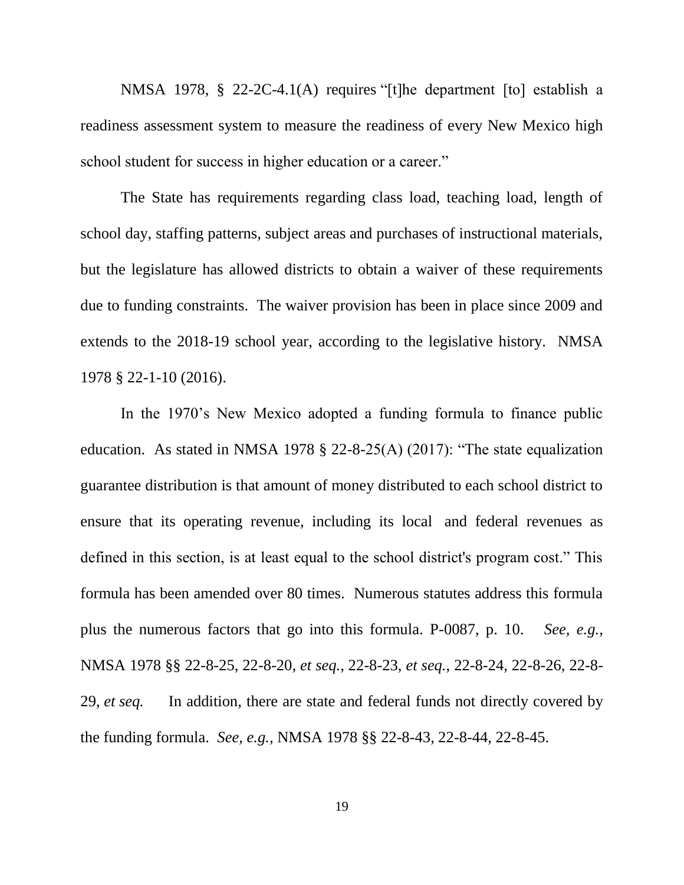NMSA 1978,  $\S$  22-2C-4.1(A) requires "[t]he department [to] establish a readiness assessment system to measure the readiness of every New Mexico high school student for success in higher education or a career."

The State has requirements regarding class load, teaching load, length of school day, staffing patterns, subject areas and purchases of instructional materials, but the legislature has allowed districts to obtain a waiver of these requirements due to funding constraints. The waiver provision has been in place since 2009 and extends to the 2018-19 school year, according to the legislative history. NMSA 1978 § 22-1-10 (2016).

In the 1970's New Mexico adopted a funding formula to finance public education. As stated in NMSA 1978  $\S$  22-8-25(A) (2017): "The state equalization guarantee distribution is that amount of money distributed to each school district to ensure that its operating revenue, including its local and federal revenues as defined in this section, is at least equal to the school district's program cost." This formula has been amended over 80 times. Numerous statutes address this formula plus the numerous factors that go into this formula. P-0087, p. 10. *See, e.g.,*  NMSA 1978 §§ 22-8-25, 22-8-20, *et seq.*, 22-8-23, *et seq.*, 22-8-24, 22-8-26, 22-8- 29, *et seq.* In addition, there are state and federal funds not directly covered by the funding formula. *See, e.g.,* NMSA 1978 §§ 22-8-43, 22-8-44, 22-8-45.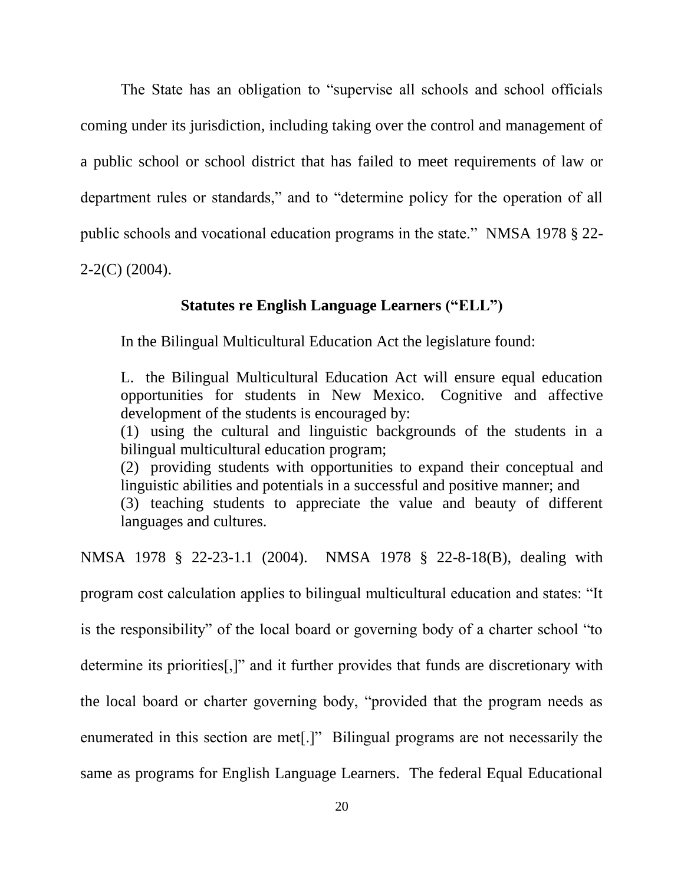The State has an obligation to "supervise all schools and school officials" coming under its jurisdiction, including taking over the control and management of a public school or school district that has failed to meet requirements of law or department rules or standards," and to "determine policy for the operation of all public schools and vocational education programs in the state." NMSA 1978  $\S$  22-2-2(C) (2004).

### **Statutes re English Language Learners ("ELL")**

In the Bilingual Multicultural Education Act the legislature found:

L. the Bilingual Multicultural Education Act will ensure equal education opportunities for students in New Mexico. Cognitive and affective development of the students is encouraged by:

(1) using the cultural and linguistic backgrounds of the students in a bilingual multicultural education program;

(2) providing students with opportunities to expand their conceptual and linguistic abilities and potentials in a successful and positive manner; and

(3) teaching students to appreciate the value and beauty of different languages and cultures.

NMSA 1978 § 22-23-1.1 (2004). NMSA 1978 § 22-8-18(B), dealing with

program cost calculation applies to bilingual multicultural education and states: "It

is the responsibility" of the local board or governing body of a charter school "to

determine its priorities<sup>[1]</sup> and it further provides that funds are discretionary with

the local board or charter governing body, "provided that the program needs as

enumerated in this section are met.]" Bilingual programs are not necessarily the

same as programs for English Language Learners. The federal Equal Educational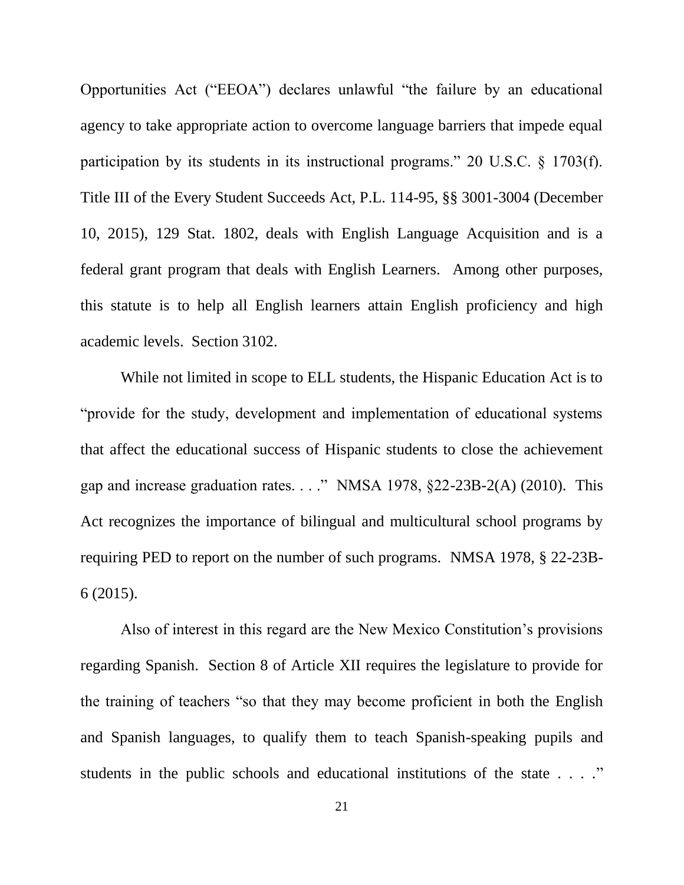Opportunities Act ("EEOA") declares unlawful "the failure by an educational agency to take appropriate action to overcome language barriers that impede equal participation by its students in its instructional programs." 20 U.S.C.  $\S$  1703(f). Title III of the Every Student Succeeds Act, P.L. 114-95, §§ 3001-3004 (December 10, 2015), 129 Stat. 1802, deals with English Language Acquisition and is a federal grant program that deals with English Learners. Among other purposes, this statute is to help all English learners attain English proficiency and high academic levels. Section 3102.

While not limited in scope to ELL students, the Hispanic Education Act is to "provide for the study, development and implementation of educational systems that affect the educational success of Hispanic students to close the achievement gap and increase graduation rates. . . . " NMSA 1978,  $\S$ 22-23B-2(A) (2010). This Act recognizes the importance of bilingual and multicultural school programs by requiring PED to report on the number of such programs. NMSA 1978, § 22-23B-6 (2015).

Also of interest in this regard are the New Mexico Constitution's provisions regarding Spanish. Section 8 of Article XII requires the legislature to provide for the training of teachers "so that they may become proficient in both the English and Spanish languages, to qualify them to teach Spanish-speaking pupils and students in the public schools and educational institutions of the state  $\ldots$ ."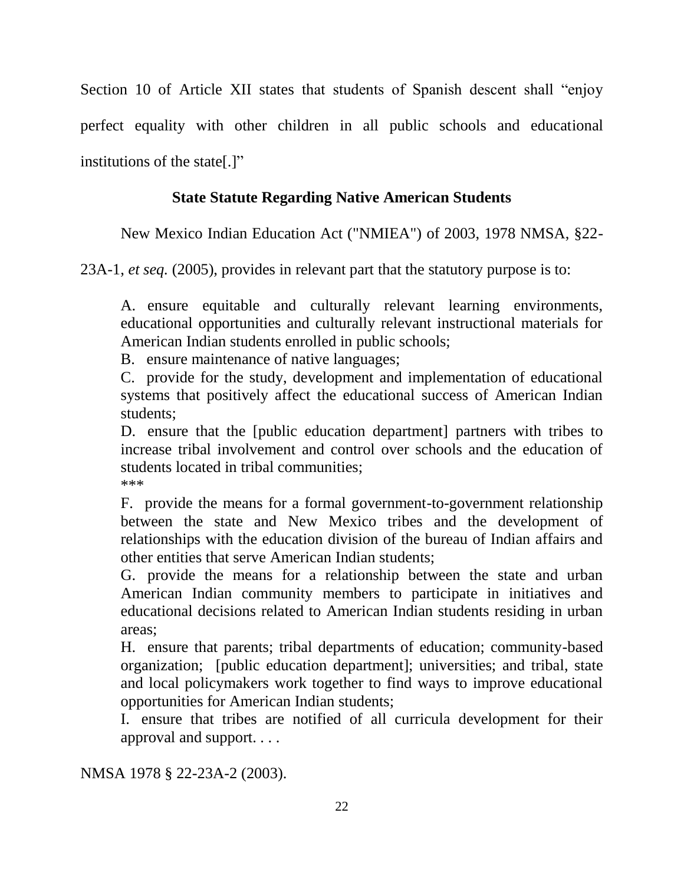Section 10 of Article XII states that students of Spanish descent shall "enjoy" perfect equality with other children in all public schools and educational institutions of the state[.]"

# **State Statute Regarding Native American Students**

New Mexico Indian Education Act ("NMIEA") of 2003, 1978 NMSA, §22-

23A-1, *et seq.* (2005), provides in relevant part that the statutory purpose is to:

A. ensure equitable and culturally relevant learning environments, educational opportunities and culturally relevant instructional materials for American Indian students enrolled in public schools;

B. ensure maintenance of native languages;

C. provide for the study, development and implementation of educational systems that positively affect the educational success of American Indian students;

D. ensure that the [public education department] partners with tribes to increase tribal involvement and control over schools and the education of students located in tribal communities; \*\*\*

F. provide the means for a formal government-to-government relationship between the state and New Mexico tribes and the development of relationships with the education division of the bureau of Indian affairs and other entities that serve American Indian students;

G. provide the means for a relationship between the state and urban American Indian community members to participate in initiatives and educational decisions related to American Indian students residing in urban areas;

H. ensure that parents; tribal departments of education; community-based organization; [public education department]; universities; and tribal, state and local policymakers work together to find ways to improve educational opportunities for American Indian students;

I. ensure that tribes are notified of all curricula development for their approval and support. . . .

NMSA 1978 § 22-23A-2 (2003).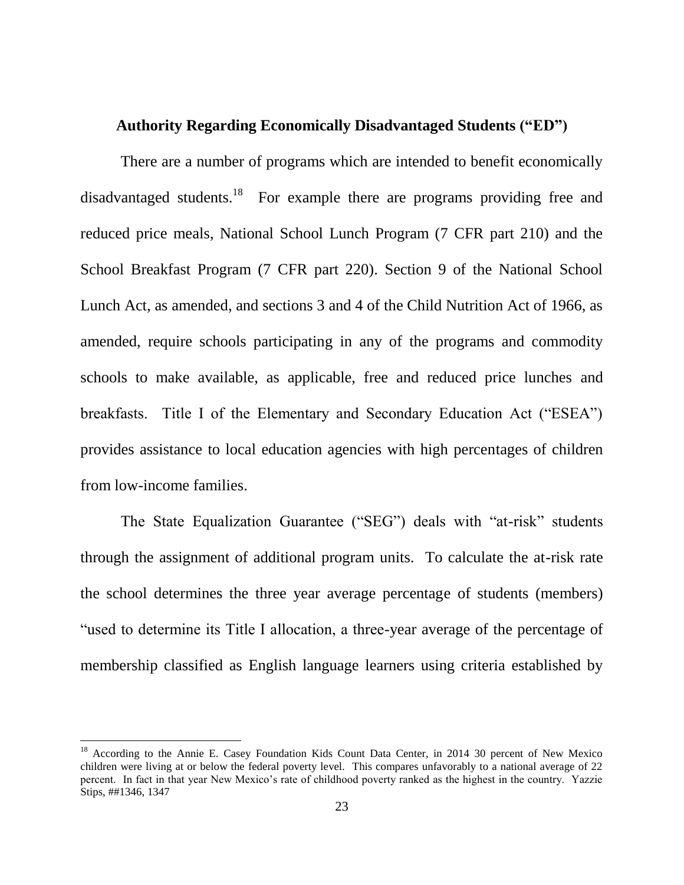### **Authority Regarding Economically Disadvantaged Students ("ED")**

There are a number of programs which are intended to benefit economically disadvantaged students.<sup>18</sup> For example there are programs providing free and reduced price meals, National School Lunch Program (7 CFR part 210) and the School Breakfast Program (7 CFR part 220). Section 9 of the National School Lunch Act, as amended, and sections 3 and 4 of the Child Nutrition Act of 1966, as amended, require schools participating in any of the programs and commodity schools to make available, as applicable, free and reduced price lunches and breakfasts. Title I of the Elementary and Secondary Education Act ("ESEA") provides assistance to local education agencies with high percentages of children from low-income families.

The State Equalization Guarantee ("SEG") deals with "at-risk" students through the assignment of additional program units. To calculate the at-risk rate the school determines the three year average percentage of students (members) "used to determine its Title I allocation, a three-year average of the percentage of membership classified as English language learners using criteria established by

<sup>&</sup>lt;sup>18</sup> According to the Annie E. Casey Foundation Kids Count Data Center, in 2014 30 percent of New Mexico children were living at or below the federal poverty level. This compares unfavorably to a national average of 22 percent. In fact in that year New Mexico's rate of childhood poverty ranked as the highest in the country. Yazzie Stips, ##1346, 1347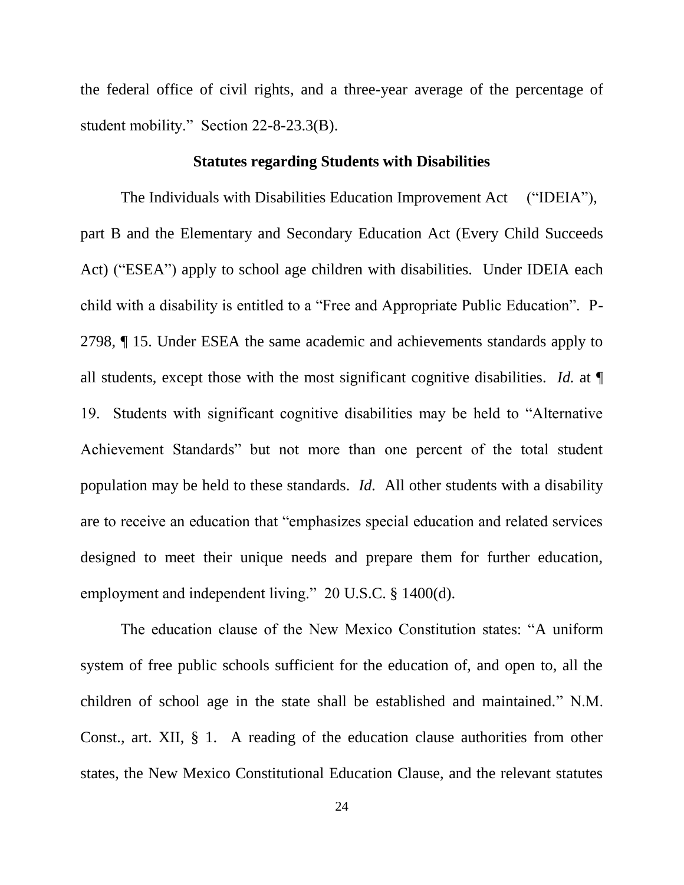the federal office of civil rights, and a three-year average of the percentage of student mobility." Section  $22-8-23.3(B)$ .

#### **Statutes regarding Students with Disabilities**

The Individuals with Disabilities Education Improvement Act ("IDEIA"), part B and the Elementary and Secondary Education Act (Every Child Succeeds Act) ("ESEA") apply to school age children with disabilities. Under IDEIA each child with a disability is entitled to a "Free and Appropriate Public Education". P-2798, ¶ 15. Under ESEA the same academic and achievements standards apply to all students, except those with the most significant cognitive disabilities. *Id.* at ¶ 19. Students with significant cognitive disabilities may be held to "Alternative" Achievement Standards" but not more than one percent of the total student population may be held to these standards. *Id.* All other students with a disability are to receive an education that "emphasizes special education and related services" designed to meet their unique needs and prepare them for further education, employment and independent living." 20 U.S.C.  $\S$  1400(d).

The education clause of the New Mexico Constitution states: "A uniform system of free public schools sufficient for the education of, and open to, all the children of school age in the state shall be established and maintained." N.M. Const., art. XII, § 1. A reading of the education clause authorities from other states, the New Mexico Constitutional Education Clause, and the relevant statutes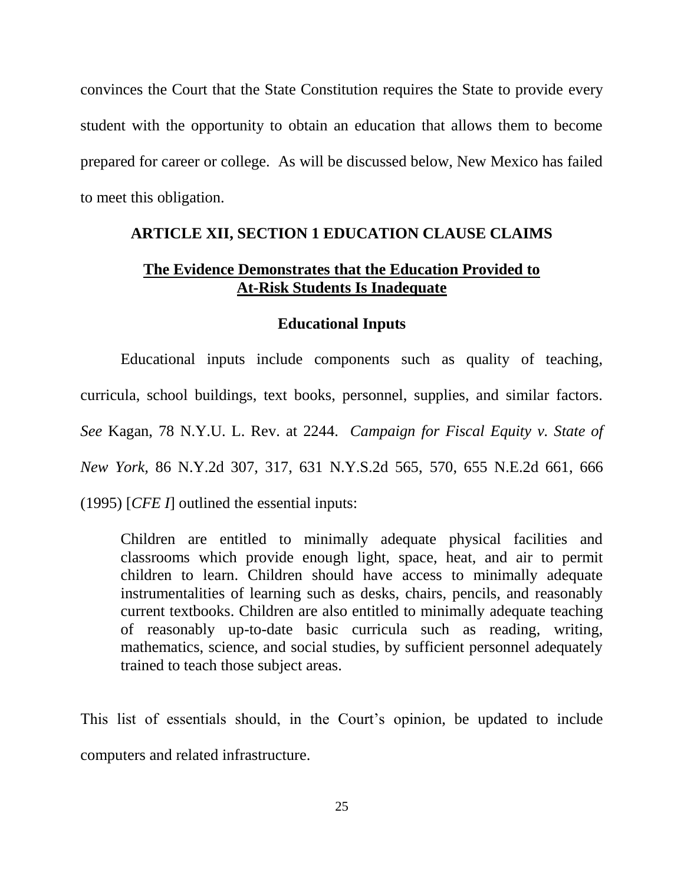convinces the Court that the State Constitution requires the State to provide every student with the opportunity to obtain an education that allows them to become prepared for career or college. As will be discussed below, New Mexico has failed to meet this obligation.

#### **ARTICLE XII, SECTION 1 EDUCATION CLAUSE CLAIMS**

#### **The Evidence Demonstrates that the Education Provided to At-Risk Students Is Inadequate**

#### **Educational Inputs**

Educational inputs include components such as quality of teaching, curricula, school buildings, text books, personnel, supplies, and similar factors. *See* Kagan, 78 N.Y.U. L. Rev. at 2244. *Campaign for Fiscal Equity [v. State of](http://www.westlaw.com/Link/Document/FullText?findType=Y&serNum=1995129032&pubNum=578&originatingDoc=I29780024d9f711d9bf60c1d57ebc853e&refType=RP&originationContext=document&vr=3.0&rs=cblt1.0&transitionType=DocumentItem&contextData=(sc.DocLink))  New York,* [86 N.Y.2d 307, 317, 631 N.Y.S.2d 565,](http://www.westlaw.com/Link/Document/FullText?findType=Y&serNum=1995129032&pubNum=578&originatingDoc=I29780024d9f711d9bf60c1d57ebc853e&refType=RP&originationContext=document&vr=3.0&rs=cblt1.0&transitionType=DocumentItem&contextData=(sc.DocLink)) 570, 655 N.E.2d 661, 666 [\(1995\)](http://www.westlaw.com/Link/Document/FullText?findType=Y&serNum=1995129032&pubNum=578&originatingDoc=I29780024d9f711d9bf60c1d57ebc853e&refType=RP&originationContext=document&vr=3.0&rs=cblt1.0&transitionType=DocumentItem&contextData=(sc.DocLink)) [*[CFE](http://www.westlaw.com/Link/Document/FullText?findType=Y&serNum=1995129032&originatingDoc=I29780024d9f711d9bf60c1d57ebc853e&refType=RP&originationContext=document&vr=3.0&rs=cblt1.0&transitionType=DocumentItem&contextData=(sc.DocLink)) I*] outlined the essential inputs:

Children are entitled to minimally adequate physical facilities and classrooms which provide enough light, space, heat, and air to permit children to learn. Children should have access to minimally adequate instrumentalities of learning such as desks, chairs, pencils, and reasonably current textbooks. Children are also entitled to minimally adequate teaching of reasonably up-to-date basic curricula such as reading, writing, mathematics, science, and social studies, by sufficient personnel adequately trained to teach those subject areas.

This list of essentials should, in the Court's opinion, be updated to include computers and related infrastructure.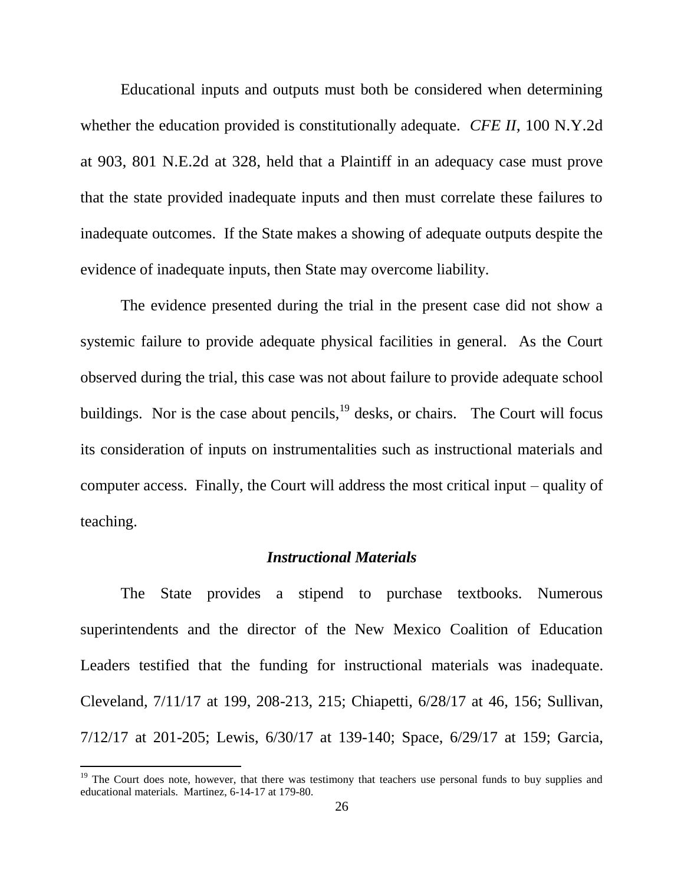Educational inputs and outputs must both be considered when determining whether the education provided is constitutionally adequate. *CFE II*, 100 N.Y.2d at 903, 801 N.E.2d at 328, held that a Plaintiff in an adequacy case must prove that the state provided inadequate inputs and then must correlate these failures to inadequate outcomes. If the State makes a showing of adequate outputs despite the evidence of inadequate inputs, then State may overcome liability.

The evidence presented during the trial in the present case did not show a systemic failure to provide adequate physical facilities in general. As the Court observed during the trial, this case was not about failure to provide adequate school buildings. Nor is the case about pencils,  $19$  desks, or chairs. The Court will focus its consideration of inputs on instrumentalities such as instructional materials and computer access. Finally, the Court will address the most critical input – quality of teaching.

#### *Instructional Materials*

The State provides a stipend to purchase textbooks. Numerous superintendents and the director of the New Mexico Coalition of Education Leaders testified that the funding for instructional materials was inadequate. Cleveland, 7/11/17 at 199, 208-213, 215; Chiapetti, 6/28/17 at 46, 156; Sullivan, 7/12/17 at 201-205; Lewis, 6/30/17 at 139-140; Space, 6/29/17 at 159; Garcia,

 $19$  The Court does note, however, that there was testimony that teachers use personal funds to buy supplies and educational materials. Martinez, 6-14-17 at 179-80.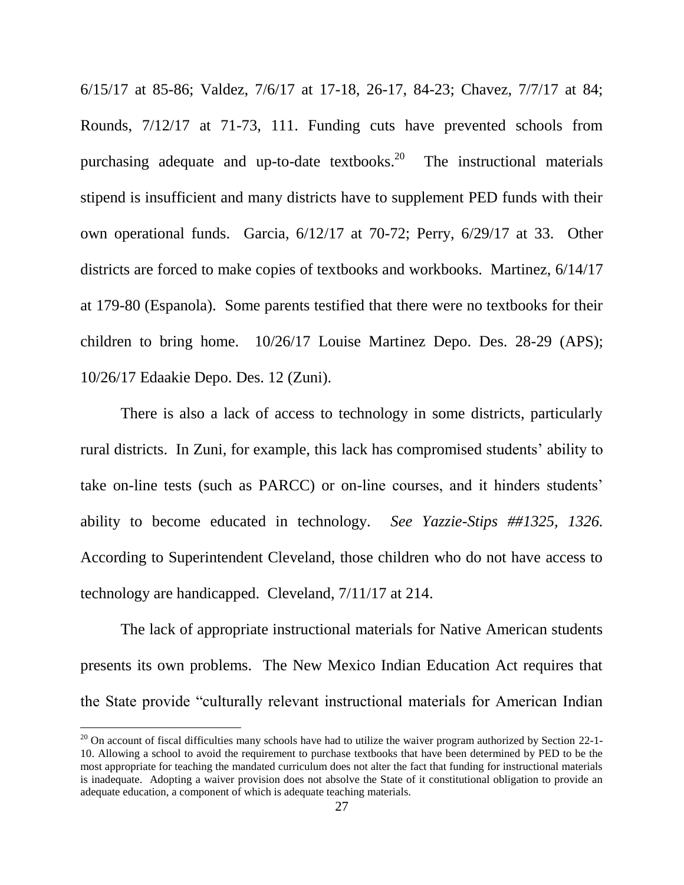6/15/17 at 85-86; Valdez, 7/6/17 at 17-18, 26-17, 84-23; Chavez, 7/7/17 at 84; Rounds, 7/12/17 at 71-73, 111. Funding cuts have prevented schools from purchasing adequate and up-to-date textbooks.<sup>20</sup> The instructional materials stipend is insufficient and many districts have to supplement PED funds with their own operational funds. Garcia, 6/12/17 at 70-72; Perry, 6/29/17 at 33. Other districts are forced to make copies of textbooks and workbooks. Martinez, 6/14/17 at 179-80 (Espanola). Some parents testified that there were no textbooks for their children to bring home. 10/26/17 Louise Martinez Depo. Des. 28-29 (APS); 10/26/17 Edaakie Depo. Des. 12 (Zuni).

There is also a lack of access to technology in some districts, particularly rural districts. In Zuni, for example, this lack has compromised students' ability to take on-line tests (such as PARCC) or on-line courses, and it hinders students' ability to become educated in technology. *See Yazzie-Stips ##1325, 1326.* According to Superintendent Cleveland, those children who do not have access to technology are handicapped. Cleveland, 7/11/17 at 214.

The lack of appropriate instructional materials for Native American students presents its own problems. The New Mexico Indian Education Act requires that the State provide "culturally relevant instructional materials for American Indian

 $20$  On account of fiscal difficulties many schools have had to utilize the waiver program authorized by Section 22-1-10. Allowing a school to avoid the requirement to purchase textbooks that have been determined by PED to be the most appropriate for teaching the mandated curriculum does not alter the fact that funding for instructional materials is inadequate. Adopting a waiver provision does not absolve the State of it constitutional obligation to provide an adequate education, a component of which is adequate teaching materials.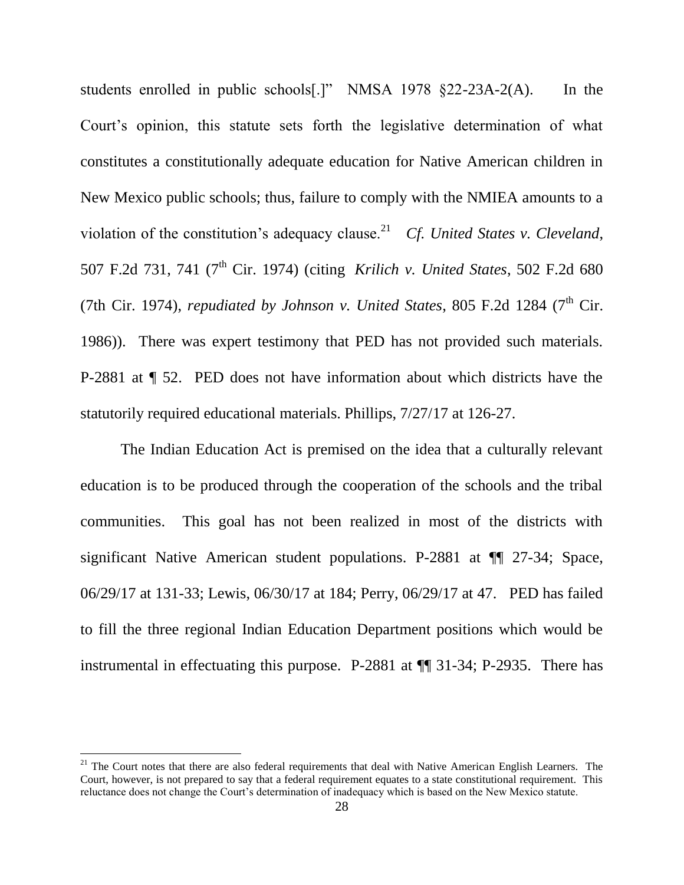students enrolled in public schools[.]" NMSA 1978  $\S22$ -23A-2(A). In the Court's opinion, this statute sets forth the legislative determination of what constitutes a constitutionally adequate education for Native American children in New Mexico public schools; thus, failure to comply with the NMIEA amounts to a violation of the constitution's adequacy clause.<sup>21</sup> *Cf. United States v. Cleveland*, 507 F.2d 731, 741 (7th Cir. 1974) (citing *[Krilich v. United States](https://1.next.westlaw.com/Link/Document/FullText?findType=Y&serNum=1974111869&pubNum=350&originatingDoc=I763c24d8906511d993e6d35cc61aab4a&refType=RP&originationContext=document&transitionType=DocumentItem&contextData=(sc.Search))*, 502 F.2d 680 [\(7th Cir. 1974\),](https://1.next.westlaw.com/Link/Document/FullText?findType=Y&serNum=1974111869&pubNum=350&originatingDoc=I763c24d8906511d993e6d35cc61aab4a&refType=RP&originationContext=document&transitionType=DocumentItem&contextData=(sc.Search)) *repudiated by Johnson v. United States*, 805 F.2d 1284 (7<sup>th</sup> Cir. 1986)). There was expert testimony that PED has not provided such materials. P-2881 at ¶ 52. PED does not have information about which districts have the statutorily required educational materials. Phillips, 7/27/17 at 126-27.

The Indian Education Act is premised on the idea that a culturally relevant education is to be produced through the cooperation of the schools and the tribal communities. This goal has not been realized in most of the districts with significant Native American student populations. P-2881 at ¶¶ 27-34; Space, 06/29/17 at 131-33; Lewis, 06/30/17 at 184; Perry, 06/29/17 at 47. PED has failed to fill the three regional Indian Education Department positions which would be instrumental in effectuating this purpose. P-2881 at ¶¶ 31-34; P-2935. There has

 $21$  The Court notes that there are also federal requirements that deal with Native American English Learners. The Court, however, is not prepared to say that a federal requirement equates to a state constitutional requirement. This reluctance does not change the Court's determination of inadequacy which is based on the New Mexico statute.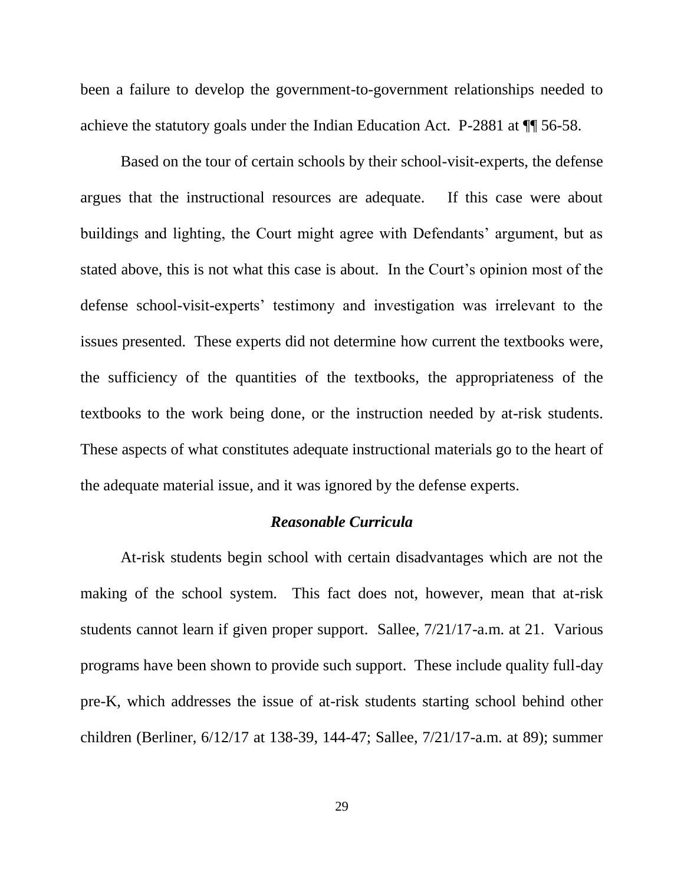been a failure to develop the government-to-government relationships needed to achieve the statutory goals under the Indian Education Act. P-2881 at ¶¶ 56-58.

Based on the tour of certain schools by their school-visit-experts, the defense argues that the instructional resources are adequate. If this case were about buildings and lighting, the Court might agree with Defendants' argument, but as stated above, this is not what this case is about. In the Court's opinion most of the defense school-visit-experts' testimony and investigation was irrelevant to the issues presented. These experts did not determine how current the textbooks were, the sufficiency of the quantities of the textbooks, the appropriateness of the textbooks to the work being done, or the instruction needed by at-risk students. These aspects of what constitutes adequate instructional materials go to the heart of the adequate material issue, and it was ignored by the defense experts.

#### *Reasonable Curricula*

At-risk students begin school with certain disadvantages which are not the making of the school system. This fact does not, however, mean that at-risk students cannot learn if given proper support. Sallee, 7/21/17-a.m. at 21. Various programs have been shown to provide such support. These include quality full-day pre-K, which addresses the issue of at-risk students starting school behind other children (Berliner, 6/12/17 at 138-39, 144-47; Sallee, 7/21/17-a.m. at 89); summer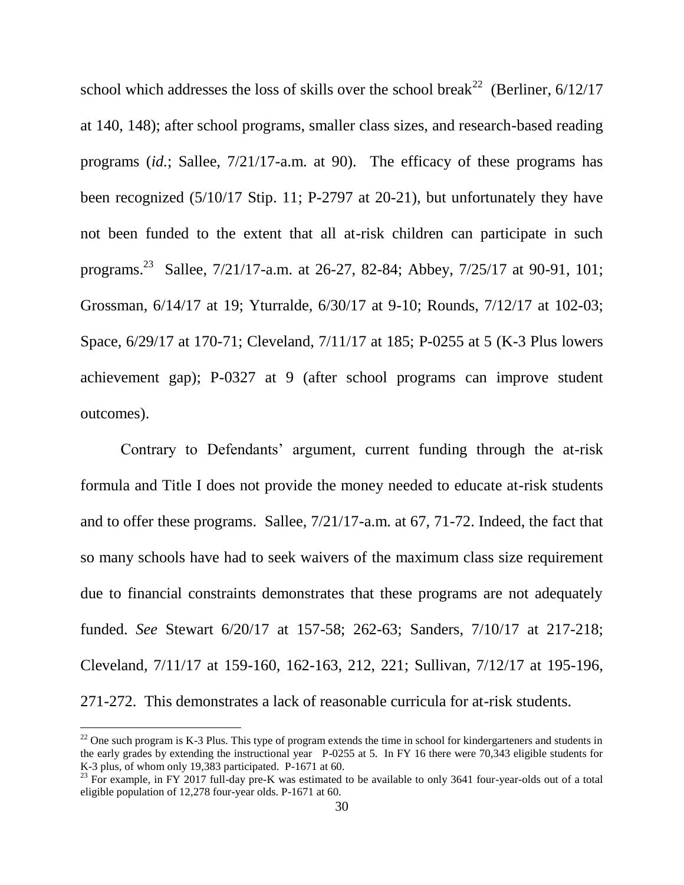school which addresses the loss of skills over the school break<sup>22</sup> (Berliner,  $6/12/17$ at 140, 148); after school programs, smaller class sizes, and research-based reading programs (*id.*; Sallee, 7/21/17-a.m. at 90). The efficacy of these programs has been recognized (5/10/17 Stip. 11; P-2797 at 20-21), but unfortunately they have not been funded to the extent that all at-risk children can participate in such programs.<sup>23</sup> Sallee, 7/21/17-a.m. at 26-27, 82-84; Abbey, 7/25/17 at 90-91, 101; Grossman, 6/14/17 at 19; Yturralde, 6/30/17 at 9-10; Rounds, 7/12/17 at 102-03; Space, 6/29/17 at 170-71; Cleveland, 7/11/17 at 185; P-0255 at 5 (K-3 Plus lowers achievement gap); P-0327 at 9 (after school programs can improve student outcomes).

Contrary to Defendants' argument, current funding through the at-risk formula and Title I does not provide the money needed to educate at-risk students and to offer these programs. Sallee, 7/21/17-a.m. at 67, 71-72. Indeed, the fact that so many schools have had to seek waivers of the maximum class size requirement due to financial constraints demonstrates that these programs are not adequately funded. *See* Stewart 6/20/17 at 157-58; 262-63; Sanders, 7/10/17 at 217-218; Cleveland, 7/11/17 at 159-160, 162-163, 212, 221; Sullivan, 7/12/17 at 195-196, 271-272. This demonstrates a lack of reasonable curricula for at-risk students.

 $^{22}$  One such program is K-3 Plus. This type of program extends the time in school for kindergarteners and students in the early grades by extending the instructional year P-0255 at 5. In FY 16 there were 70,343 eligible students for K-3 plus, of whom only 19,383 participated. P-1671 at 60.

 $^{23}$  For example, in FY 2017 full-day pre-K was estimated to be available to only 3641 four-year-olds out of a total eligible population of 12,278 four-year olds. P-1671 at 60.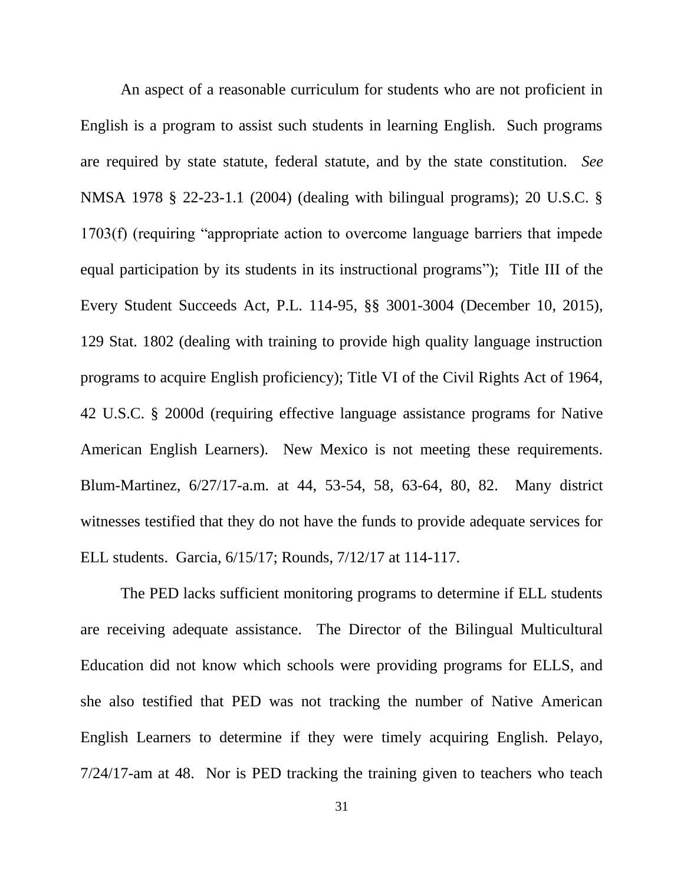An aspect of a reasonable curriculum for students who are not proficient in English is a program to assist such students in learning English. Such programs are required by state statute, federal statute, and by the state constitution. *See* NMSA 1978 § 22-23-1.1 (2004) (dealing with bilingual programs); 20 U.S.C. §  $1703(f)$  (requiring "appropriate action to overcome language barriers that impede equal participation by its students in its instructional programs"); Title III of the Every Student Succeeds Act, P.L. 114-95, §§ 3001-3004 (December 10, 2015), 129 Stat. 1802 (dealing with training to provide high quality language instruction programs to acquire English proficiency); Title VI of the Civil Rights Act of 1964, 42 U.S.C. § 2000d (requiring effective language assistance programs for Native American English Learners). New Mexico is not meeting these requirements. Blum-Martinez, 6/27/17-a.m. at 44, 53-54, 58, 63-64, 80, 82. Many district witnesses testified that they do not have the funds to provide adequate services for ELL students. Garcia, 6/15/17; Rounds, 7/12/17 at 114-117.

The PED lacks sufficient monitoring programs to determine if ELL students are receiving adequate assistance. The Director of the Bilingual Multicultural Education did not know which schools were providing programs for ELLS, and she also testified that PED was not tracking the number of Native American English Learners to determine if they were timely acquiring English. Pelayo, 7/24/17-am at 48. Nor is PED tracking the training given to teachers who teach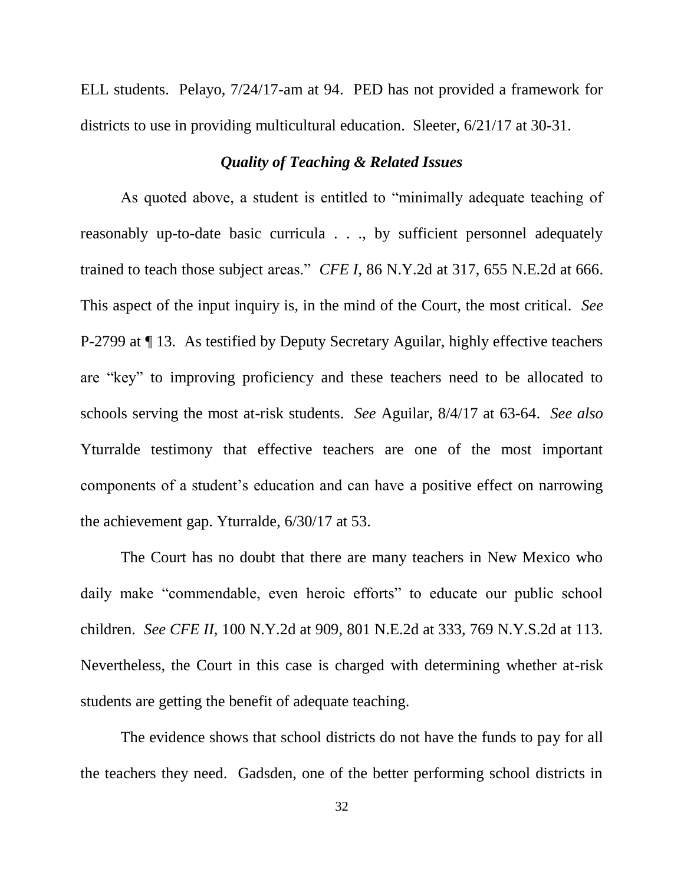ELL students. Pelayo, 7/24/17-am at 94. PED has not provided a framework for districts to use in providing multicultural education. Sleeter, 6/21/17 at 30-31.

## *Quality of Teaching & Related Issues*

As quoted above, a student is entitled to "minimally adequate teaching of reasonably up-to-date basic curricula . . ., by sufficient personnel adequately trained to teach those subject areas." *CFE I*, 86 N.Y.2d at 317, 655 N.E.2d at 666. This aspect of the input inquiry is, in the mind of the Court, the most critical. *See* P-2799 at ¶ 13. As testified by Deputy Secretary Aguilar, highly effective teachers are "key" to improving proficiency and these teachers need to be allocated to schools serving the most at-risk students. *See* Aguilar, 8/4/17 at 63-64. *See also*  Yturralde testimony that effective teachers are one of the most important components of a student's education and can have a positive effect on narrowing the achievement gap. Yturralde, 6/30/17 at 53.

The Court has no doubt that there are many teachers in New Mexico who daily make "commendable, even heroic efforts" to educate our public school children. *See CFE II*, 100 N.Y.2d at 909, 801 N.E.2d at 333, 769 N.Y.S.2d at 113. Nevertheless, the Court in this case is charged with determining whether at-risk students are getting the benefit of adequate teaching.

The evidence shows that school districts do not have the funds to pay for all the teachers they need. Gadsden, one of the better performing school districts in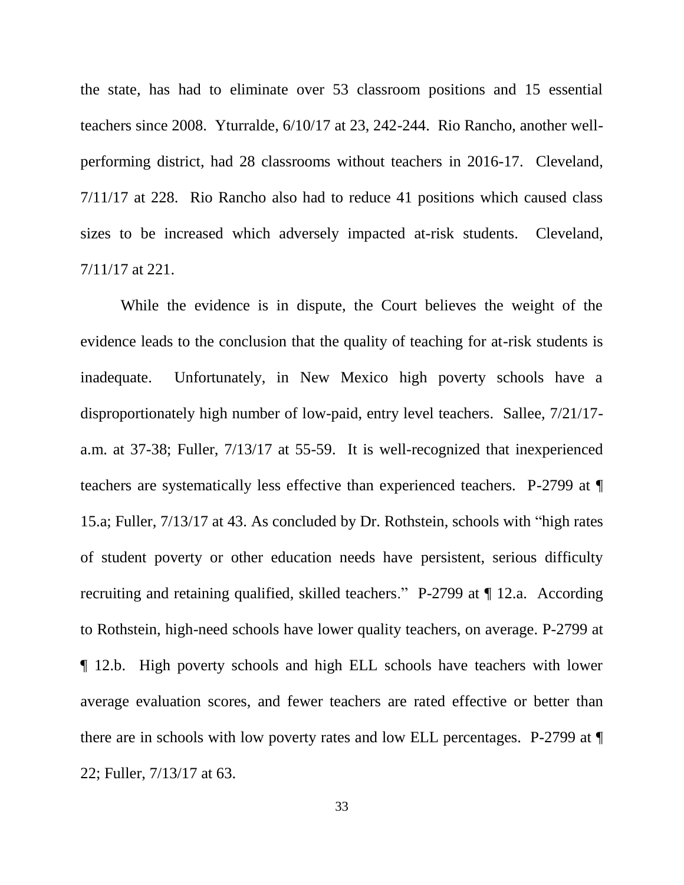the state, has had to eliminate over 53 classroom positions and 15 essential teachers since 2008. Yturralde, 6/10/17 at 23, 242-244. Rio Rancho, another wellperforming district, had 28 classrooms without teachers in 2016-17. Cleveland, 7/11/17 at 228. Rio Rancho also had to reduce 41 positions which caused class sizes to be increased which adversely impacted at-risk students. Cleveland, 7/11/17 at 221.

While the evidence is in dispute, the Court believes the weight of the evidence leads to the conclusion that the quality of teaching for at-risk students is inadequate. Unfortunately, in New Mexico high poverty schools have a disproportionately high number of low-paid, entry level teachers. Sallee, 7/21/17 a.m. at 37-38; Fuller, 7/13/17 at 55-59. It is well-recognized that inexperienced teachers are systematically less effective than experienced teachers. P-2799 at ¶ 15.a; Fuller,  $7/13/17$  at 43. As concluded by Dr. Rothstein, schools with "high rates" of student poverty or other education needs have persistent, serious difficulty recruiting and retaining qualified, skilled teachers." P-2799 at ¶ 12.a. According to Rothstein, high-need schools have lower quality teachers, on average. P-2799 at ¶ 12.b. High poverty schools and high ELL schools have teachers with lower average evaluation scores, and fewer teachers are rated effective or better than there are in schools with low poverty rates and low ELL percentages. P-2799 at ¶ 22; Fuller, 7/13/17 at 63.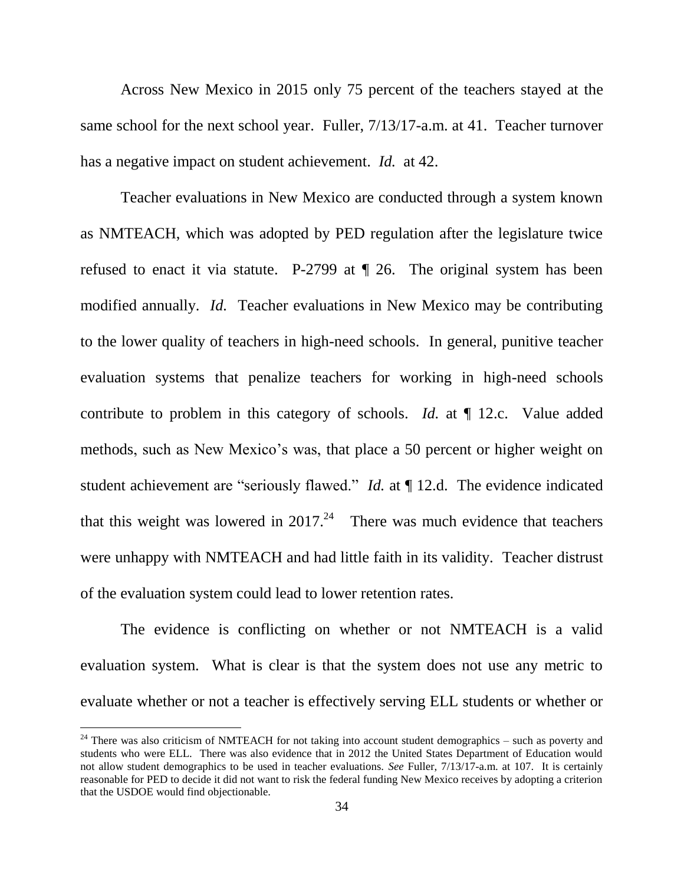Across New Mexico in 2015 only 75 percent of the teachers stayed at the same school for the next school year. Fuller, 7/13/17-a.m. at 41. Teacher turnover has a negative impact on student achievement. *Id.* at 42.

Teacher evaluations in New Mexico are conducted through a system known as NMTEACH, which was adopted by PED regulation after the legislature twice refused to enact it via statute. P-2799 at ¶ 26. The original system has been modified annually. *Id.* Teacher evaluations in New Mexico may be contributing to the lower quality of teachers in high-need schools. In general, punitive teacher evaluation systems that penalize teachers for working in high-need schools contribute to problem in this category of schools. *Id.* at ¶ 12.c. Value added methods, such as New Mexico's was, that place a 50 percent or higher weight on student achievement are "seriously flawed." *Id.* at  $\P$  12.d. The evidence indicated that this weight was lowered in  $2017<sup>24</sup>$  There was much evidence that teachers were unhappy with NMTEACH and had little faith in its validity. Teacher distrust of the evaluation system could lead to lower retention rates.

The evidence is conflicting on whether or not NMTEACH is a valid evaluation system. What is clear is that the system does not use any metric to evaluate whether or not a teacher is effectively serving ELL students or whether or

<sup>&</sup>lt;sup>24</sup> There was also criticism of NMTEACH for not taking into account student demographics – such as poverty and students who were ELL. There was also evidence that in 2012 the United States Department of Education would not allow student demographics to be used in teacher evaluations. *See* Fuller, 7/13/17-a.m. at 107. It is certainly reasonable for PED to decide it did not want to risk the federal funding New Mexico receives by adopting a criterion that the USDOE would find objectionable.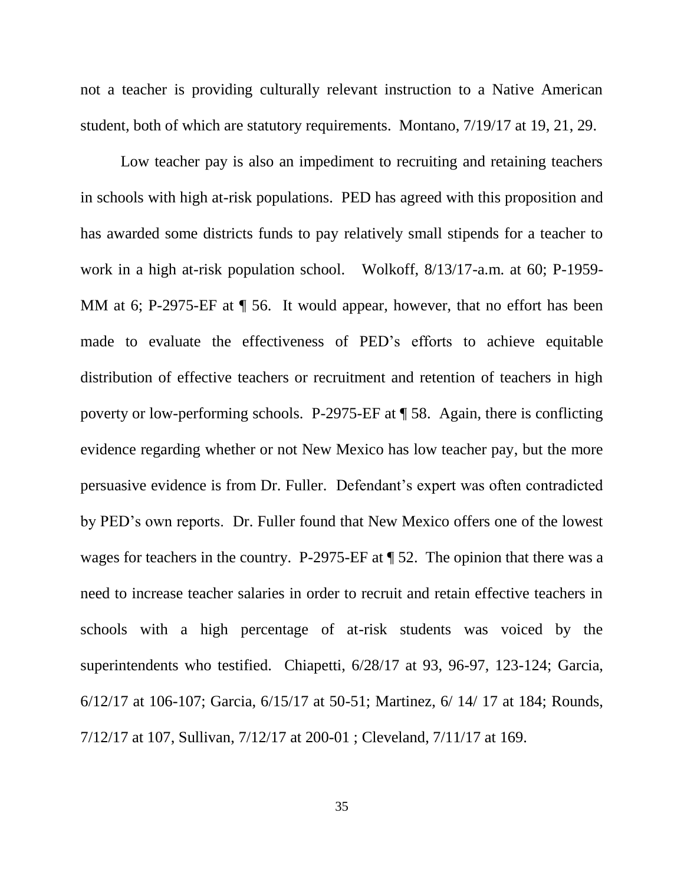not a teacher is providing culturally relevant instruction to a Native American student, both of which are statutory requirements. Montano, 7/19/17 at 19, 21, 29.

Low teacher pay is also an impediment to recruiting and retaining teachers in schools with high at-risk populations. PED has agreed with this proposition and has awarded some districts funds to pay relatively small stipends for a teacher to work in a high at-risk population school. Wolkoff, 8/13/17-a.m. at 60; P-1959- MM at 6; P-2975-EF at  $\P$  56. It would appear, however, that no effort has been made to evaluate the effectiveness of PED's efforts to achieve equitable distribution of effective teachers or recruitment and retention of teachers in high poverty or low-performing schools. P-2975-EF at ¶ 58. Again, there is conflicting evidence regarding whether or not New Mexico has low teacher pay, but the more persuasive evidence is from Dr. Fuller. Defendant's expert was often contradicted by PED's own reports. Dr. Fuller found that New Mexico offers one of the lowest wages for teachers in the country. P-2975-EF at ¶ 52. The opinion that there was a need to increase teacher salaries in order to recruit and retain effective teachers in schools with a high percentage of at-risk students was voiced by the superintendents who testified. Chiapetti, 6/28/17 at 93, 96-97, 123-124; Garcia, 6/12/17 at 106-107; Garcia, 6/15/17 at 50-51; Martinez, 6/ 14/ 17 at 184; Rounds, 7/12/17 at 107, Sullivan, 7/12/17 at 200-01 ; Cleveland, 7/11/17 at 169.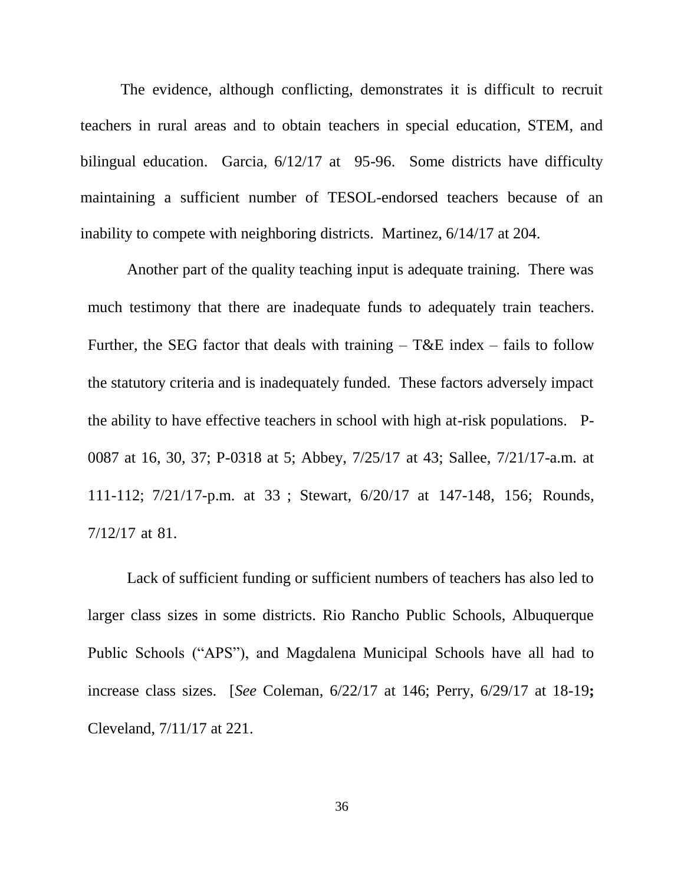The evidence, although conflicting, demonstrates it is difficult to recruit teachers in rural areas and to obtain teachers in special education, STEM, and bilingual education. Garcia, 6/12/17 at 95-96. Some districts have difficulty maintaining a sufficient number of TESOL-endorsed teachers because of an inability to compete with neighboring districts. Martinez, 6/14/17 at 204.

Another part of the quality teaching input is adequate training. There was much testimony that there are inadequate funds to adequately train teachers. Further, the SEG factor that deals with training  $-$  T&E index  $-$  fails to follow the statutory criteria and is inadequately funded. These factors adversely impact the ability to have effective teachers in school with high at-risk populations. P-0087 at 16, 30, 37; P-0318 at 5; Abbey, 7/25/17 at 43; Sallee, 7/21/17-a.m. at 111-112; 7/21/17-p.m. at 33 ; Stewart, 6/20/17 at 147-148, 156; Rounds, 7/12/17 at 81.

Lack of sufficient funding or sufficient numbers of teachers has also led to larger class sizes in some districts. Rio Rancho Public Schools, Albuquerque Public Schools ("APS"), and Magdalena Municipal Schools have all had to increase class sizes. [*See* Coleman, 6/22/17 at 146; Perry, 6/29/17 at 18-19**;** Cleveland, 7/11/17 at 221.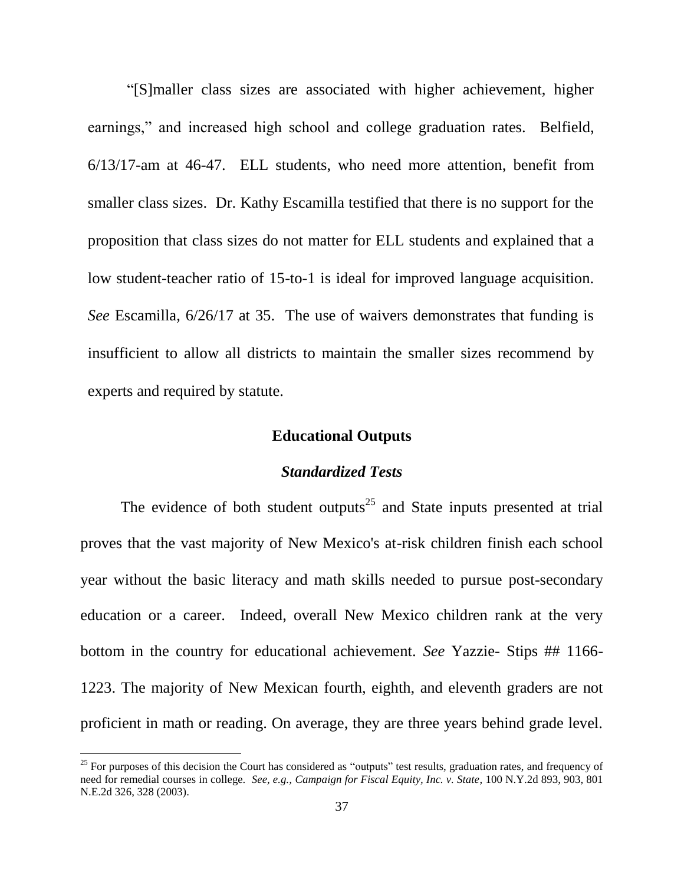―[S]maller class sizes are associated with higher achievement, higher earnings," and increased high school and college graduation rates. Belfield, 6/13/17-am at 46-47. ELL students, who need more attention, benefit from smaller class sizes. Dr. Kathy Escamilla testified that there is no support for the proposition that class sizes do not matter for ELL students and explained that a low student-teacher ratio of 15-to-1 is ideal for improved language acquisition. *See* Escamilla, 6/26/17 at 35. The use of waivers demonstrates that funding is insufficient to allow all districts to maintain the smaller sizes recommend by experts and required by statute.

#### **Educational Outputs**

## *Standardized Tests*

The evidence of both student outputs<sup>25</sup> and State inputs presented at trial proves that the vast majority of New Mexico's at-risk children finish each school year without the basic literacy and math skills needed to pursue post-secondary education or a career. Indeed, overall New Mexico children rank at the very bottom in the country for educational achievement. *See* Yazzie- Stips ## 1166- 1223. The majority of New Mexican fourth, eighth, and eleventh graders are not proficient in math or reading. On average, they are three years behind grade level.

<sup>&</sup>lt;sup>25</sup> For purposes of this decision the Court has considered as "outputs" test results, graduation rates, and frequency of need for remedial courses in college. *See, e.g., Campaign for Fiscal Equity, Inc. v. State*, 100 N.Y.2d 893, 903, 801 N.E.2d 326, 328 (2003).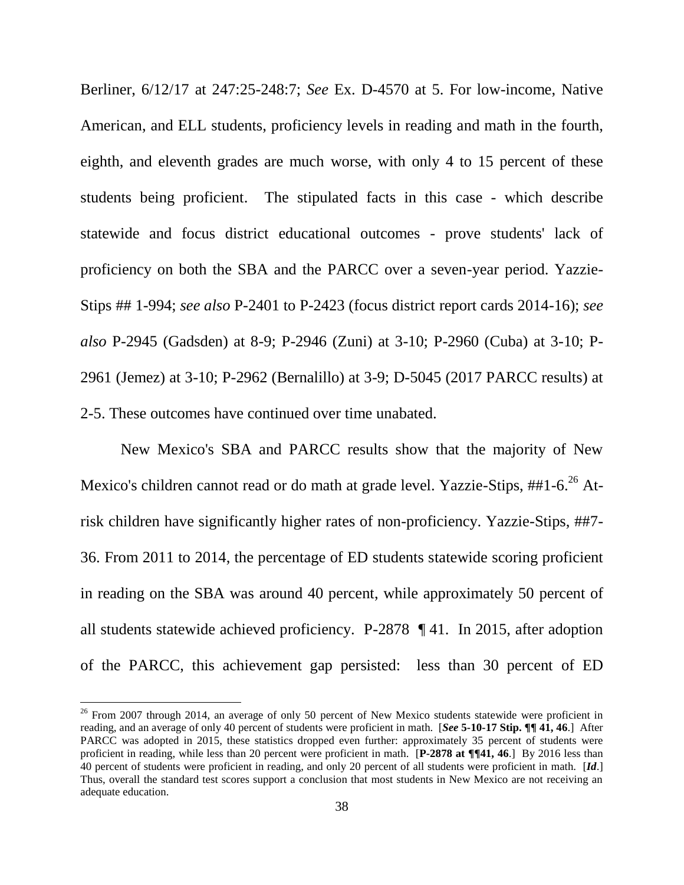Berliner, 6/12/17 at 247:25-248:7; *See* Ex. D-4570 at 5. For low-income, Native American, and ELL students, proficiency levels in reading and math in the fourth, eighth, and eleventh grades are much worse, with only 4 to 15 percent of these students being proficient. The stipulated facts in this case - which describe statewide and focus district educational outcomes - prove students' lack of proficiency on both the SBA and the PARCC over a seven-year period. Yazzie-Stips ## 1-994; *see also* P-2401 to P-2423 (focus district report cards 2014-16); *see also* P-2945 (Gadsden) at 8-9; P-2946 (Zuni) at 3-10; P-2960 (Cuba) at 3-10; P-2961 (Jemez) at 3-10; P-2962 (Bernalillo) at 3-9; D-5045 (2017 PARCC results) at 2-5. These outcomes have continued over time unabated.

New Mexico's SBA and PARCC results show that the majority of New Mexico's children cannot read or do math at grade level. Yazzie-Stips, ##1-6.<sup>26</sup> Atrisk children have significantly higher rates of non-proficiency. Yazzie-Stips, ##7- 36. From 2011 to 2014, the percentage of ED students statewide scoring proficient in reading on the SBA was around 40 percent, while approximately 50 percent of all students statewide achieved proficiency. P-2878 ¶ 41. In 2015, after adoption of the PARCC, this achievement gap persisted: less than 30 percent of ED

 $26$  From 2007 through 2014, an average of only 50 percent of New Mexico students statewide were proficient in reading, and an average of only 40 percent of students were proficient in math. [*See* **5-10-17 Stip. ¶¶ 41, 46**.] After PARCC was adopted in 2015, these statistics dropped even further: approximately 35 percent of students were proficient in reading, while less than 20 percent were proficient in math. [**P-2878 at ¶¶41, 46**.] By 2016 less than 40 percent of students were proficient in reading, and only 20 percent of all students were proficient in math. [*Id*.] Thus, overall the standard test scores support a conclusion that most students in New Mexico are not receiving an adequate education.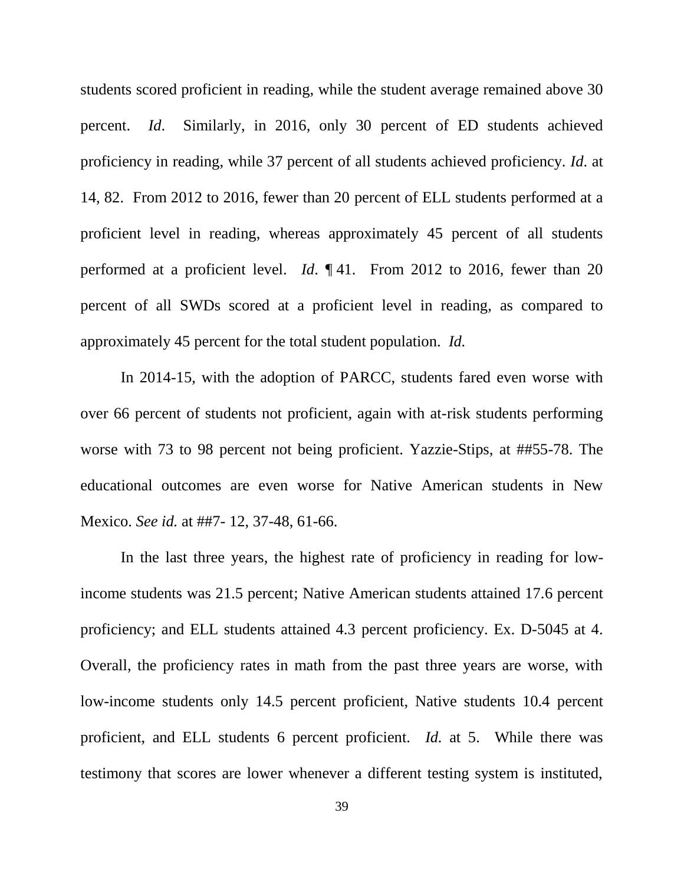students scored proficient in reading, while the student average remained above 30 percent. *Id*. Similarly, in 2016, only 30 percent of ED students achieved proficiency in reading, while 37 percent of all students achieved proficiency. *Id*. at 14, 82. From 2012 to 2016, fewer than 20 percent of ELL students performed at a proficient level in reading, whereas approximately 45 percent of all students performed at a proficient level. *Id*. ¶ 41. From 2012 to 2016, fewer than 20 percent of all SWDs scored at a proficient level in reading, as compared to approximately 45 percent for the total student population. *Id.*

In 2014-15, with the adoption of PARCC, students fared even worse with over 66 percent of students not proficient, again with at-risk students performing worse with 73 to 98 percent not being proficient. Yazzie-Stips, at ##55-78. The educational outcomes are even worse for Native American students in New Mexico. *See id.* at ##7- 12, 37-48, 61-66.

In the last three years, the highest rate of proficiency in reading for lowincome students was 21.5 percent; Native American students attained 17.6 percent proficiency; and ELL students attained 4.3 percent proficiency. Ex. D-5045 at 4. Overall, the proficiency rates in math from the past three years are worse, with low-income students only 14.5 percent proficient, Native students 10.4 percent proficient, and ELL students 6 percent proficient. *Id.* at 5. While there was testimony that scores are lower whenever a different testing system is instituted,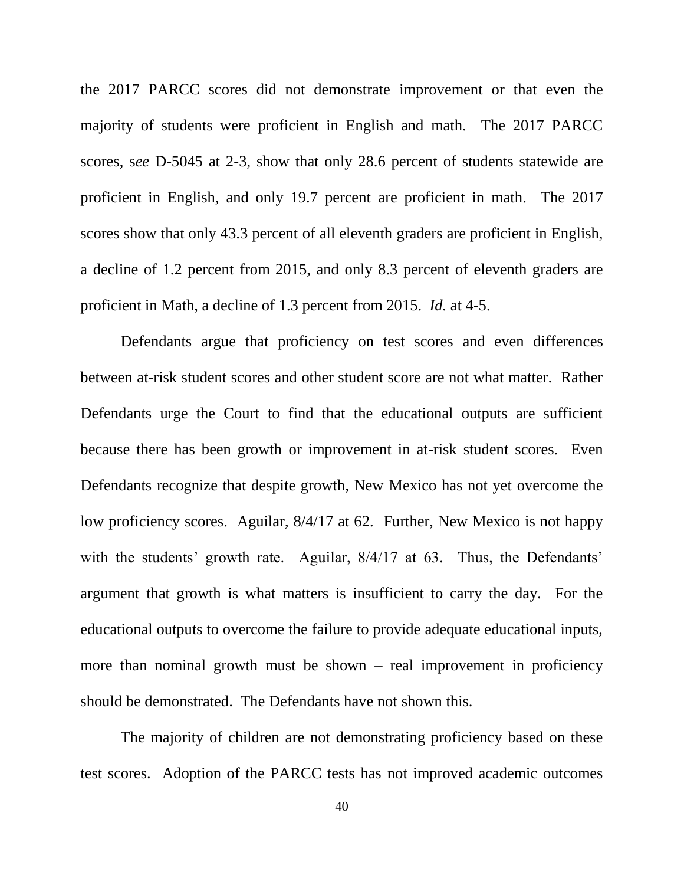the 2017 PARCC scores did not demonstrate improvement or that even the majority of students were proficient in English and math. The 2017 PARCC scores, s*ee* D-5045 at 2-3, show that only 28.6 percent of students statewide are proficient in English, and only 19.7 percent are proficient in math. The 2017 scores show that only 43.3 percent of all eleventh graders are proficient in English, a decline of 1.2 percent from 2015, and only 8.3 percent of eleventh graders are proficient in Math, a decline of 1.3 percent from 2015. *Id.* at 4-5.

Defendants argue that proficiency on test scores and even differences between at-risk student scores and other student score are not what matter. Rather Defendants urge the Court to find that the educational outputs are sufficient because there has been growth or improvement in at-risk student scores. Even Defendants recognize that despite growth, New Mexico has not yet overcome the low proficiency scores. Aguilar, 8/4/17 at 62. Further, New Mexico is not happy with the students' growth rate. Aguilar,  $8/4/17$  at 63. Thus, the Defendants' argument that growth is what matters is insufficient to carry the day. For the educational outputs to overcome the failure to provide adequate educational inputs, more than nominal growth must be shown  $-$  real improvement in proficiency should be demonstrated. The Defendants have not shown this.

The majority of children are not demonstrating proficiency based on these test scores. Adoption of the PARCC tests has not improved academic outcomes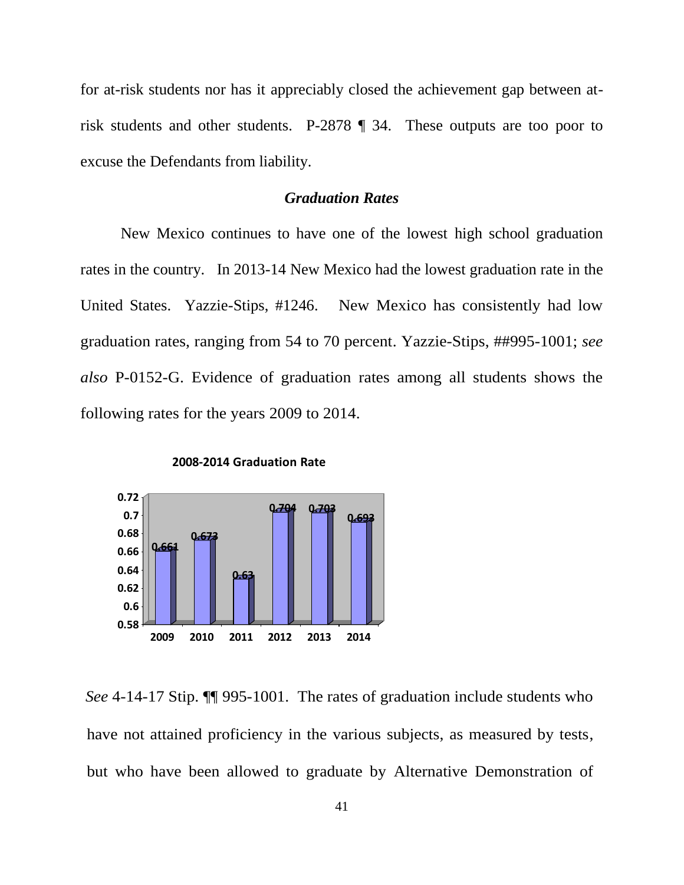for at-risk students nor has it appreciably closed the achievement gap between atrisk students and other students. P-2878 ¶ 34. These outputs are too poor to excuse the Defendants from liability.

# *Graduation Rates*

New Mexico continues to have one of the lowest high school graduation rates in the country. In 2013-14 New Mexico had the lowest graduation rate in the United States. Yazzie-Stips, #1246. New Mexico has consistently had low graduation rates, ranging from 54 to 70 percent. Yazzie-Stips, ##995-1001; *see also* P-0152-G. Evidence of graduation rates among all students shows the following rates for the years 2009 to 2014.



**2008-2014 Graduation Rate**

*See* 4-14-17 Stip. ¶¶ 995-1001. The rates of graduation include students who have not attained proficiency in the various subjects, as measured by tests, but who have been allowed to graduate by Alternative Demonstration of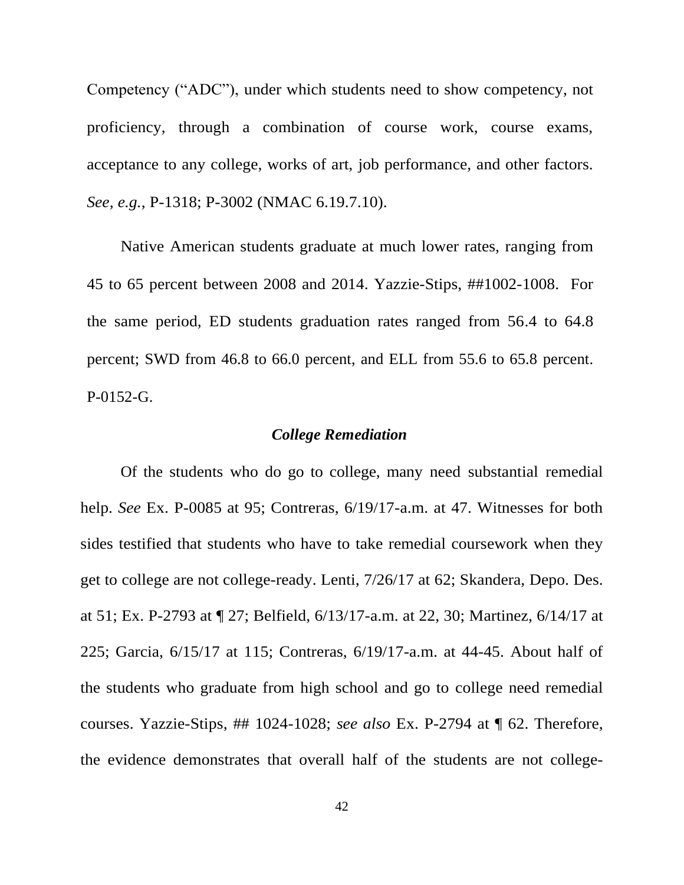Competency ("ADC"), under which students need to show competency, not proficiency, through a combination of course work, course exams, acceptance to any college, works of art, job performance, and other factors. *See, e.g.*, P-1318; P-3002 (NMAC 6.19.7.10).

Native American students graduate at much lower rates, ranging from 45 to 65 percent between 2008 and 2014. Yazzie-Stips, ##1002-1008. For the same period, ED students graduation rates ranged from 56.4 to 64.8 percent; SWD from 46.8 to 66.0 percent, and ELL from 55.6 to 65.8 percent. P-0152-G.

#### *College Remediation*

Of the students who do go to college, many need substantial remedial help. *See* Ex. P-0085 at 95; Contreras, 6/19/17-a.m. at 47. Witnesses for both sides testified that students who have to take remedial coursework when they get to college are not college-ready. Lenti, 7/26/17 at 62; Skandera, Depo. Des. at 51; Ex. P-2793 at ¶ 27; Belfield, 6/13/17-a.m. at 22, 30; Martinez, 6/14/17 at 225; Garcia, 6/15/17 at 115; Contreras, 6/19/17-a.m. at 44-45. About half of the students who graduate from high school and go to college need remedial courses. Yazzie-Stips, ## 1024-1028; *see also* Ex. P-2794 at ¶ 62. Therefore, the evidence demonstrates that overall half of the students are not college-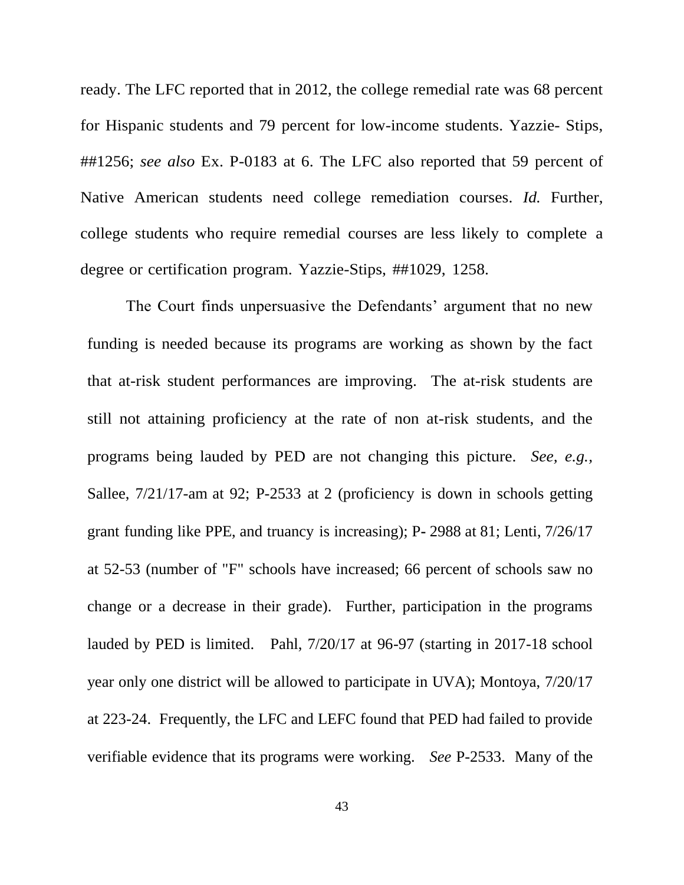ready. The LFC reported that in 2012, the college remedial rate was 68 percent for Hispanic students and 79 percent for low-income students. Yazzie- Stips, ##1256; *see also* Ex. P-0183 at 6. The LFC also reported that 59 percent of Native American students need college remediation courses. *Id.* Further, college students who require remedial courses are less likely to complete a degree or certification program. Yazzie-Stips, ##1029, 1258.

The Court finds unpersuasive the Defendants' argument that no new funding is needed because its programs are working as shown by the fact that at-risk student performances are improving. The at-risk students are still not attaining proficiency at the rate of non at-risk students, and the programs being lauded by PED are not changing this picture. *See, e.g.,* Sallee, 7/21/17-am at 92; P-2533 at 2 (proficiency is down in schools getting grant funding like PPE, and truancy is increasing); P**-** 2988 at 81; Lenti, 7/26/17 at 52-53 (number of "F" schools have increased; 66 percent of schools saw no change or a decrease in their grade). Further, participation in the programs lauded by PED is limited. Pahl, 7/20/17 at 96-97 (starting in 2017-18 school year only one district will be allowed to participate in UVA); Montoya, 7/20/17 at 223-24. Frequently, the LFC and LEFC found that PED had failed to provide verifiable evidence that its programs were working. *See* P-2533. Many of the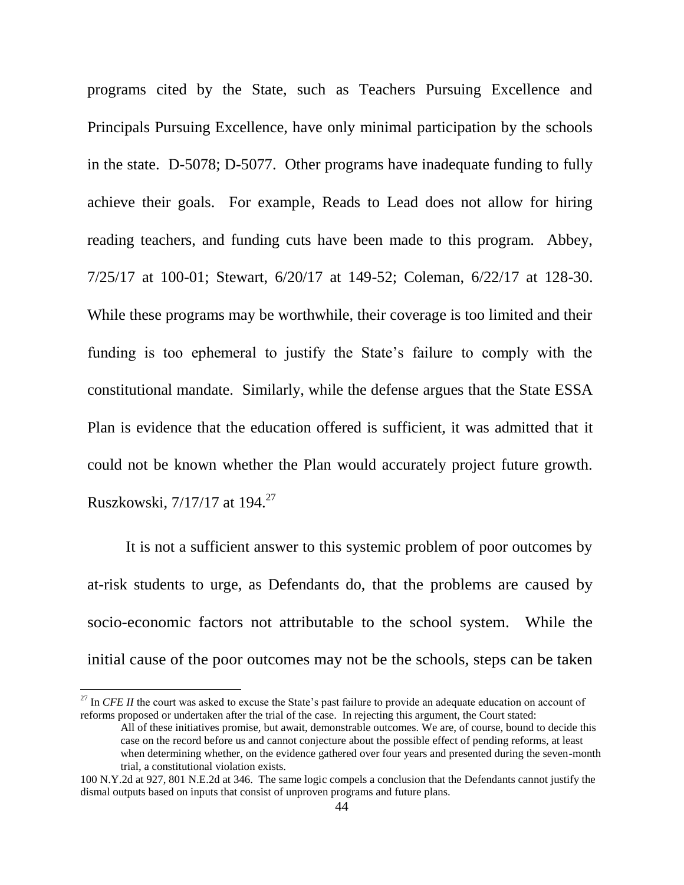programs cited by the State, such as Teachers Pursuing Excellence and Principals Pursuing Excellence, have only minimal participation by the schools in the state. D-5078; D-5077. Other programs have inadequate funding to fully achieve their goals. For example, Reads to Lead does not allow for hiring reading teachers, and funding cuts have been made to this program. Abbey, 7/25/17 at 100-01; Stewart, 6/20/17 at 149-52; Coleman, 6/22/17 at 128-30. While these programs may be worthwhile, their coverage is too limited and their funding is too ephemeral to justify the State's failure to comply with the constitutional mandate. Similarly, while the defense argues that the State ESSA Plan is evidence that the education offered is sufficient, it was admitted that it could not be known whether the Plan would accurately project future growth. Ruszkowski, 7/17/17 at 194.<sup>27</sup>

It is not a sufficient answer to this systemic problem of poor outcomes by at-risk students to urge, as Defendants do, that the problems are caused by socio-economic factors not attributable to the school system. While the initial cause of the poor outcomes may not be the schools, steps can be taken

<sup>&</sup>lt;sup>27</sup> In *CFE II* the court was asked to excuse the State's past failure to provide an adequate education on account of reforms proposed or undertaken after the trial of the case. In rejecting this argument, the Court stated:

All of these initiatives promise, but await, demonstrable outcomes. We are, of course, bound to decide this case on the record before us and cannot conjecture about the possible effect of pending reforms, at least when determining whether, on the evidence gathered over four years and presented during the seven-month trial, a constitutional violation exists.

<sup>100</sup> N.Y.2d at 927, 801 N.E.2d at 346. The same logic compels a conclusion that the Defendants cannot justify the dismal outputs based on inputs that consist of unproven programs and future plans.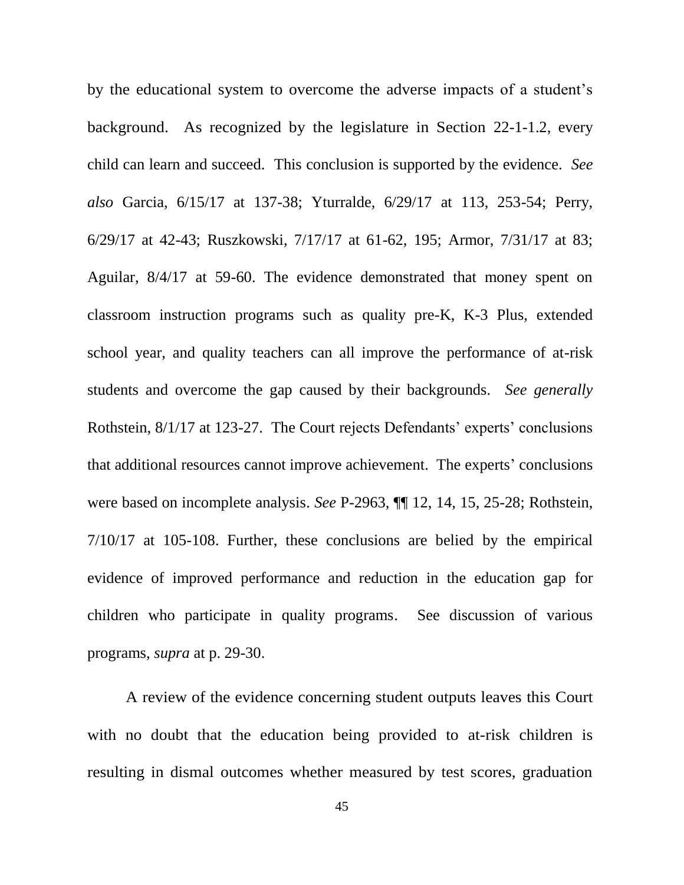by the educational system to overcome the adverse impacts of a student's background. As recognized by the legislature in Section 22-1-1.2, every child can learn and succeed. This conclusion is supported by the evidence. *See also* Garcia, 6/15/17 at 137-38; Yturralde, 6/29/17 at 113, 253-54; Perry, 6/29/17 at 42-43; Ruszkowski, 7/17/17 at 61-62, 195; Armor, 7/31/17 at 83; Aguilar, 8/4/17 at 59-60. The evidence demonstrated that money spent on classroom instruction programs such as quality pre-K, K-3 Plus, extended school year, and quality teachers can all improve the performance of at-risk students and overcome the gap caused by their backgrounds. *See generally*  Rothstein, 8/1/17 at 123-27. The Court rejects Defendants' experts' conclusions that additional resources cannot improve achievement. The experts' conclusions were based on incomplete analysis. *See* P-2963, ¶¶ 12, 14, 15, 25-28; Rothstein, 7/10/17 at 105-108. Further, these conclusions are belied by the empirical evidence of improved performance and reduction in the education gap for children who participate in quality programs. See discussion of various programs, *supra* at p. 29-30.

A review of the evidence concerning student outputs leaves this Court with no doubt that the education being provided to at-risk children is resulting in dismal outcomes whether measured by test scores, graduation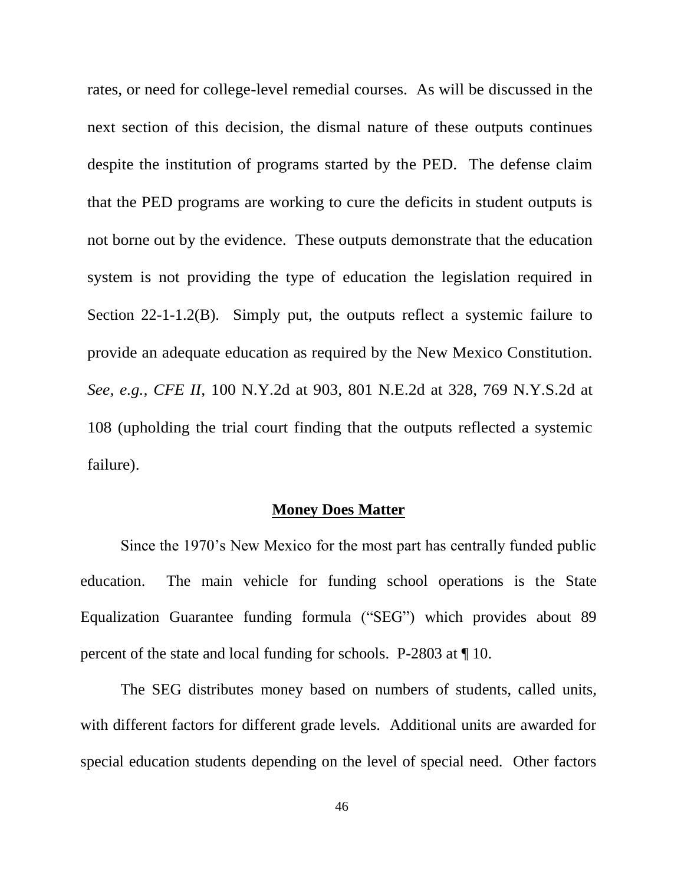rates, or need for college-level remedial courses. As will be discussed in the next section of this decision, the dismal nature of these outputs continues despite the institution of programs started by the PED. The defense claim that the PED programs are working to cure the deficits in student outputs is not borne out by the evidence. These outputs demonstrate that the education system is not providing the type of education the legislation required in Section 22-1-1.2(B). Simply put, the outputs reflect a systemic failure to provide an adequate education as required by the New Mexico Constitution. *See, e.g., CFE II*, 100 N.Y.2d at 903, 801 N.E.2d at 328, 769 N.Y.S.2d at 108 (upholding the trial court finding that the outputs reflected a systemic failure).

### **Money Does Matter**

Since the 1970's New Mexico for the most part has centrally funded public education. The main vehicle for funding school operations is the State Equalization Guarantee funding formula ("SEG") which provides about 89 percent of the state and local funding for schools. P-2803 at ¶ 10.

The SEG distributes money based on numbers of students, called units, with different factors for different grade levels. Additional units are awarded for special education students depending on the level of special need. Other factors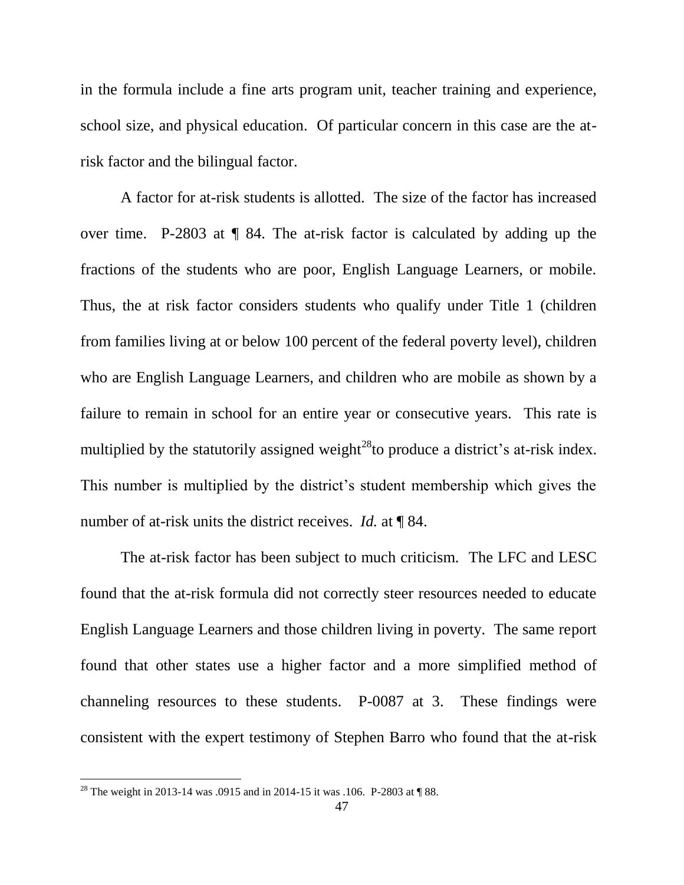in the formula include a fine arts program unit, teacher training and experience, school size, and physical education. Of particular concern in this case are the atrisk factor and the bilingual factor.

A factor for at-risk students is allotted. The size of the factor has increased over time. P-2803 at ¶ 84. The at-risk factor is calculated by adding up the fractions of the students who are poor, English Language Learners, or mobile. Thus, the at risk factor considers students who qualify under Title 1 (children from families living at or below 100 percent of the federal poverty level), children who are English Language Learners, and children who are mobile as shown by a failure to remain in school for an entire year or consecutive years. This rate is multiplied by the statutorily assigned weight<sup>28</sup>to produce a district's at-risk index. This number is multiplied by the district's student membership which gives the number of at-risk units the district receives. *Id.* at ¶ 84.

The at-risk factor has been subject to much criticism. The LFC and LESC found that the at-risk formula did not correctly steer resources needed to educate English Language Learners and those children living in poverty. The same report found that other states use a higher factor and a more simplified method of channeling resources to these students. P-0087 at 3. These findings were consistent with the expert testimony of Stephen Barro who found that the at-risk

<sup>&</sup>lt;sup>28</sup> The weight in 2013-14 was .0915 and in 2014-15 it was .106. P-2803 at ¶ 88.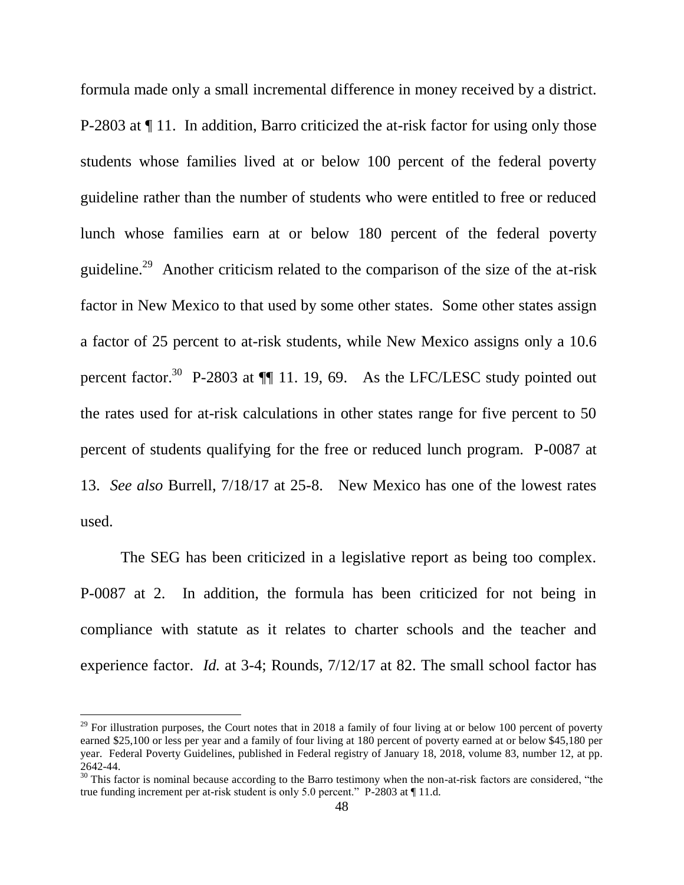formula made only a small incremental difference in money received by a district. P-2803 at ¶ 11. In addition, Barro criticized the at-risk factor for using only those students whose families lived at or below 100 percent of the federal poverty guideline rather than the number of students who were entitled to free or reduced lunch whose families earn at or below 180 percent of the federal poverty guideline.<sup>29</sup> Another criticism related to the comparison of the size of the at-risk factor in New Mexico to that used by some other states. Some other states assign a factor of 25 percent to at-risk students, while New Mexico assigns only a 10.6 percent factor.<sup>30</sup> P-2803 at  $\P$  11. 19, 69. As the LFC/LESC study pointed out the rates used for at-risk calculations in other states range for five percent to 50 percent of students qualifying for the free or reduced lunch program. P-0087 at 13. *See also* Burrell, 7/18/17 at 25-8. New Mexico has one of the lowest rates used.

The SEG has been criticized in a legislative report as being too complex. P-0087 at 2. In addition, the formula has been criticized for not being in compliance with statute as it relates to charter schools and the teacher and experience factor. *Id.* at 3-4; Rounds, 7/12/17 at 82. The small school factor has

 $^{29}$  For illustration purposes, the Court notes that in 2018 a family of four living at or below 100 percent of poverty earned \$25,100 or less per year and a family of four living at 180 percent of poverty earned at or below \$45,180 per year. Federal Poverty Guidelines, published in Federal registry of January 18, 2018, volume 83, number 12, at pp. 2642-44.

 $30$  This factor is nominal because according to the Barro testimony when the non-at-risk factors are considered, "the true funding increment per at-risk student is only 5.0 percent." P-2803 at [11.d.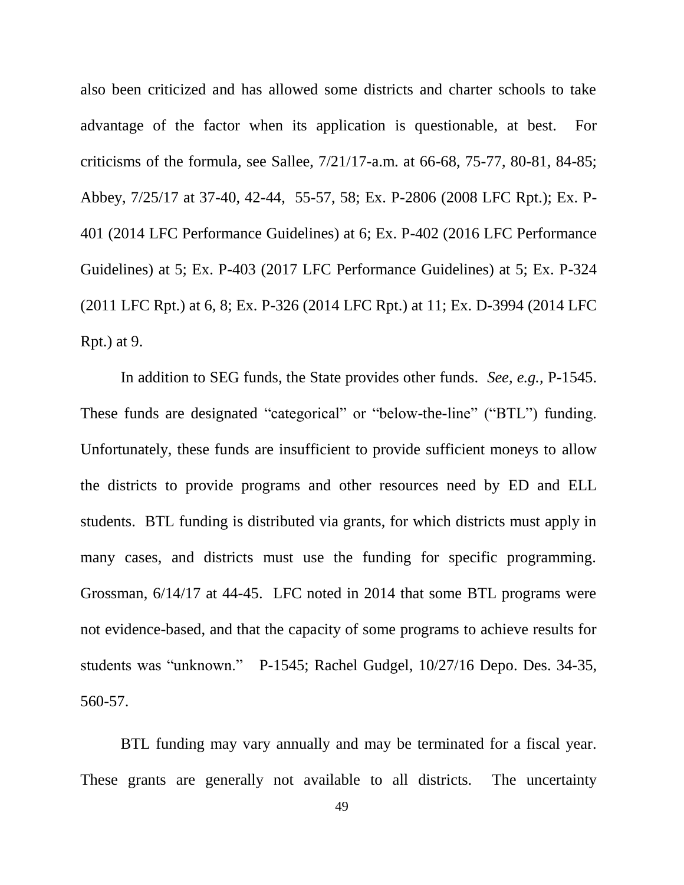also been criticized and has allowed some districts and charter schools to take advantage of the factor when its application is questionable, at best. For criticisms of the formula, see Sallee, 7/21/17-a.m. at 66-68, 75-77, 80-81, 84-85; Abbey, 7/25/17 at 37-40, 42-44, 55-57, 58; Ex. P-2806 (2008 LFC Rpt.); Ex. P-401 (2014 LFC Performance Guidelines) at 6; Ex. P-402 (2016 LFC Performance Guidelines) at 5; Ex. P-403 (2017 LFC Performance Guidelines) at 5; Ex. P-324 (2011 LFC Rpt.) at 6, 8; Ex. P-326 (2014 LFC Rpt.) at 11; Ex. D-3994 (2014 LFC Rpt.) at 9.

In addition to SEG funds, the State provides other funds. *See, e.g.,* P-1545. These funds are designated "categorical" or "below-the-line" ("BTL") funding. Unfortunately, these funds are insufficient to provide sufficient moneys to allow the districts to provide programs and other resources need by ED and ELL students. BTL funding is distributed via grants, for which districts must apply in many cases, and districts must use the funding for specific programming. Grossman, 6/14/17 at 44-45. LFC noted in 2014 that some BTL programs were not evidence-based, and that the capacity of some programs to achieve results for students was "unknown." P-1545; Rachel Gudgel, 10/27/16 Depo. Des. 34-35, 560-57.

BTL funding may vary annually and may be terminated for a fiscal year. These grants are generally not available to all districts. The uncertainty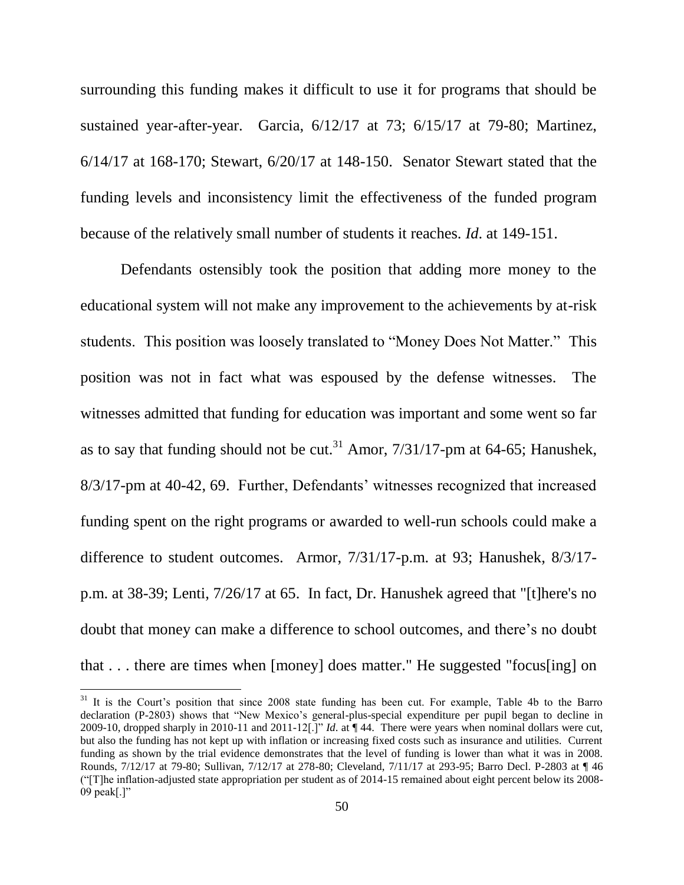surrounding this funding makes it difficult to use it for programs that should be sustained year-after-year. Garcia, 6/12/17 at 73; 6/15/17 at 79-80; Martinez, 6/14/17 at 168-170; Stewart, 6/20/17 at 148-150. Senator Stewart stated that the funding levels and inconsistency limit the effectiveness of the funded program because of the relatively small number of students it reaches. *Id*. at 149-151.

Defendants ostensibly took the position that adding more money to the educational system will not make any improvement to the achievements by at-risk students. This position was loosely translated to "Money Does Not Matter." This position was not in fact what was espoused by the defense witnesses. The witnesses admitted that funding for education was important and some went so far as to say that funding should not be cut.<sup>31</sup> Amor,  $7/31/17$ -pm at 64-65; Hanushek, 8/3/17-pm at 40-42, 69. Further, Defendants' witnesses recognized that increased funding spent on the right programs or awarded to well-run schools could make a difference to student outcomes. Armor, 7/31/17-p.m. at 93; Hanushek, 8/3/17 p.m. at 38-39; Lenti, 7/26/17 at 65. In fact, Dr. Hanushek agreed that "[t]here's no doubt that money can make a difference to school outcomes, and there's no doubt that . . . there are times when [money] does matter." He suggested "focus[ing] on

<sup>&</sup>lt;sup>31</sup> It is the Court's position that since 2008 state funding has been cut. For example, Table 4b to the Barro declaration (P-2803) shows that "New Mexico's general-plus-special expenditure per pupil began to decline in 2009-10, dropped sharply in 2010-11 and 2011-12<sup>[*.*]</sub>" *Id.* at  $\P$  44. There were years when nominal dollars were cut,</sup> but also the funding has not kept up with inflation or increasing fixed costs such as insurance and utilities. Current funding as shown by the trial evidence demonstrates that the level of funding is lower than what it was in 2008. Rounds, 7/12/17 at 79-80; Sullivan, 7/12/17 at 278-80; Cleveland, 7/11/17 at 293-95; Barro Decl. P-2803 at ¶ 46 (―[T]he inflation-adjusted state appropriation per student as of 2014-15 remained about eight percent below its 2008- 09 peak $[.]$ "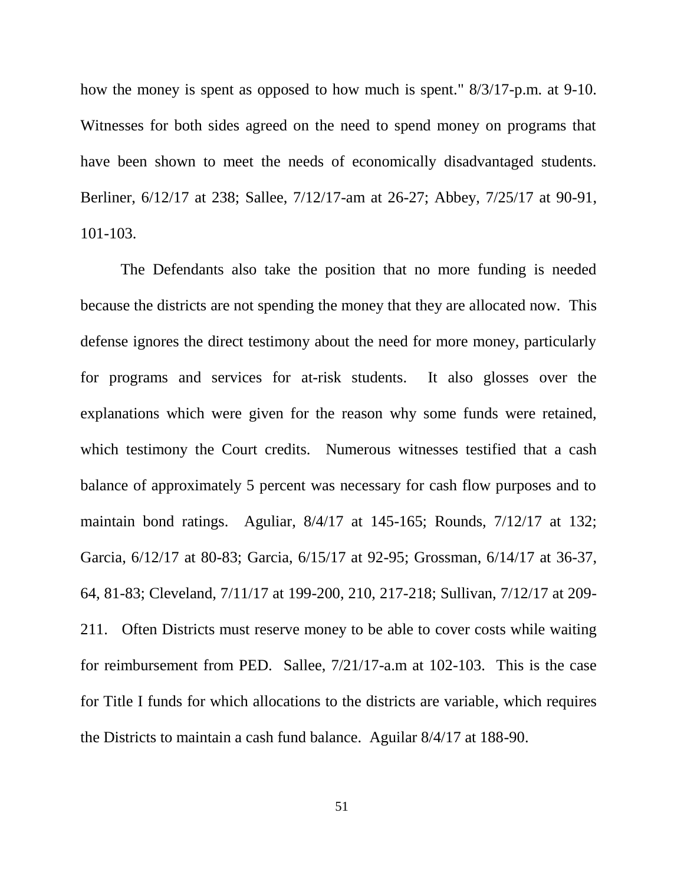how the money is spent as opposed to how much is spent." 8/3/17-p.m. at 9-10. Witnesses for both sides agreed on the need to spend money on programs that have been shown to meet the needs of economically disadvantaged students. Berliner, 6/12/17 at 238; Sallee, 7/12/17-am at 26-27; Abbey, 7/25/17 at 90-91, 101-103.

The Defendants also take the position that no more funding is needed because the districts are not spending the money that they are allocated now. This defense ignores the direct testimony about the need for more money, particularly for programs and services for at-risk students. It also glosses over the explanations which were given for the reason why some funds were retained, which testimony the Court credits. Numerous witnesses testified that a cash balance of approximately 5 percent was necessary for cash flow purposes and to maintain bond ratings. Aguliar, 8/4/17 at 145-165; Rounds, 7/12/17 at 132; Garcia, 6/12/17 at 80-83; Garcia, 6/15/17 at 92-95; Grossman, 6/14/17 at 36-37, 64, 81-83; Cleveland, 7/11/17 at 199-200, 210, 217-218; Sullivan, 7/12/17 at 209- 211. Often Districts must reserve money to be able to cover costs while waiting for reimbursement from PED. Sallee, 7/21/17-a.m at 102-103. This is the case for Title I funds for which allocations to the districts are variable, which requires the Districts to maintain a cash fund balance. Aguilar 8/4/17 at 188-90.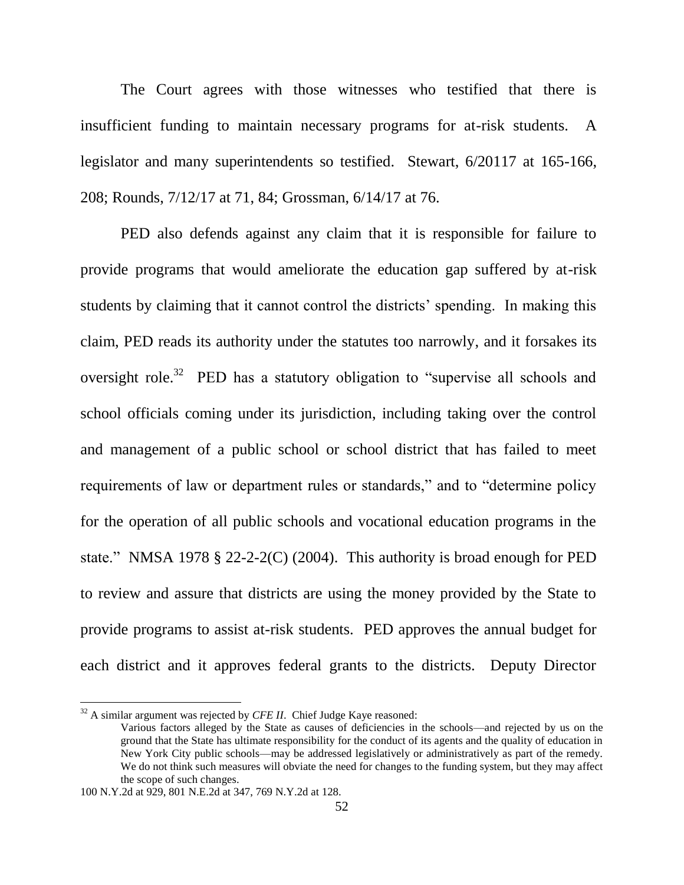The Court agrees with those witnesses who testified that there is insufficient funding to maintain necessary programs for at-risk students. A legislator and many superintendents so testified. Stewart, 6/20117 at 165-166, 208; Rounds, 7/12/17 at 71, 84; Grossman, 6/14/17 at 76.

PED also defends against any claim that it is responsible for failure to provide programs that would ameliorate the education gap suffered by at-risk students by claiming that it cannot control the districts' spending. In making this claim, PED reads its authority under the statutes too narrowly, and it forsakes its oversight role.<sup>32</sup> PED has a statutory obligation to "supervise all schools and school officials coming under its jurisdiction, including taking over the control and management of a public school or school district that has failed to meet requirements of law or department rules or standards," and to "determine policy" for the operation of all public schools and vocational education programs in the state." NMSA 1978  $\S$  22-2-2(C) (2004). This authority is broad enough for PED to review and assure that districts are using the money provided by the State to provide programs to assist at-risk students. PED approves the annual budget for each district and it approves federal grants to the districts. Deputy Director

<sup>&</sup>lt;sup>32</sup> A similar argument was rejected by *CFE II*. Chief Judge Kaye reasoned:

Various factors alleged by the State as causes of deficiencies in the schools—and rejected by us on the ground that the State has ultimate responsibility for the conduct of its agents and the quality of education in New York City public schools—may be addressed legislatively or administratively as part of the remedy. We do not think such measures will obviate the need for changes to the funding system, but they may affect the scope of such changes.

<sup>100</sup> N.Y.2d at 929, 801 N.E.2d at 347, 769 N.Y.2d at 128.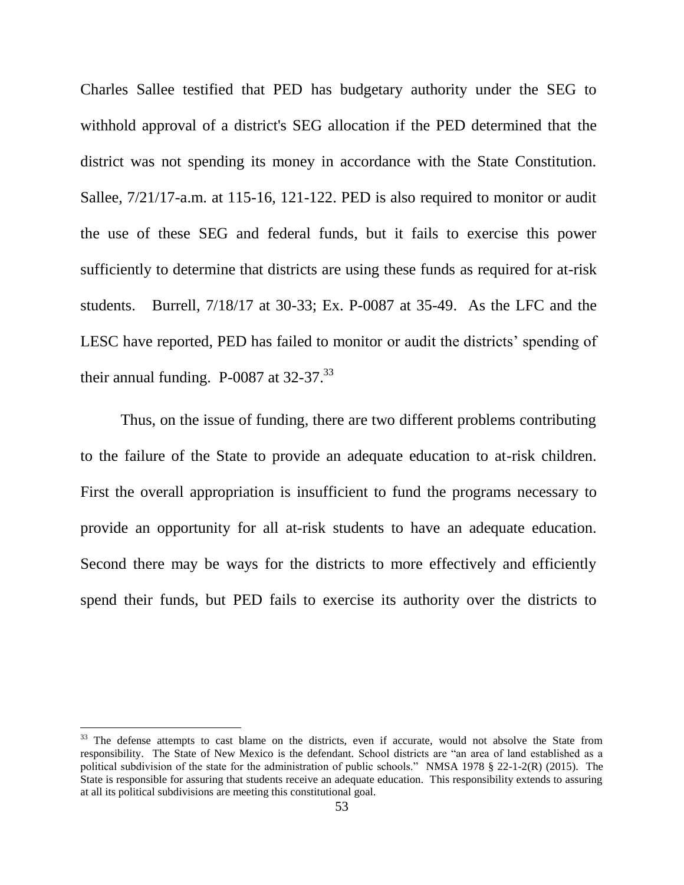Charles Sallee testified that PED has budgetary authority under the SEG to withhold approval of a district's SEG allocation if the PED determined that the district was not spending its money in accordance with the State Constitution. Sallee, 7/21/17-a.m. at 115-16, 121-122. PED is also required to monitor or audit the use of these SEG and federal funds, but it fails to exercise this power sufficiently to determine that districts are using these funds as required for at-risk students. Burrell, 7/18/17 at 30-33; Ex. P-0087 at 35-49. As the LFC and the LESC have reported, PED has failed to monitor or audit the districts' spending of their annual funding. P-0087 at  $32-37$ .<sup>33</sup>

Thus, on the issue of funding, there are two different problems contributing to the failure of the State to provide an adequate education to at-risk children. First the overall appropriation is insufficient to fund the programs necessary to provide an opportunity for all at-risk students to have an adequate education. Second there may be ways for the districts to more effectively and efficiently spend their funds, but PED fails to exercise its authority over the districts to

 $33$  The defense attempts to cast blame on the districts, even if accurate, would not absolve the State from responsibility. The State of New Mexico is the defendant. School districts are "an area of land established as a political subdivision of the state for the administration of public schools." NMSA 1978 § 22-1-2(R) (2015). The State is responsible for assuring that students receive an adequate education. This responsibility extends to assuring at all its political subdivisions are meeting this constitutional goal.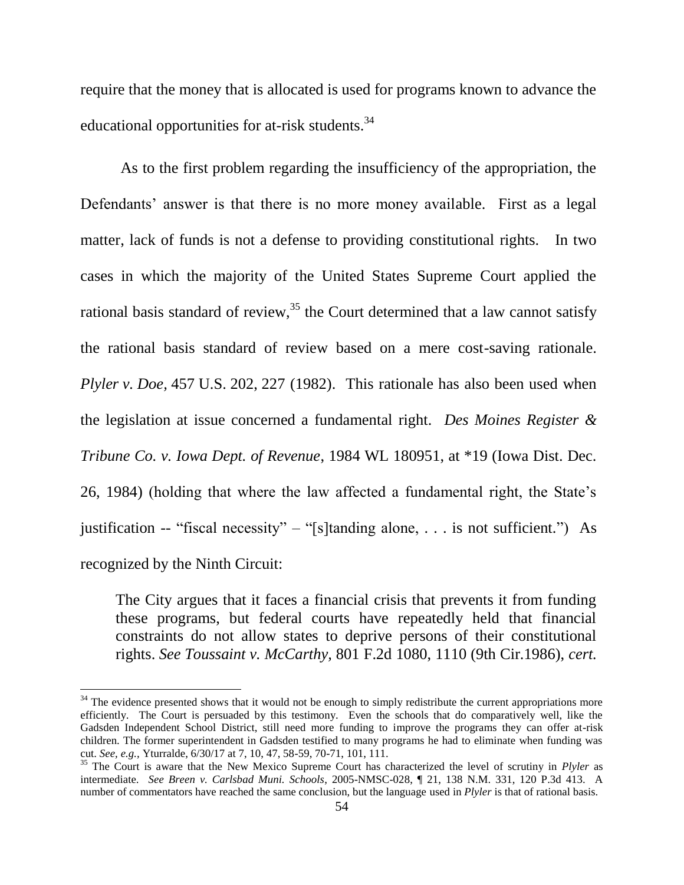require that the money that is allocated is used for programs known to advance the educational opportunities for at-risk students.<sup>34</sup>

As to the first problem regarding the insufficiency of the appropriation, the Defendants' answer is that there is no more money available. First as a legal matter, lack of funds is not a defense to providing constitutional rights. In two cases in which the majority of the United States Supreme Court applied the rational basis standard of review, $35$  the Court determined that a law cannot satisfy the rational basis standard of review based on a mere cost-saving rationale. *Plyler v. Doe,* 457 U.S. 202, 227 (1982). This rationale has also been used when the legislation at issue concerned a fundamental right. *Des Moines Register & Tribune Co. v. Iowa Dept. of Revenue*, 1984 WL 180951, at \*19 (Iowa Dist. Dec. 26, 1984) (holding that where the law affected a fundamental right, the State's justification -- "fiscal necessity" – "[s]tanding alone, ... is not sufficient.") As recognized by the Ninth Circuit:

The City argues that it faces a financial crisis that prevents it from funding these programs, but federal courts have repeatedly held that financial constraints do not allow states to deprive persons of their constitutional rights. *See Toussaint v. McCarthy,* 801 F.2d 1080, 1110 (9th Cir.1986), *cert.* 

<sup>&</sup>lt;sup>34</sup> The evidence presented shows that it would not be enough to simply redistribute the current appropriations more efficiently. The Court is persuaded by this testimony. Even the schools that do comparatively well, like the Gadsden Independent School District, still need more funding to improve the programs they can offer at-risk children. The former superintendent in Gadsden testified to many programs he had to eliminate when funding was cut. *See, e.g.,* Yturralde, 6/30/17 at 7, 10, 47, 58-59, 70-71, 101, 111.

<sup>35</sup> The Court is aware that the New Mexico Supreme Court has characterized the level of scrutiny in *Plyler* as intermediate. *See Breen v. Carlsbad Muni. Schools*, 2005-NMSC-028, ¶ 21, 138 N.M. 331, 120 P.3d 413. A number of commentators have reached the same conclusion, but the language used in *Plyler* is that of rational basis.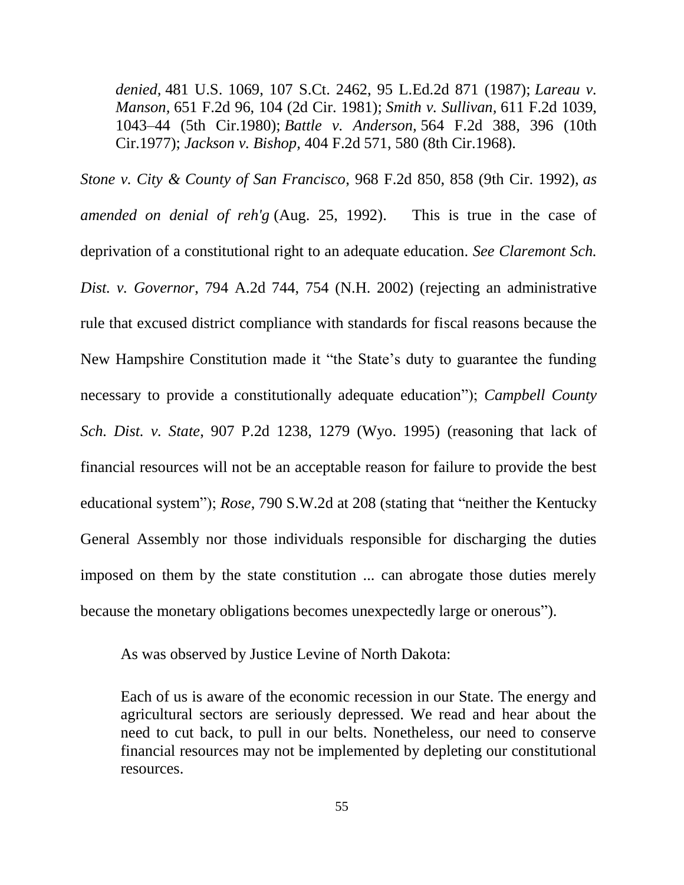*denied,* 481 U.S. 1069, 107 S.Ct. 2462, 95 L.Ed.2d 871 (1987); *Lareau v. Manson,* 651 F.2d 96, 104 (2d Cir. 1981); *Smith v. Sullivan,* 611 F.2d 1039, 1043–44 (5th Cir.1980); *Battle v. Anderson,* 564 F.2d 388, 396 (10th Cir.1977); *Jackson v. Bishop,* 404 F.2d 571, 580 (8th Cir.1968).

*Stone v. City & County of San Francisco*, 968 F.2d 850, 858 (9th Cir. 1992), *as amended on denial of reh'g* (Aug. 25, 1992). This is true in the case of deprivation of a constitutional right to an adequate education. *See Claremont Sch. Dist. v. Governor*, 794 A.2d 744, 754 (N.H. 2002) (rejecting an administrative rule that excused district compliance with standards for fiscal reasons because the New Hampshire Constitution made it "the State's duty to guarantee the funding necessary to provide a constitutionally adequate education"); *Campbell County Sch. Dist. v. State*, 907 P.2d 1238, 1279 (Wyo. 1995) (reasoning that lack of financial resources will not be an acceptable reason for failure to provide the best educational system"); *Rose*, 790 S.W.2d at 208 (stating that "neither the Kentucky General Assembly nor those individuals responsible for discharging the duties imposed on them by the state constitution ... can abrogate those duties merely because the monetary obligations becomes unexpectedly large or onerous").

As was observed by Justice Levine of North Dakota:

Each of us is aware of the economic recession in our State. The energy and agricultural sectors are seriously depressed. We read and hear about the need to cut back, to pull in our belts. Nonetheless, our need to conserve financial resources may not be implemented by depleting our constitutional resources.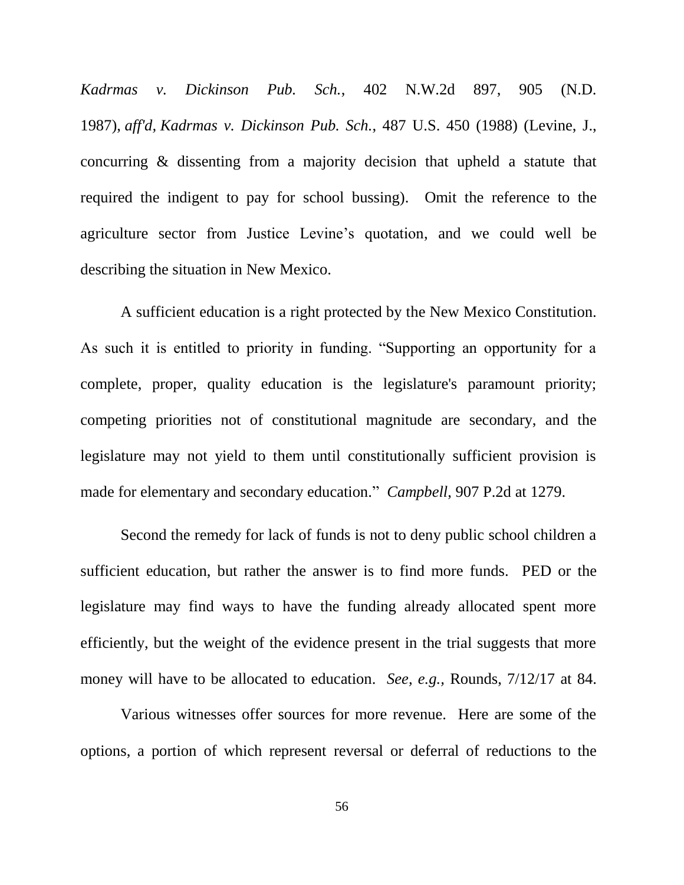*Kadrmas v. Dickinson Pub. Sch.*, 402 N.W.2d 897, 905 (N.D. 1987), *aff'd, Kadrmas v. Dickinson Pub. Sch.*, 487 U.S. 450 (1988) (Levine, J., concurring & dissenting from a majority decision that upheld a statute that required the indigent to pay for school bussing). Omit the reference to the agriculture sector from Justice Levine's quotation, and we could well be describing the situation in New Mexico.

A sufficient education is a right protected by the New Mexico Constitution. As such it is entitled to priority in funding. "Supporting an opportunity for a complete, proper, quality education is the legislature's paramount priority; competing priorities not of constitutional magnitude are secondary, and the legislature may not yield to them until constitutionally sufficient provision is made for elementary and secondary education." *Campbell*, 907 P.2d at 1279.

Second the remedy for lack of funds is not to deny public school children a sufficient education, but rather the answer is to find more funds. PED or the legislature may find ways to have the funding already allocated spent more efficiently, but the weight of the evidence present in the trial suggests that more money will have to be allocated to education. *See, e.g.,* Rounds, 7/12/17 at 84.

Various witnesses offer sources for more revenue. Here are some of the options, a portion of which represent reversal or deferral of reductions to the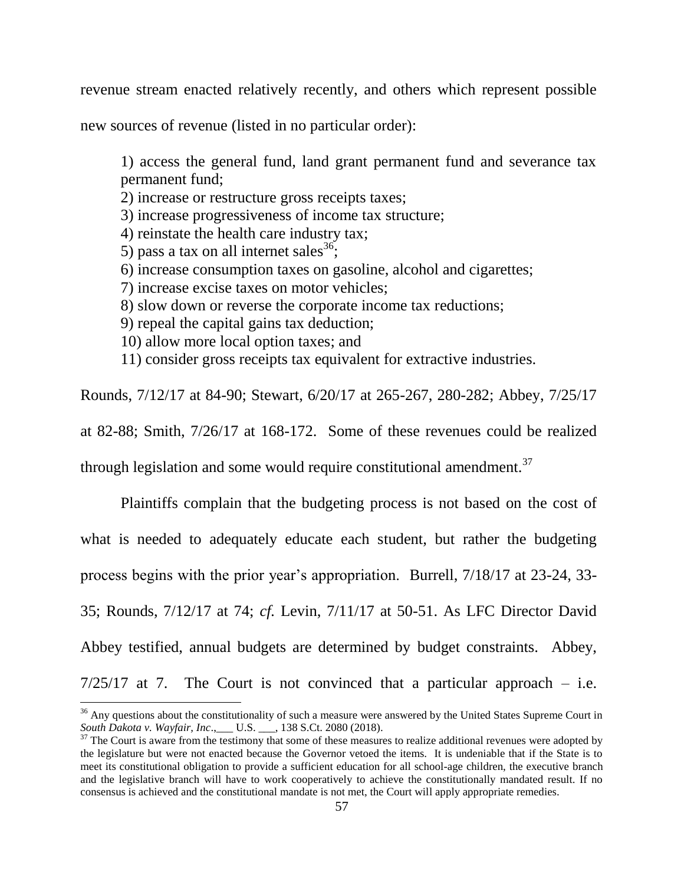revenue stream enacted relatively recently, and others which represent possible

new sources of revenue (listed in no particular order):

1) access the general fund, land grant permanent fund and severance tax permanent fund;

2) increase or restructure gross receipts taxes;

3) increase progressiveness of income tax structure;

- 4) reinstate the health care industry tax;
- 5) pass a tax on all internet sales  $36$ ;
- 6) increase consumption taxes on gasoline, alcohol and cigarettes;
- 7) increase excise taxes on motor vehicles;
- 8) slow down or reverse the corporate income tax reductions;
- 9) repeal the capital gains tax deduction;
- 10) allow more local option taxes; and

 $\overline{a}$ 

11) consider gross receipts tax equivalent for extractive industries.

Rounds, 7/12/17 at 84-90; Stewart, 6/20/17 at 265-267, 280-282; Abbey, 7/25/17

at 82-88; Smith, 7/26/17 at 168-172. Some of these revenues could be realized

through legislation and some would require constitutional amendment. $37$ 

Plaintiffs complain that the budgeting process is not based on the cost of what is needed to adequately educate each student, but rather the budgeting process begins with the prior year's appropriation. Burrell, 7/18/17 at 23-24, 33- 35; Rounds, 7/12/17 at 74; *cf.* Levin, 7/11/17 at 50-51. As LFC Director David Abbey testified, annual budgets are determined by budget constraints. Abbey,  $7/25/17$  at 7. The Court is not convinced that a particular approach – i.e.

 $36$  Any questions about the constitutionality of such a measure were answered by the United States Supreme Court in *South Dakota v. Wayfair, Inc*.,\_\_\_ U.S. \_\_\_, 138 S.Ct. 2080 (2018).

 $37$  The Court is aware from the testimony that some of these measures to realize additional revenues were adopted by the legislature but were not enacted because the Governor vetoed the items. It is undeniable that if the State is to meet its constitutional obligation to provide a sufficient education for all school-age children, the executive branch and the legislative branch will have to work cooperatively to achieve the constitutionally mandated result. If no consensus is achieved and the constitutional mandate is not met, the Court will apply appropriate remedies.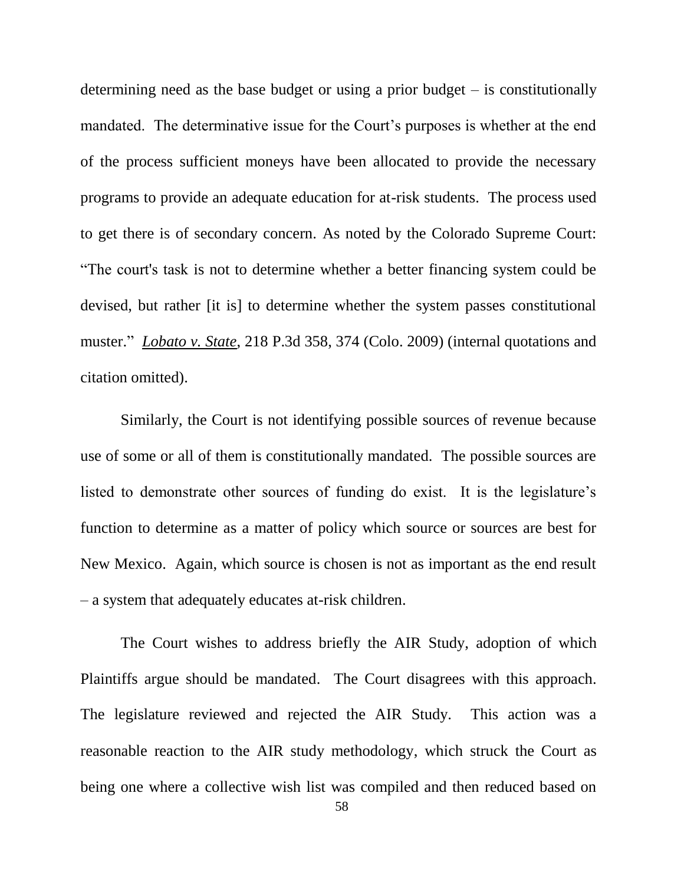determining need as the base budget or using a prior budget – is constitutionally mandated. The determinative issue for the Court's purposes is whether at the end of the process sufficient moneys have been allocated to provide the necessary programs to provide an adequate education for at-risk students. The process used to get there is of secondary concern. As noted by the Colorado Supreme Court: ―The court's task is not to determine whether a better financing system could be devised, but rather [it is] to determine whether the system passes constitutional muster." *Lobato v. State*, 218 P.3d 358, 374 (Colo. 2009) (internal quotations and citation omitted).

Similarly, the Court is not identifying possible sources of revenue because use of some or all of them is constitutionally mandated. The possible sources are listed to demonstrate other sources of funding do exist. It is the legislature's function to determine as a matter of policy which source or sources are best for New Mexico. Again, which source is chosen is not as important as the end result – a system that adequately educates at-risk children.

The Court wishes to address briefly the AIR Study, adoption of which Plaintiffs argue should be mandated. The Court disagrees with this approach. The legislature reviewed and rejected the AIR Study. This action was a reasonable reaction to the AIR study methodology, which struck the Court as being one where a collective wish list was compiled and then reduced based on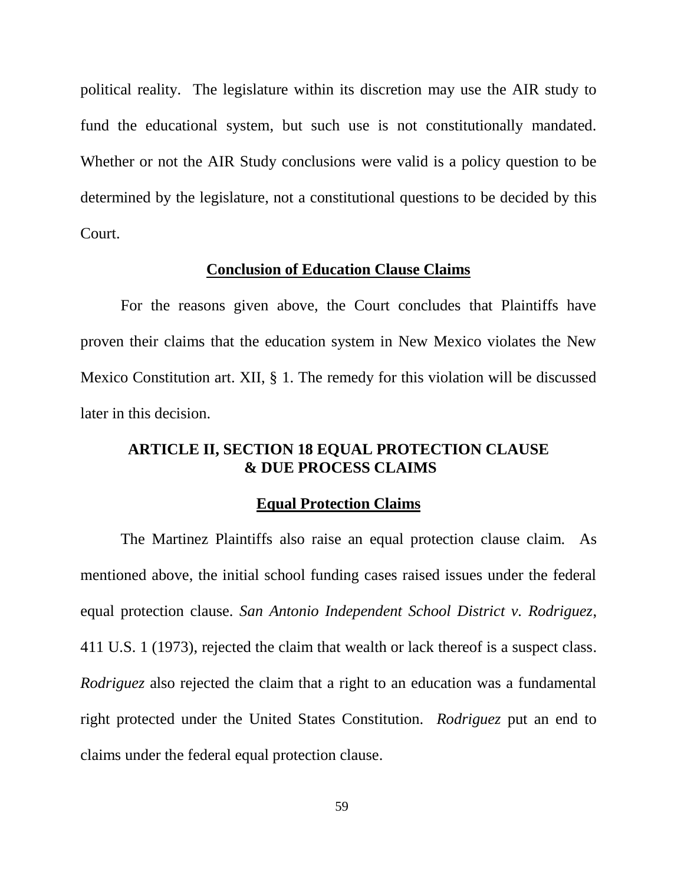political reality. The legislature within its discretion may use the AIR study to fund the educational system, but such use is not constitutionally mandated. Whether or not the AIR Study conclusions were valid is a policy question to be determined by the legislature, not a constitutional questions to be decided by this Court.

## **Conclusion of Education Clause Claims**

For the reasons given above, the Court concludes that Plaintiffs have proven their claims that the education system in New Mexico violates the New Mexico Constitution art. XII, § 1. The remedy for this violation will be discussed later in this decision.

# **ARTICLE II, SECTION 18 EQUAL PROTECTION CLAUSE & DUE PROCESS CLAIMS**

## **Equal Protection Claims**

The Martinez Plaintiffs also raise an equal protection clause claim. As mentioned above, the initial school funding cases raised issues under the federal equal protection clause. *San Antonio Independent School District v. Rodriguez*, [411 U.S. 1 \(1973\),](http://www.westlaw.com/Link/Document/FullText?findType=Y&serNum=1973126364&pubNum=0000708&originatingDoc=I9acfa211c73411e08b05fdf15589d8e8&refType=RP&originationContext=document&vr=3.0&rs=cblt1.0&transitionType=DocumentItem&contextData=(sc.Keycite)) rejected the claim that wealth or lack thereof is a suspect class. *Rodriguez* also rejected the claim that a right to an education was a fundamental right protected under the United States Constitution. *Rodriguez* put an end to claims under the federal equal protection clause.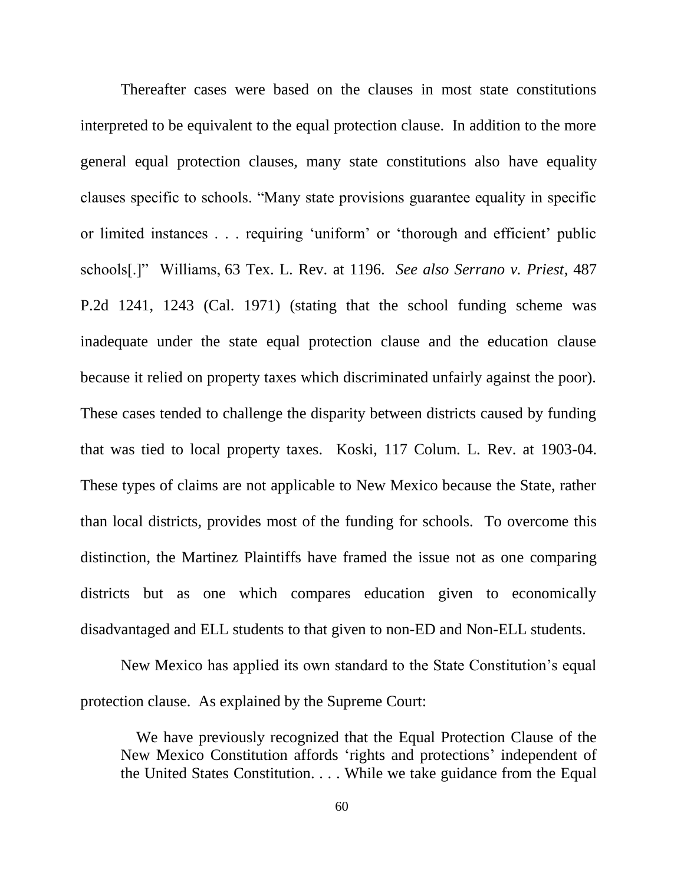Thereafter cases were based on the clauses in most state constitutions interpreted to be equivalent to the equal protection clause. In addition to the more general equal protection clauses, many state constitutions also have equality clauses specific to schools. "Many state provisions guarantee equality in specific or limited instances . . . requiring 'uniform' or 'thorough and efficient' public schools[.]‖ Williams, 63 Tex. L. Rev. at 1196. *See also Serrano v. Priest*, [487](https://1.next.westlaw.com/Link/Document/FullText?findType=Y&serNum=1971125162&pubNum=0000661&originatingDoc=I21ceeb05c76f11df9b8c850332338889&refType=RP&originationContext=document&transitionType=DocumentItem&contextData=(sc.History*oc.Search))  [P.2d 1241, 1243](https://1.next.westlaw.com/Link/Document/FullText?findType=Y&serNum=1971125162&pubNum=0000661&originatingDoc=I21ceeb05c76f11df9b8c850332338889&refType=RP&originationContext=document&transitionType=DocumentItem&contextData=(sc.History*oc.Search)) (Cal. 1971) (stating that the school funding scheme was inadequate under the state equal protection clause and the education clause because it relied on property taxes which discriminated unfairly against the poor). These cases tended to challenge the disparity between districts caused by funding that was tied to local property taxes. Koski, 117 Colum. L. Rev. at 1903-04. These types of claims are not applicable to New Mexico because the State, rather than local districts, provides most of the funding for schools. To overcome this distinction, the Martinez Plaintiffs have framed the issue not as one comparing districts but as one which compares education given to economically disadvantaged and ELL students to that given to non-ED and Non-ELL students.

New Mexico has applied its own standard to the State Constitution's equal protection clause. As explained by the Supreme Court:

 We have previously recognized that the Equal Protection Clause of the New Mexico Constitution affords 'rights and protections' independent of the United States Constitution. . . . While we take guidance from the Equal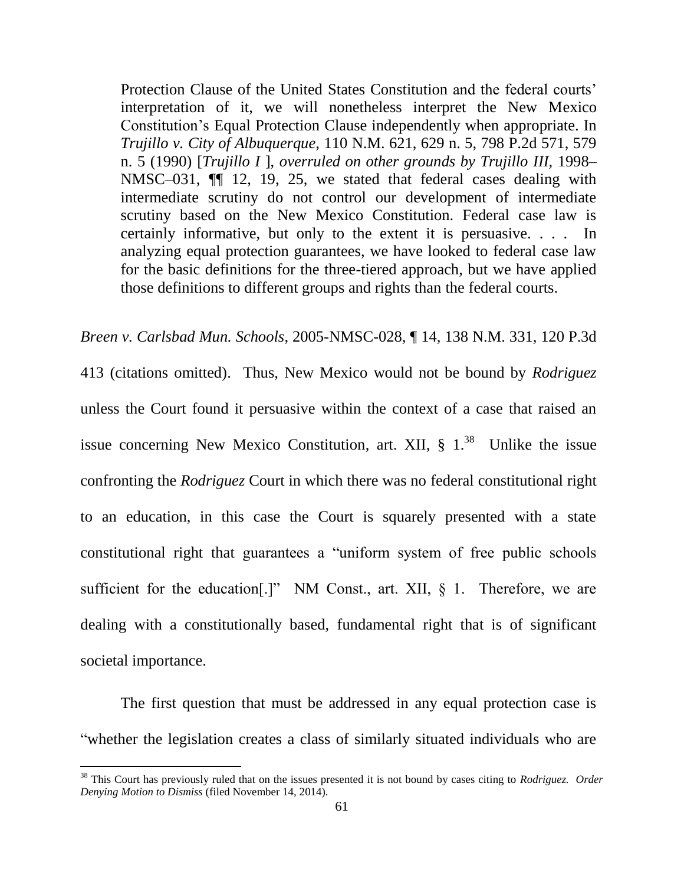Protection Clause of the United States Constitution and the federal courts' interpretation of it, we will nonetheless interpret the New Mexico Constitution's Equal Protection Clause independently when appropriate. In *Trujillo v. City of Albuquerque,* [110 N.M. 621, 629 n. 5, 798 P.2d 571, 579](http://www.westlaw.com/Link/Document/FullText?findType=Y&serNum=1990128587&pubNum=0000661&originatingDoc=Ib07cbecc343411dab072a248d584787d&refType=RP&fi=co_pp_sp_661_579&originationContext=document&vr=3.0&rs=cblt1.0&transitionType=DocumentItem&contextData=(sc.Search)#co_pp_sp_661_579)  [n. 5 \(1990\)](http://www.westlaw.com/Link/Document/FullText?findType=Y&serNum=1990128587&pubNum=0000661&originatingDoc=Ib07cbecc343411dab072a248d584787d&refType=RP&fi=co_pp_sp_661_579&originationContext=document&vr=3.0&rs=cblt1.0&transitionType=DocumentItem&contextData=(sc.Search)#co_pp_sp_661_579) [*Trujillo I* ], *overruled on other grounds by [Trujillo III,](http://www.westlaw.com/Link/Document/FullText?findType=Y&serNum=1998202566&pubNum=4616&originatingDoc=Ib07cbecc343411dab072a248d584787d&refType=RP&originationContext=document&vr=3.0&rs=cblt1.0&transitionType=DocumentItem&contextData=(sc.Search))* 1998– [NMSC–031, ¶¶ 12, 19, 25,](http://www.westlaw.com/Link/Document/FullText?findType=Y&serNum=1998202566&pubNum=4616&originatingDoc=Ib07cbecc343411dab072a248d584787d&refType=RP&originationContext=document&vr=3.0&rs=cblt1.0&transitionType=DocumentItem&contextData=(sc.Search)) we stated that federal cases dealing with intermediate scrutiny do not control our development of intermediate scrutiny based on the New Mexico Constitution. Federal case law is certainly informative, but only to the extent it is persuasive. . . . In analyzing equal protection guarantees, we have looked to federal case law for the basic definitions for the three-tiered approach, but we have applied those definitions to different groups and rights than the federal courts.

*Breen v. Carlsbad Mun. Schools*, 2005-NMSC-028, ¶ 14, 138 N.M. 331, 120 P.3d 413 (citations omitted). Thus, New Mexico would not be bound by *Rodriguez* unless the Court found it persuasive within the context of a case that raised an issue concerning New Mexico Constitution, art. XII,  $\S$  1.<sup>38</sup> Unlike the issue confronting the *Rodriguez* Court in which there was no federal constitutional right to an education, in this case the Court is squarely presented with a state constitutional right that guarantees a "uniform system of free public schools" sufficient for the education[.]" NM Const., art. XII,  $\S$  1. Therefore, we are dealing with a constitutionally based, fundamental right that is of significant societal importance.

The first question that must be addressed in any equal protection case is ―whether the legislation creates a class of similarly situated individuals who are

<sup>38</sup> This Court has previously ruled that on the issues presented it is not bound by cases citing to *Rodriguez. Order Denying Motion to Dismiss* (filed November 14, 2014).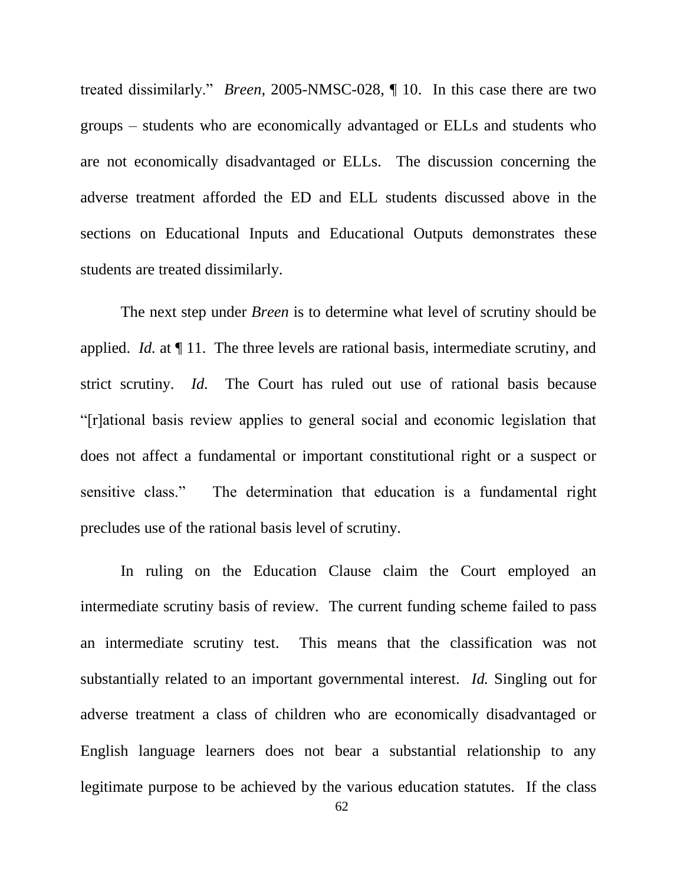treated dissimilarly.‖ *Breen*, 2005-NMSC-028, ¶ 10. In this case there are two groups – students who are economically advantaged or ELLs and students who are not economically disadvantaged or ELLs. The discussion concerning the adverse treatment afforded the ED and ELL students discussed above in the sections on Educational Inputs and Educational Outputs demonstrates these students are treated dissimilarly.

The next step under *Breen* is to determine what level of scrutiny should be applied. *Id.* at ¶ 11. The three levels are rational basis, intermediate scrutiny, and strict scrutiny. *Id.* The Court has ruled out use of rational basis because ―[r]ational basis review applies to general social and economic legislation that does not affect a fundamental or important constitutional right or a suspect or sensitive class." The determination that education is a fundamental right precludes use of the rational basis level of scrutiny.

In ruling on the Education Clause claim the Court employed an intermediate scrutiny basis of review. The current funding scheme failed to pass an intermediate scrutiny test. This means that the classification was not substantially related to an important governmental interest. *Id.* Singling out for adverse treatment a class of children who are economically disadvantaged or English language learners does not bear a substantial relationship to any legitimate purpose to be achieved by the various education statutes. If the class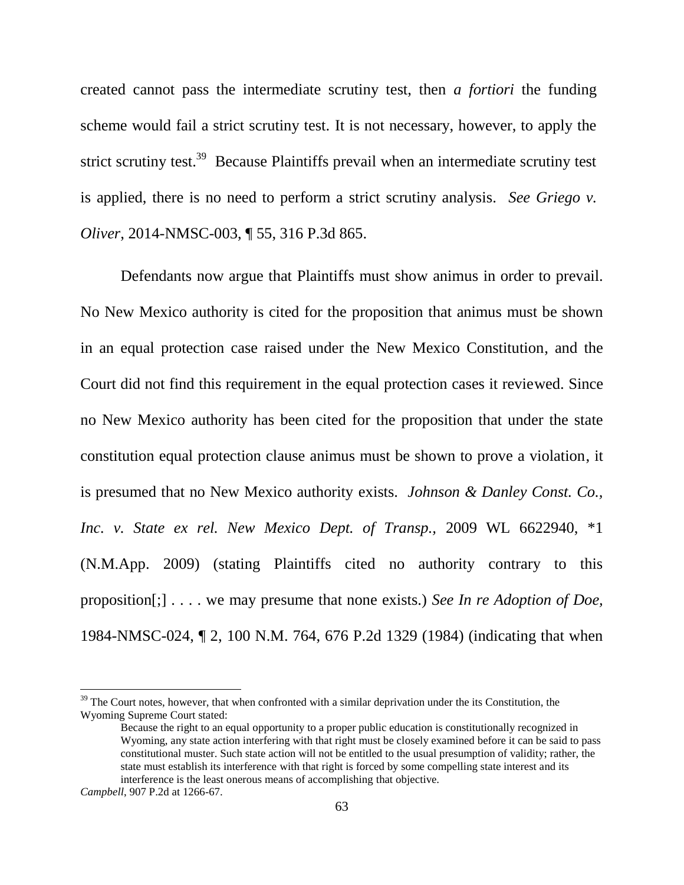created cannot pass the intermediate scrutiny test, then *a fortiori* the funding scheme would fail a strict scrutiny test. It is not necessary, however, to apply the strict scrutiny test.<sup>39</sup> Because Plaintiffs prevail when an intermediate scrutiny test is applied, there is no need to perform a strict scrutiny analysis. *See Griego v. Oliver*, 2014-NMSC-003, ¶ 55, 316 P.3d 865.

Defendants now argue that Plaintiffs must show animus in order to prevail. No New Mexico authority is cited for the proposition that animus must be shown in an equal protection case raised under the New Mexico Constitution, and the Court did not find this requirement in the equal protection cases it reviewed. Since no New Mexico authority has been cited for the proposition that under the state constitution equal protection clause animus must be shown to prove a violation, it is presumed that no New Mexico authority exists. *Johnson & Danley Const. Co., Inc. v. State ex rel. New Mexico Dept. of Transp.,* 2009 WL 6622940, \*1 (N.M.App. 2009) (stating Plaintiffs cited no authority contrary to this proposition[;] . . . . we may presume that none exists.) *See In re Adoption of Doe,* 1984-NMSC-024, ¶ 2, 100 N.M. 764, 676 P.2d 1329 (1984) (indicating that when

<sup>&</sup>lt;sup>39</sup> The Court notes, however, that when confronted with a similar deprivation under the its Constitution, the Wyoming Supreme Court stated:

Because the right to an equal opportunity to a proper public education is constitutionally recognized in Wyoming, any state action interfering with that right must be closely examined before it can be said to pass constitutional muster. Such state action will not be entitled to the usual presumption of validity; rather, the state must establish its interference with that right is forced by some compelling state interest and its interference is the least onerous means of accomplishing that objective.

*Campbell*, 907 P.2d at 1266-67.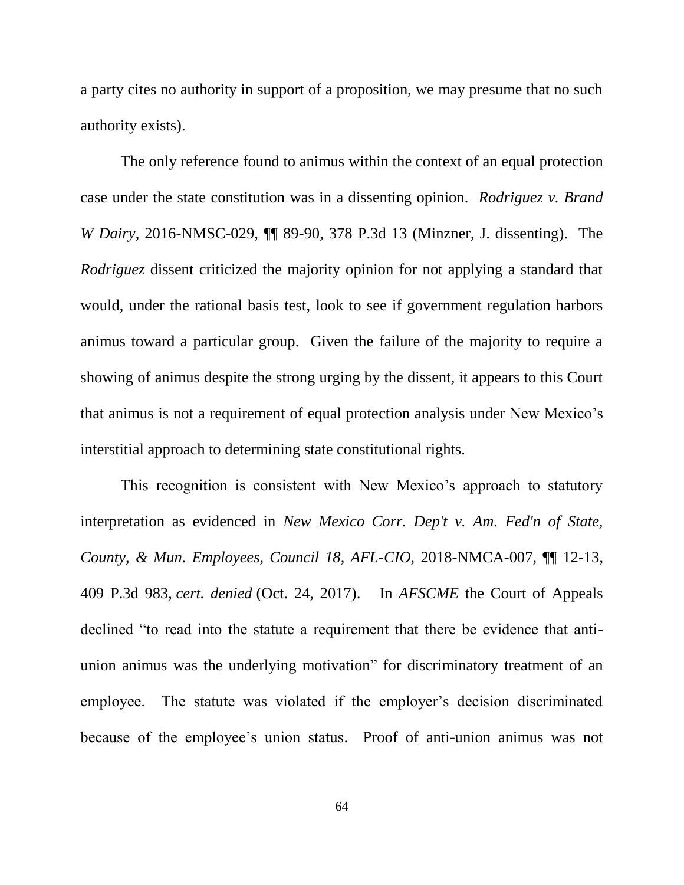a party cites no authority in support of a proposition, we may presume that no such authority exists).

The only reference found to animus within the context of an equal protection case under the state constitution was in a dissenting opinion. *Rodriguez v. Brand W Dairy*, 2016-NMSC-029, ¶¶ 89-90, 378 P.3d 13 (Minzner, J. dissenting). The *Rodriguez* dissent criticized the majority opinion for not applying a standard that would, under the rational basis test, look to see if government regulation harbors animus toward a particular group. Given the failure of the majority to require a showing of animus despite the strong urging by the dissent, it appears to this Court that animus is not a requirement of equal protection analysis under New Mexico's interstitial approach to determining state constitutional rights.

This recognition is consistent with New Mexico's approach to statutory interpretation as evidenced in *New Mexico Corr. Dep't v. Am. Fed'n of State, County, & Mun. Employees, Council 18, AFL-CIO*, 2018-NMCA-007, ¶¶ 12-13, 409 P.3d 983, *cert. denied* (Oct. 24, 2017). In *AFSCME* the Court of Appeals declined "to read into the statute a requirement that there be evidence that antiunion animus was the underlying motivation" for discriminatory treatment of an employee. The statute was violated if the employer's decision discriminated because of the employee's union status. Proof of anti-union animus was not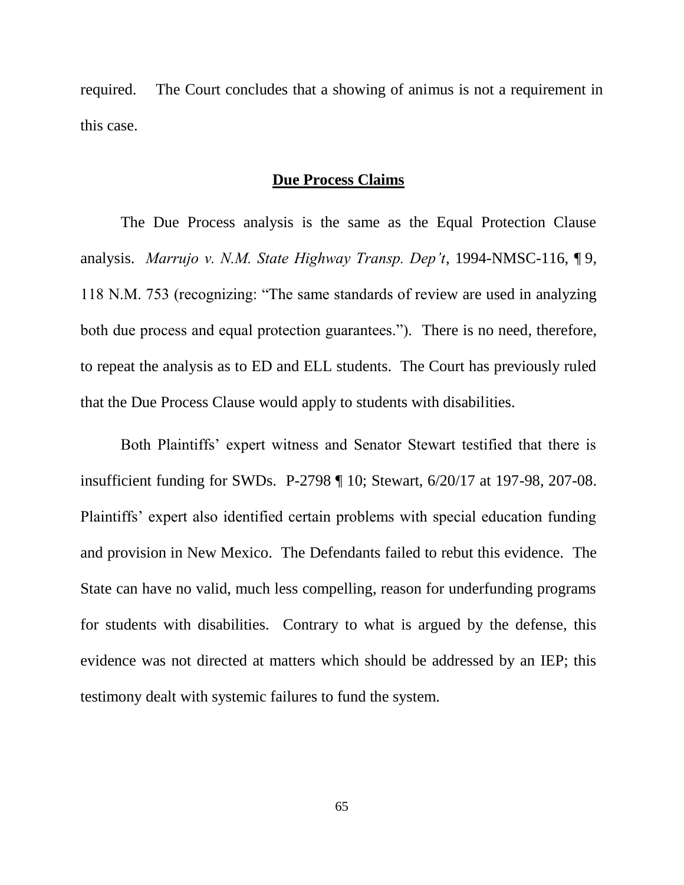required. The Court concludes that a showing of animus is not a requirement in this case.

# **Due Process Claims**

The Due Process analysis is the same as the Equal Protection Clause analysis. *Marrujo v. N.M. State Highway Transp. Dep't*, 1994-NMSC-116, ¶ 9, 118 N.M. 753 (recognizing: "The same standards of review are used in analyzing both due process and equal protection guarantees."). There is no need, therefore, to repeat the analysis as to ED and ELL students. The Court has previously ruled that the Due Process Clause would apply to students with disabilities.

Both Plaintiffs' expert witness and Senator Stewart testified that there is insufficient funding for SWDs. P-2798 ¶ 10; Stewart, 6/20/17 at 197-98, 207-08. Plaintiffs' expert also identified certain problems with special education funding and provision in New Mexico. The Defendants failed to rebut this evidence. The State can have no valid, much less compelling, reason for underfunding programs for students with disabilities. Contrary to what is argued by the defense, this evidence was not directed at matters which should be addressed by an IEP; this testimony dealt with systemic failures to fund the system.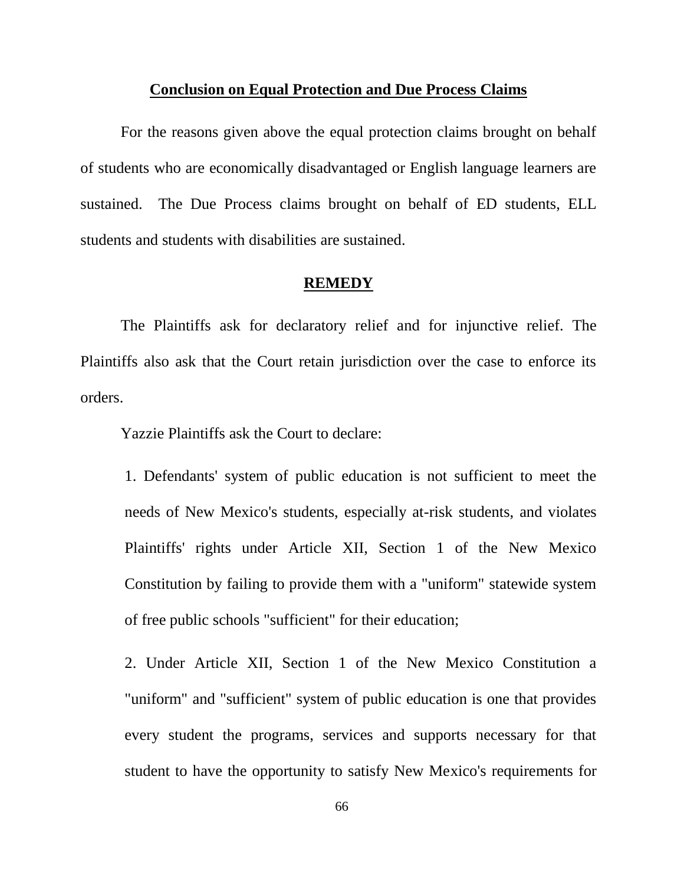#### **Conclusion on Equal Protection and Due Process Claims**

For the reasons given above the equal protection claims brought on behalf of students who are economically disadvantaged or English language learners are sustained. The Due Process claims brought on behalf of ED students, ELL students and students with disabilities are sustained.

### **REMEDY**

The Plaintiffs ask for declaratory relief and for injunctive relief. The Plaintiffs also ask that the Court retain jurisdiction over the case to enforce its orders.

Yazzie Plaintiffs ask the Court to declare:

1. Defendants' system of public education is not sufficient to meet the needs of New Mexico's students, especially at-risk students, and violates Plaintiffs' rights under Article XII, Section 1 of the New Mexico Constitution by failing to provide them with a "uniform" statewide system of free public schools "sufficient" for their education;

2. Under Article XII, Section 1 of the New Mexico Constitution a "uniform" and "sufficient" system of public education is one that provides every student the programs, services and supports necessary for that student to have the opportunity to satisfy New Mexico's requirements for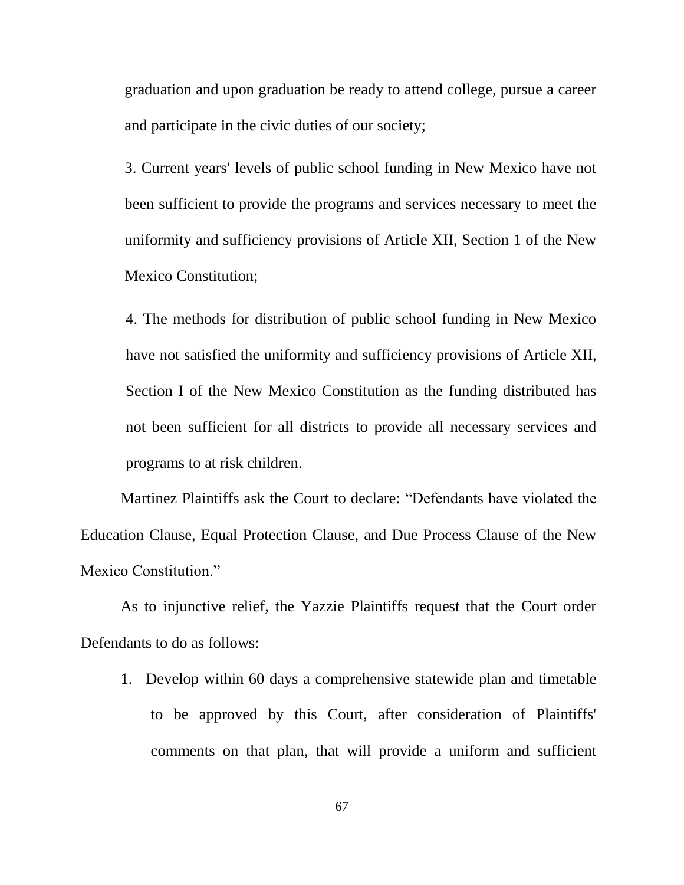graduation and upon graduation be ready to attend college, pursue a career and participate in the civic duties of our society;

3. Current years' levels of public school funding in New Mexico have not been sufficient to provide the programs and services necessary to meet the uniformity and sufficiency provisions of Article XII, Section 1 of the New Mexico Constitution;

4. The methods for distribution of public school funding in New Mexico have not satisfied the uniformity and sufficiency provisions of Article XII, Section I of the New Mexico Constitution as the funding distributed has not been sufficient for all districts to provide all necessary services and programs to at risk children.

Martinez Plaintiffs ask the Court to declare: "Defendants have violated the Education Clause, Equal Protection Clause, and Due Process Clause of the New Mexico Constitution."

As to injunctive relief, the Yazzie Plaintiffs request that the Court order Defendants to do as follows:

1. Develop within 60 days a comprehensive statewide plan and timetable to be approved by this Court, after consideration of Plaintiffs' comments on that plan, that will provide a uniform and sufficient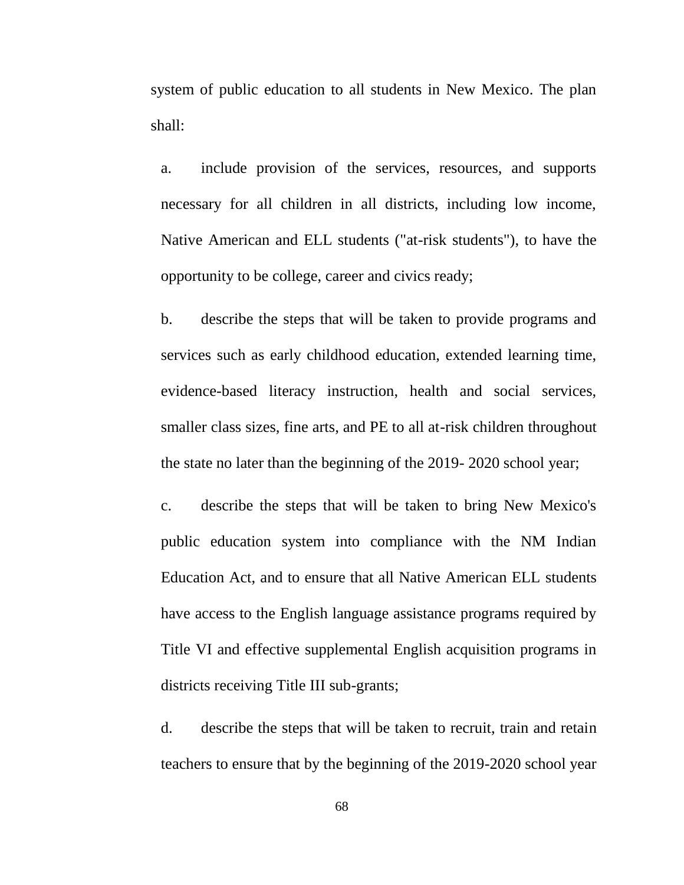system of public education to all students in New Mexico. The plan shall:

a. include provision of the services, resources, and supports necessary for all children in all districts, including low income, Native American and ELL students ("at-risk students"), to have the opportunity to be college, career and civics ready;

b. describe the steps that will be taken to provide programs and services such as early childhood education, extended learning time, evidence-based literacy instruction, health and social services, smaller class sizes, fine arts, and PE to all at-risk children throughout the state no later than the beginning of the 2019- 2020 school year;

c. describe the steps that will be taken to bring New Mexico's public education system into compliance with the NM Indian Education Act, and to ensure that all Native American ELL students have access to the English language assistance programs required by Title VI and effective supplemental English acquisition programs in districts receiving Title III sub-grants;

d. describe the steps that will be taken to recruit, train and retain teachers to ensure that by the beginning of the 2019-2020 school year

68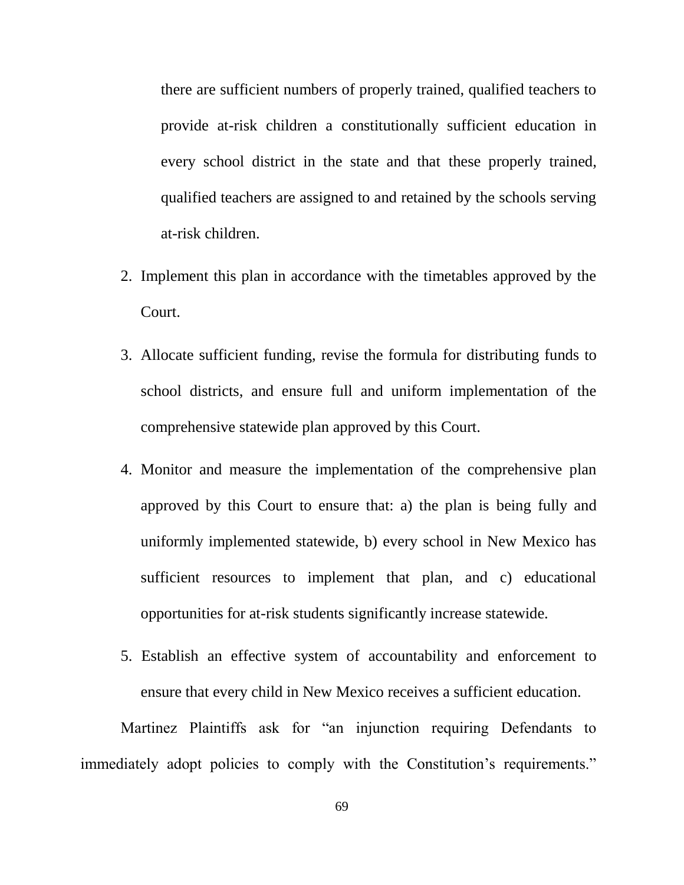there are sufficient numbers of properly trained, qualified teachers to provide at-risk children a constitutionally sufficient education in every school district in the state and that these properly trained, qualified teachers are assigned to and retained by the schools serving at-risk children.

- 2. Implement this plan in accordance with the timetables approved by the Court.
- 3. Allocate sufficient funding, revise the formula for distributing funds to school districts, and ensure full and uniform implementation of the comprehensive statewide plan approved by this Court.
- 4. Monitor and measure the implementation of the comprehensive plan approved by this Court to ensure that: a) the plan is being fully and uniformly implemented statewide, b) every school in New Mexico has sufficient resources to implement that plan, and c) educational opportunities for at-risk students significantly increase statewide.
- 5. Establish an effective system of accountability and enforcement to ensure that every child in New Mexico receives a sufficient education.

Martinez Plaintiffs ask for "an injunction requiring Defendants to immediately adopt policies to comply with the Constitution's requirements."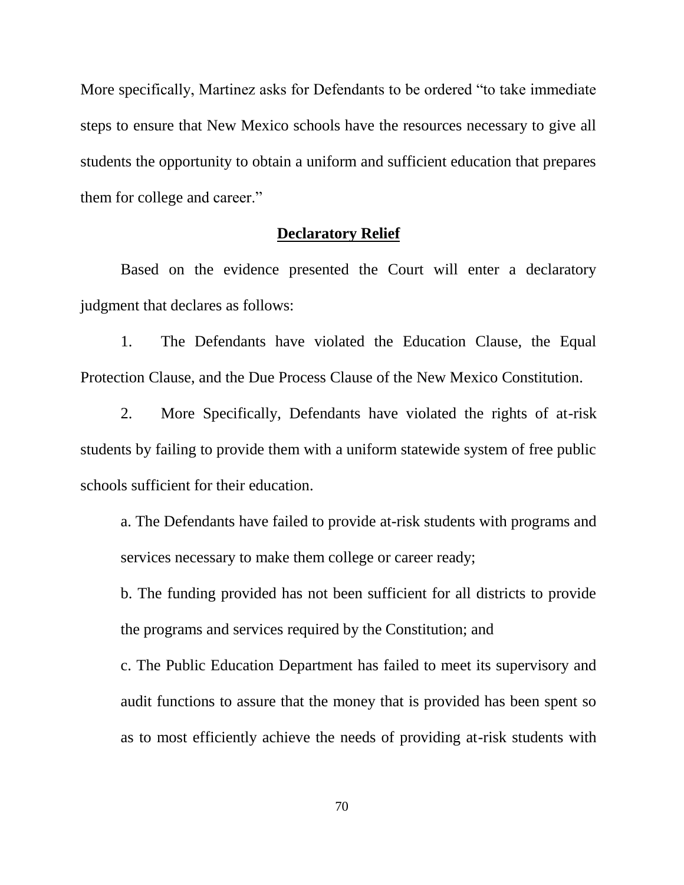More specifically, Martinez asks for Defendants to be ordered "to take immediate" steps to ensure that New Mexico schools have the resources necessary to give all students the opportunity to obtain a uniform and sufficient education that prepares them for college and career."

## **Declaratory Relief**

Based on the evidence presented the Court will enter a declaratory judgment that declares as follows:

1. The Defendants have violated the Education Clause, the Equal Protection Clause, and the Due Process Clause of the New Mexico Constitution.

2. More Specifically, Defendants have violated the rights of at-risk students by failing to provide them with a uniform statewide system of free public schools sufficient for their education.

a. The Defendants have failed to provide at-risk students with programs and services necessary to make them college or career ready;

b. The funding provided has not been sufficient for all districts to provide the programs and services required by the Constitution; and

c. The Public Education Department has failed to meet its supervisory and audit functions to assure that the money that is provided has been spent so as to most efficiently achieve the needs of providing at-risk students with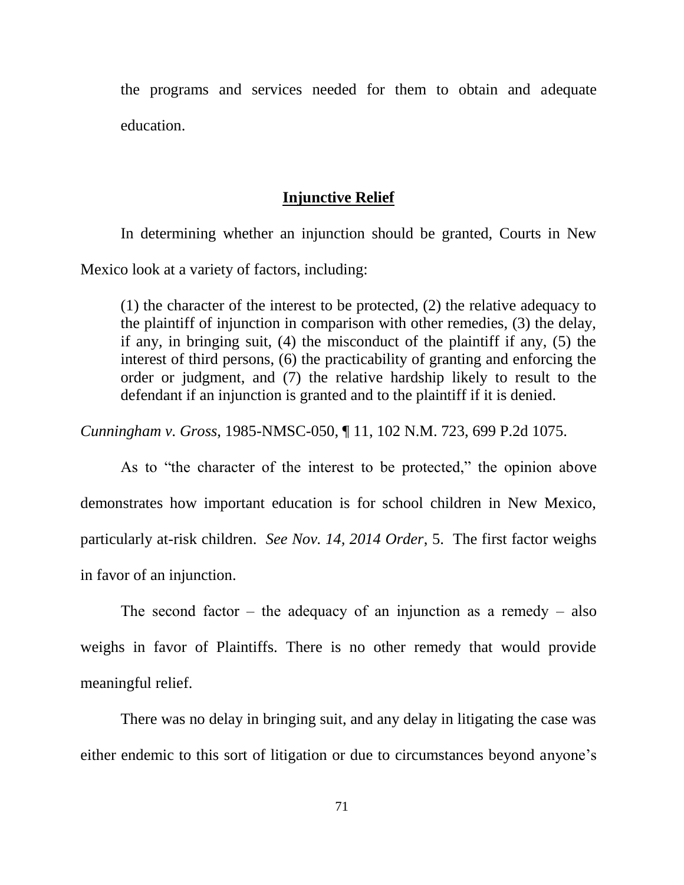the programs and services needed for them to obtain and adequate education.

# **Injunctive Relief**

In determining whether an injunction should be granted, Courts in New Mexico look at a variety of factors, including:

(1) the character of the interest to be protected, (2) the relative adequacy to the plaintiff of injunction in comparison with other remedies, (3) the delay, if any, in bringing suit, (4) the misconduct of the plaintiff if any, (5) the interest of third persons, (6) the practicability of granting and enforcing the order or judgment, and (7) the relative hardship likely to result to the defendant if an injunction is granted and to the plaintiff if it is denied.

*Cunningham v. Gross*, 1985-NMSC-050, ¶ 11, 102 N.M. 723, 699 P.2d 1075.

As to "the character of the interest to be protected," the opinion above demonstrates how important education is for school children in New Mexico, particularly at-risk children. *See Nov. 14, 2014 Order*, 5. The first factor weighs in favor of an injunction.

The second factor – the adequacy of an injunction as a remedy – also weighs in favor of Plaintiffs. There is no other remedy that would provide meaningful relief.

There was no delay in bringing suit, and any delay in litigating the case was either endemic to this sort of litigation or due to circumstances beyond anyone's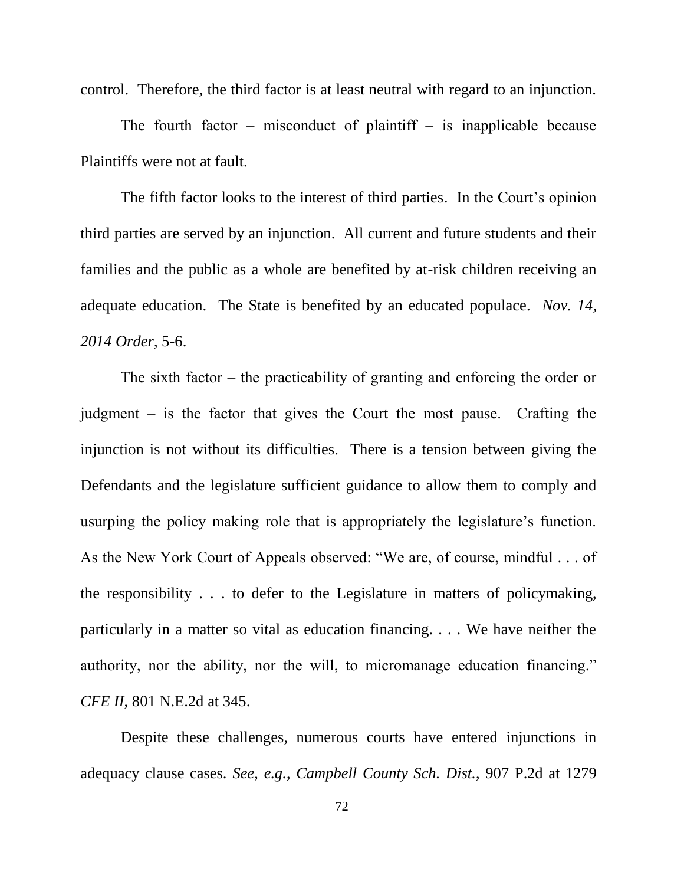control. Therefore, the third factor is at least neutral with regard to an injunction.

The fourth factor – misconduct of plaintiff – is inapplicable because Plaintiffs were not at fault.

The fifth factor looks to the interest of third parties. In the Court's opinion third parties are served by an injunction. All current and future students and their families and the public as a whole are benefited by at-risk children receiving an adequate education. The State is benefited by an educated populace. *Nov. 14, 2014 Order*, 5-6.

The sixth factor  $-$  the practicability of granting and enforcing the order or judgment  $-$  is the factor that gives the Court the most pause. Crafting the injunction is not without its difficulties. There is a tension between giving the Defendants and the legislature sufficient guidance to allow them to comply and usurping the policy making role that is appropriately the legislature's function. As the New York Court of Appeals observed: "We are, of course, mindful . . . of the responsibility . . . to defer to the Legislature in matters of policymaking, particularly in a matter so vital as education financing. . . . We have neither the authority, nor the ability, nor the will, to micromanage education financing." *CFE II*, 801 N.E.2d at 345.

Despite these challenges, numerous courts have entered injunctions in adequacy clause cases. *See, e.g.*, *Campbell County Sch. Dist.*, 907 P.2d at 1279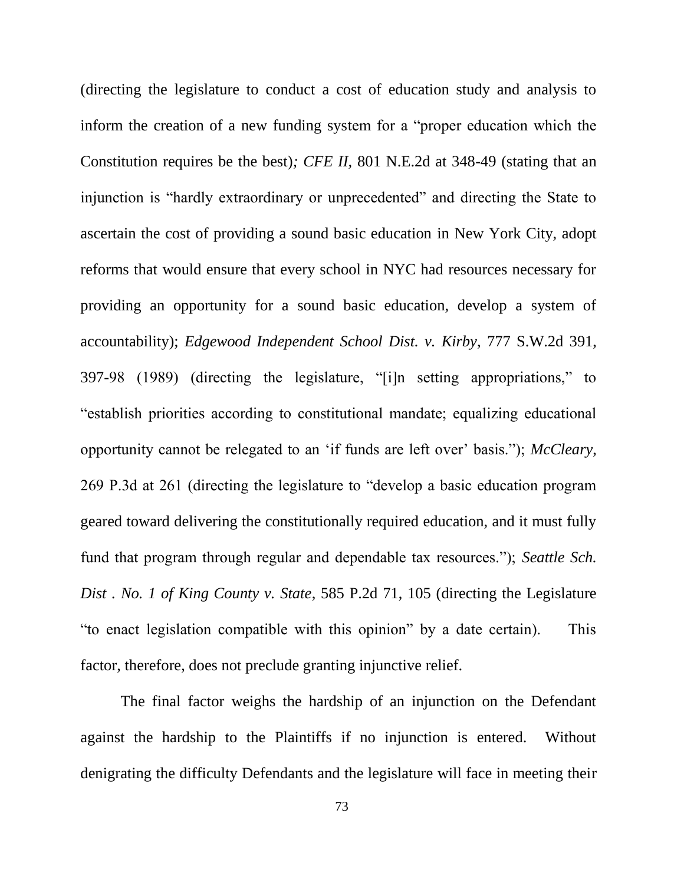(directing the legislature to conduct a cost of education study and analysis to inform the creation of a new funding system for a "proper education which the Constitution requires be the best)*; CFE II,* 801 N.E.2d at 348-49 (stating that an injunction is "hardly extraordinary or unprecedented" and directing the State to ascertain the cost of providing a sound basic education in New York City, adopt reforms that would ensure that every school in NYC had resources necessary for providing an opportunity for a sound basic education, develop a system of accountability); *[Edgewood Independent School Dist. v. Kirby](https://1.next.westlaw.com/Document/I11b7d69ee79e11d983e7e9deff98dc6f/View/FullText.html?originationContext=docHeader&contextData=(sc.UserEnteredCitation)&transitionType=Document&needToInjectTerms=False&userEnteredCitation=777+S.W.2d+397&docSource=e365213c06bc4328b47886690c1e6d17)*, 777 S.W.2d 391, 397-98 (1989) (directing the legislature, "[i]n setting appropriations," to ―establish priorities according to constitutional mandate; equalizing educational opportunity cannot be relegated to an ‗if funds are left over' basis.‖); *McCleary*, 269 P.3d at 261 (directing the legislature to "develop a basic education program geared toward delivering the constitutionally required education, and it must fully fund that program through regular and dependable tax resources."); *Seattle Sch. Dist . [No. 1 of King County v. State](https://1.next.westlaw.com/Document/I4db4e02ef78911d98ac8f235252e36df/View/FullText.html?originationContext=docHeader&contextData=(sc.UserEnteredCitation)&transitionType=Document&needToInjectTerms=False&userEnteredCitation=585+P.2d+105&docSource=a2bf6960d52c4df6b6ff7ca0f15ac1ce)*, 585 P.2d 71, 105 (directing the Legislature "to enact legislation compatible with this opinion" by a date certain). This factor, therefore, does not preclude granting injunctive relief.

The final factor weighs the hardship of an injunction on the Defendant against the hardship to the Plaintiffs if no injunction is entered. Without denigrating the difficulty Defendants and the legislature will face in meeting their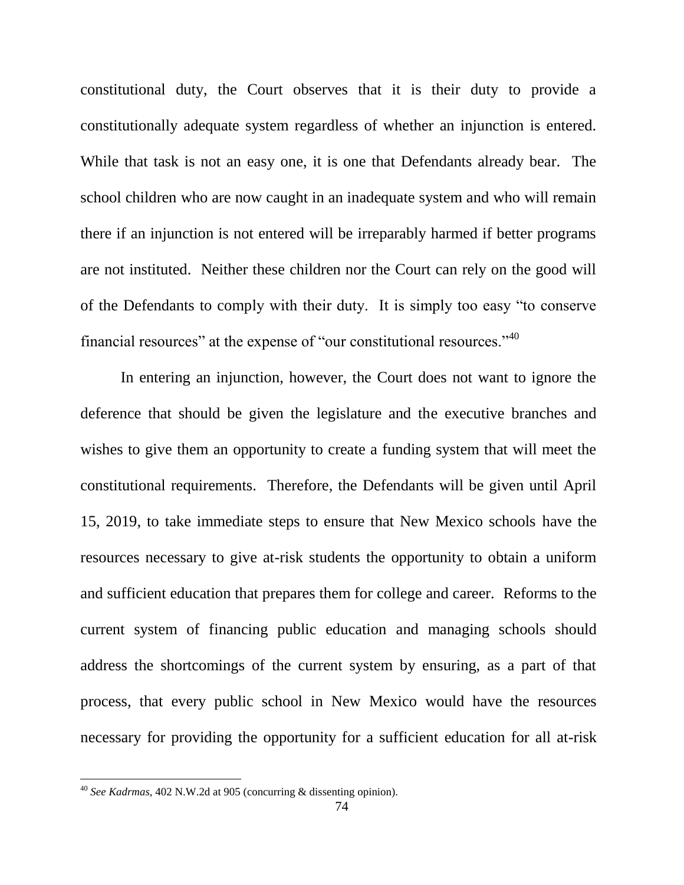constitutional duty, the Court observes that it is their duty to provide a constitutionally adequate system regardless of whether an injunction is entered. While that task is not an easy one, it is one that Defendants already bear. The school children who are now caught in an inadequate system and who will remain there if an injunction is not entered will be irreparably harmed if better programs are not instituted. Neither these children nor the Court can rely on the good will of the Defendants to comply with their duty. It is simply too easy "to conserve financial resources" at the expense of "our constitutional resources."<sup>40</sup>

In entering an injunction, however, the Court does not want to ignore the deference that should be given the legislature and the executive branches and wishes to give them an opportunity to create a funding system that will meet the constitutional requirements. Therefore, the Defendants will be given until April 15, 2019, to take immediate steps to ensure that New Mexico schools have the resources necessary to give at-risk students the opportunity to obtain a uniform and sufficient education that prepares them for college and career. Reforms to the current system of financing public education and managing schools should address the shortcomings of the current system by ensuring, as a part of that process, that every public school in New Mexico would have the resources necessary for providing the opportunity for a sufficient education for all at-risk

 $\overline{a}$ 

<sup>40</sup> *See Kadrmas*, 402 N.W.2d at 905 (concurring & dissenting opinion).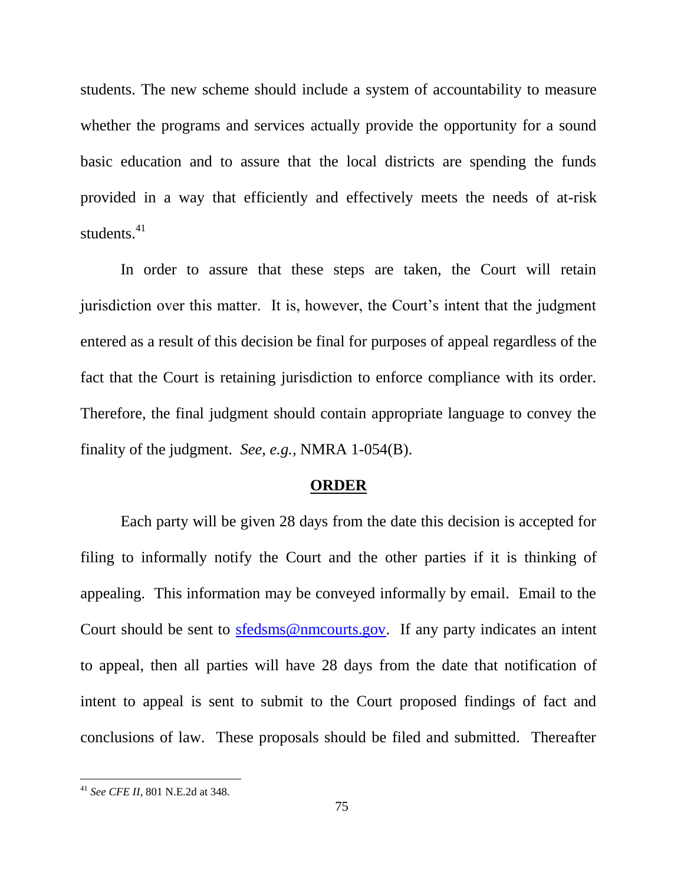students. The new scheme should include a system of accountability to measure whether the programs and services actually provide the opportunity for a sound basic education and to assure that the local districts are spending the funds provided in a way that efficiently and effectively meets the needs of at-risk students.<sup>41</sup>

In order to assure that these steps are taken, the Court will retain jurisdiction over this matter. It is, however, the Court's intent that the judgment entered as a result of this decision be final for purposes of appeal regardless of the fact that the Court is retaining jurisdiction to enforce compliance with its order. Therefore, the final judgment should contain appropriate language to convey the finality of the judgment. *See, e.g.,* NMRA 1-054(B).

## **ORDER**

Each party will be given 28 days from the date this decision is accepted for filing to informally notify the Court and the other parties if it is thinking of appealing. This information may be conveyed informally by email. Email to the Court should be sent to [sfedsms@nmcourts.gov.](mailto:sfedsms@nmcourts.gov) If any party indicates an intent to appeal, then all parties will have 28 days from the date that notification of intent to appeal is sent to submit to the Court proposed findings of fact and conclusions of law. These proposals should be filed and submitted. Thereafter

 $\overline{a}$ 

<sup>41</sup> *See CFE II*, 801 N.E.2d at 348.